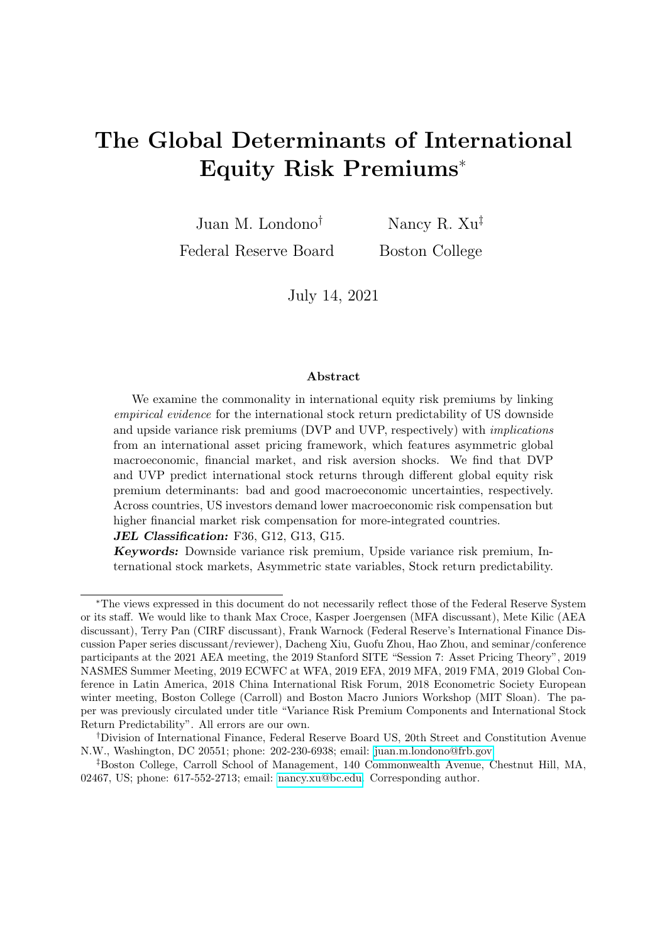# The Global Determinants of International Equity Risk Premiums<sup>∗</sup>

Juan M. Londono† Federal Reserve Board Nancy R. Xu‡ Boston College

July 14, 2021

#### Abstract

We examine the commonality in international equity risk premiums by linking empirical evidence for the international stock return predictability of US downside and upside variance risk premiums (DVP and UVP, respectively) with implications from an international asset pricing framework, which features asymmetric global macroeconomic, financial market, and risk aversion shocks. We find that DVP and UVP predict international stock returns through different global equity risk premium determinants: bad and good macroeconomic uncertainties, respectively. Across countries, US investors demand lower macroeconomic risk compensation but higher financial market risk compensation for more-integrated countries.

JEL Classification: F36, G12, G13, G15.

Keywords: Downside variance risk premium, Upside variance risk premium, International stock markets, Asymmetric state variables, Stock return predictability.

<sup>∗</sup>The views expressed in this document do not necessarily reflect those of the Federal Reserve System or its staff. We would like to thank Max Croce, Kasper Joergensen (MFA discussant), Mete Kilic (AEA discussant), Terry Pan (CIRF discussant), Frank Warnock (Federal Reserve's International Finance Discussion Paper series discussant/reviewer), Dacheng Xiu, Guofu Zhou, Hao Zhou, and seminar/conference participants at the 2021 AEA meeting, the 2019 Stanford SITE "Session 7: Asset Pricing Theory", 2019 NASMES Summer Meeting, 2019 ECWFC at WFA, 2019 EFA, 2019 MFA, 2019 FMA, 2019 Global Conference in Latin America, 2018 China International Risk Forum, 2018 Econometric Society European winter meeting, Boston College (Carroll) and Boston Macro Juniors Workshop (MIT Sloan). The paper was previously circulated under title "Variance Risk Premium Components and International Stock Return Predictability". All errors are our own.

<sup>†</sup>Division of International Finance, Federal Reserve Board US, 20th Street and Constitution Avenue N.W., Washington, DC 20551; phone: 202-230-6938; email: [juan.m.londono@frb.gov.](juan.m.londono@frb.gov)

<sup>‡</sup>Boston College, Carroll School of Management, 140 Commonwealth Avenue, Chestnut Hill, MA, 02467, US; phone: 617-552-2713; email: [nancy.xu@bc.edu.](nancy.xu@bc.edu) Corresponding author.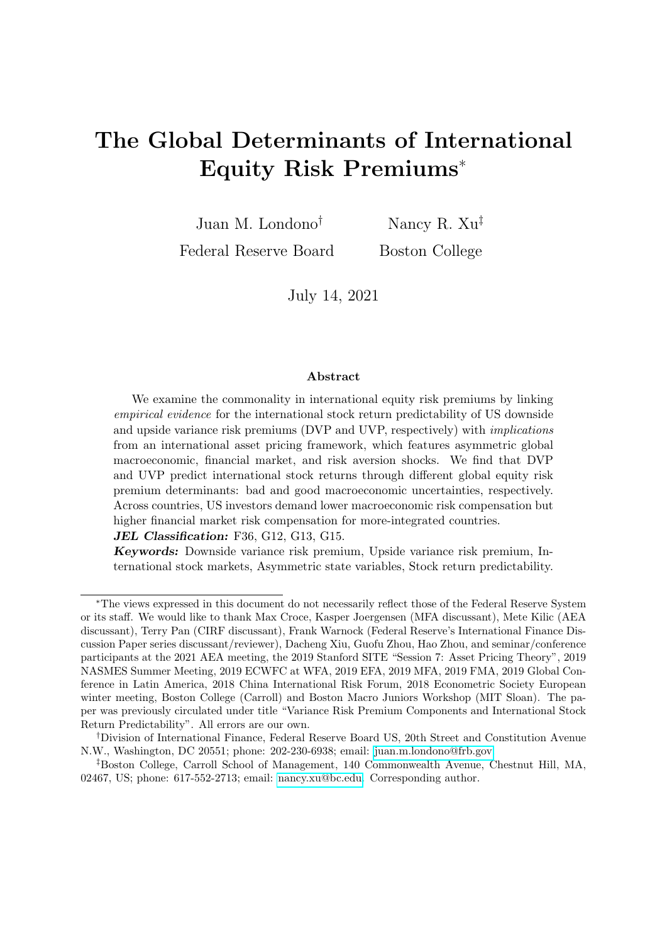## 1. Introduction

Contributing to the extensive discussions on how global shocks transmit across international equity markets (see, for instance, Colacito, Croce, Gavazzoni, and Ready (2018)), we propose a new approach to examine which, and to what extent, common risk variables drive equity risk premiums across countries at short (within-one-year) horizons. The main intuition of our analysis is that international stock return predictability should be driven by fundamental determinants that are common to both the global predictors and the global equity risk premium. An asset pricing framework with the perspective of a US (global) investor should help motivate these common determinants and infer their relative importance in driving global equity risk compensations at various horizons. In this paper, we formalize this intuition by linking novel *empirical evidence* for the international stock return predictability of US downside and upside variance risk premiums with implications from a parsimonious no-arbitrage asset pricing framework featuring time-varying and asymmetric economic uncertainty, risk aversion, and financial uncertainty in the form of illiquidity.

We find that 70-80% of the dynamics of the global equity risk premium for horizons under seven months may be driven by US economic uncertainty, while US risk aversion and financial uncertainty may matter more for longer horizons. Both good and bad US economic uncertainties contribute positively to the global equity risk premium, with the latter becoming dominant after 4 months. The global equity risk premium exhibits countercyclical dynamics and a downward-sloping term structure particularly during downturns. Our approach also allows us to study cross-country variations in global risk compensations. We find that US investors demand a lower global economic risk compensation but a higher financial risk compensation for more globally integrated countries.

For our empirical evidence, we consider the US variance risk premium's downside and upside components (DVP and UVP, respectively) as our two main global predictors, aiming to maximally infer information about short-horizon global equity risk compensations in light of the recent evidence in Kilic and Shaliastovich (2019), Bollerslev, Marrone, Xu, and Zhou (2014), and Feunou, Jahan-Parvar, and Okou (2017). We calculate DVP and UVP as the difference between the risk-neutral and physical expectations of onemonth-ahead stock return variance, conditional on whether the one-month-ahead stock price is below (bad states) or above (good states) the current stock price, respectively. We approximate the risk-neutral expectation of the downside (upside) stock return variance using puts (calls) on the S&P 500 index at different strikes and maturities, and we obtain the physical expectation of the downside (upside) stock return variation using the best forecast of the downside (upside) realized variance given a set of forecasting models. Our sample spans from April 1991 to December 2019. We find that DVP and UVP be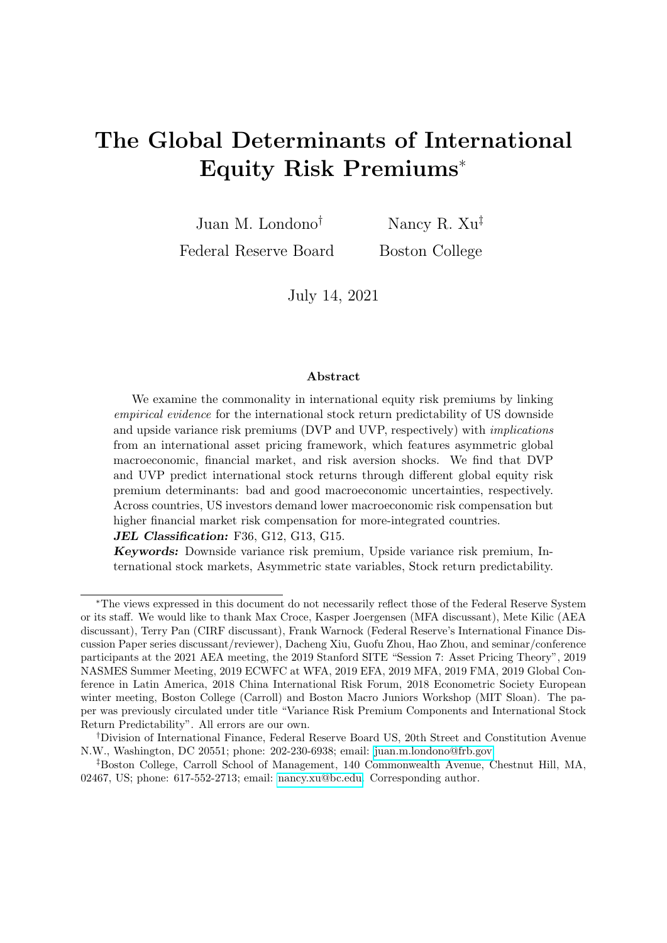have quite differently. The total VP and its downside component are highly correlated, significantly positive, and countercyclical with large positive spikes around key episodes of market stress and economic turmoil. In contrast, UVP is positive but smaller in magnitude, less persistent, and procyclical with occasional negative spikes, some of which coincide with major positive DVP spikes.

We then examine the predictive power of DVP and UVP for the excess returns of 22 countries' headline stock indexes expressed in US dollars. Considering both pooled and country-level predictive frameworks, we find evidence that decomposing the US VP into its asymmetric components yields gains in predicting international stock returns. In addition, the predictability patterns of DVP and UVP are considerably different along several dimensions. The international stock return predictability is mainly explained by UVP at very short horizons and by DVP at horizons between four and seven months. The predictive power of DVP follows a hump-shaped pattern peaking at mid four- to seven-month horizons, while that of UVP follows a decreasing pattern after peaking at the one-month horizon.

The second part of the paper formalizes the main intuition of our exercise using minimal structural assumptions, therefore allowing the data to speak for themselves. We first motivate potential economic determinants of both US VP(s) and international equity risk premiums in a conceptual framework. Given the empirical focus and the US investor perspective of this paper, we write down a flexible US log pricing kernel that is sensitive to changes in macroeconomic conditions, investor risk aversion, and stock market illiquidity. These reduced-form kernel state variables and shocks can be motivated from both the consumption-based and intermediary-based asset pricing literature linking equity and variance risk premiums. For instance, the interplay between macroeconomic uncertainty and investors' attitudes toward risk plays a prominent role in the variance premium literature (rare disaster models in, e.g., Gabaix (2012), long-run risk models in, e.g., Bollerslev, Tauchen, and Zhou (2009), models with habit formation and bad environment-good environment dynamics, as in Bekaert and Engstrom (2017), and models with time-varying fear in, e.g., Drechsler (2013)). Fan, Imerman, and Dai (2016) propose an intermediary-based explanation for the dynamics of the variance risk premium. We construct parsimonious state variable processes with VAR and composite heteroskedastic gamma shock assumptions in order to flexibly describe the tail behaviors of our key state variables. Finally, to model the transmission of global/US shocks to other countries, we allow for country cash flow growths to be exposed to common (US) state variables and shocks.

The model solution has two relevant implications for our research objective. First, both the dynamics of US VP (and its components) and the global compensation part of international equity risk premiums should be driven by the second moments of kernel shocks. Second, this commonality implies the various excess return predictability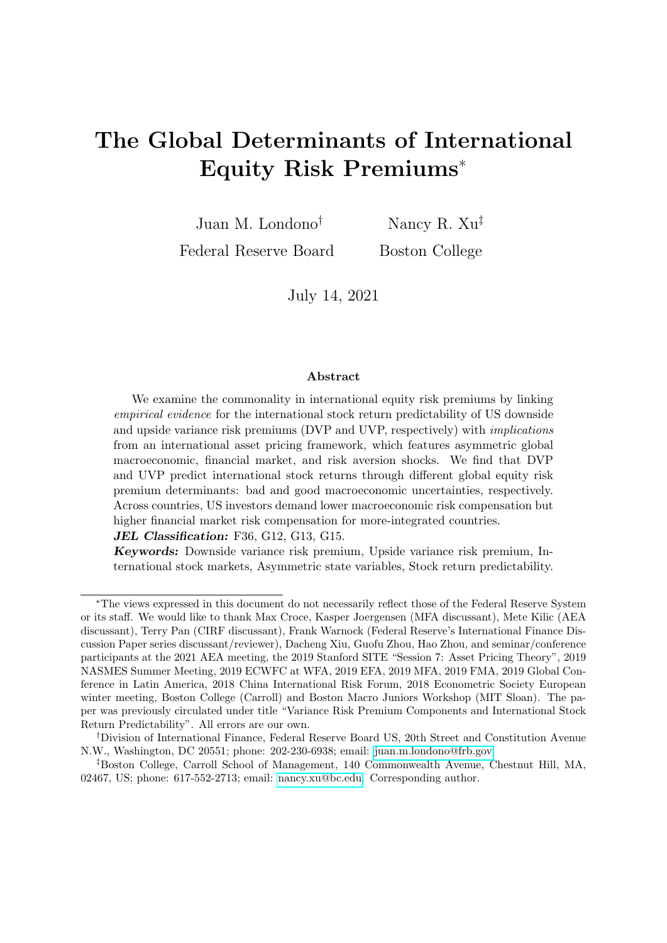channels. When confronted with the data, our model allows us to identify the relative importance of these common risk premium state variables in DVP and UVP and in international equity risk premiums at various horizons, which is the main contribution of the paper.

We first find that 62% of the DVP variability is explained by risk aversion and 30% by bad economic uncertainty. Under volatile economic conditions, DVP becomes more sensitive to high market illiquidity uncertainty. UVP, on the other hand, increases with the procyclical good economic uncertainty through the hedging demand of upside risk, as well as countercyclical state variables, such as risk aversion and illiquidity uncertainty, through the general hedging demand for variance risk. These two channels counteract, resulting in the relatively less persistent and smaller UVP than DVP.

We then identify the relative importance of common economic determinants in international equity risk premiums using the economic interpretations of the VP components and their international stock return predictive coefficients. We utilize the whole crosssection of country-level predictive coefficients. To avoid heavy parameterization, we use two integration measures to describe the cross-country differences in the predictive coefficients: economic integration, proxied by the ratio of total imports and exports to GDP, and financial integration, proxied by the ratio of total asset and liability holdings from one country to the rest of the world to GDP.

For our global-level inferences, which can be related to the panel-data predictive regression results, we calibrate a country with a median level of economic and financial integration. We find that global equity risk premium's sensitivities to the common risk premium determinants change over the horizon. Both good and bad US economic uncertainties contribute positively to the global equity risk premium, which is consistent with the domestic (US) implications from Segal, Shaliastovich, and Yaron (2015). Together, US economic uncertainties explain 70-80% of the global risk premium variability at horizons under seven months, with the bad uncertainty dominating after four months. Risk aversion and illiquidity uncertainty, on the other hand, have a stable and positive impact for all horizons, with one SD increase leading to a two to three annualized percent increase in the average country's equity risk premium. Consistently, a Jackknife exercise shows that DVP predicts international stock excess returns mostly through their common determinant, bad economic uncertainty, while the good economic uncertainty channel is potentially crucial for explaining the pattern of the international predictability of UVP.

Finally, we complement our global-level inference by examining whether global investors demand different global risk compensations for holding assets in countries with different integration levels, which relates to our country-level predictive regression results. We find that, for countries with higher integration (especially financial integration), global investors demand lower global macro risk compensation but higher global financial risk compensation. The former result is potentially consistent with the international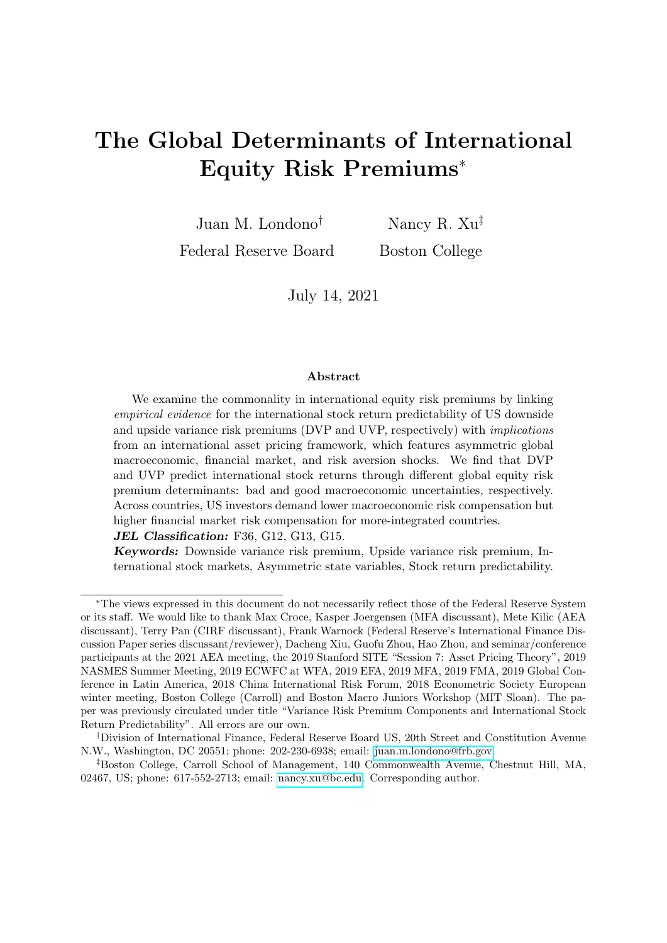risk sharing intuition given a lower cost of capital, greater firm and fundamental investment opportunities, and higher potential growth (Bekaert and Harvey (2003); Carrieri, Errunza, and Hogan (2007)); the latter result is likely due to the increasing chance of higher systemic risk exposure that cannot be diversified away.

#### Our research contributes to several strands of the literature:

First, our exploration of the global determinants of international equity risk premiums contributes to the ongoing discussion of how global shocks matter and transmit across international equity markets (see, e.g., Colacito, Croce, Gavazzoni, and Ready (2018); Bonciani and Ricci (2020); Bekaert, Hoerova, and Xu (2020); Avdjiev, Gambacorta, Goldberg, and Schiaffi (2020); Aldasoro, Avdjiev, Borio, and Disyatat (2020); Xu (2019)). Different from existing research, our framework exploits empirical evidence from international stock return predictability, which allows us to look at global risk compensations using cross-sectional information at various horizons.

Our research contributes to the literature on understanding and estimating the dynamics of equity risk premiums, including using asset pricing models, as in Croce, Lettau, and Ludvigson (2015), Stathopoulos (2017), Martin (2017) and Bekaert, Engstrom, and Xu (forthcoming); surveys, as in Graham and Harvey (2005); and novel data sets such as dividend futures and dividend strips, as in Van Binsbergen, Brandt, and Koijen (2012) and Van Binsbergen, Hueskes, Koijen, and Vrugt (2013). Our model estimation strategy highlights two innovations. First, in an asset pricing framework, both US VP and international equity risk premiums should be driven by common risk premium state variables. Empirically, we observe their covariance relationship (i.e., predictability results) and the dynamics of the VP components. By predetermining the loadings of the VP components on these premium state variables, the loadings of international equity premiums hence become the only unknowns in the estimation. Second, considering multiple predictors and multiple countries in a unified framework provides more information in the estimation.

Considering the US VP and its asymmetric components as our main global predictors also contributes to the literature on international stock return predictability. Broadly, we add to a branch of the literature that investigates the predictive power of US financial variables for international stock returns (see Rapach, Strauss, and Zhou (2013) and papers cited therein). More specifically, we add to the literature documenting the robust predictability of the US VP for international stock returns (Londono (2015) and Bollerslev, Marrone, Xu, and Zhou (2014)). A more recent strand of the VP predictability literature finds that compensations for bearing stock return variations associated with good and bad states are potentially different and that acknowledging for asymmetry in the variance risk premium significantly increases its stock return predictability. This literature has focused only on the predictability for US stock returns (Kilic and Shaliastovich (2019) and Feunou, Jahan-Parvar, and Okou (2017)). Given our goal to improve our understanding of global equity risk compensations through predictive coefficients, we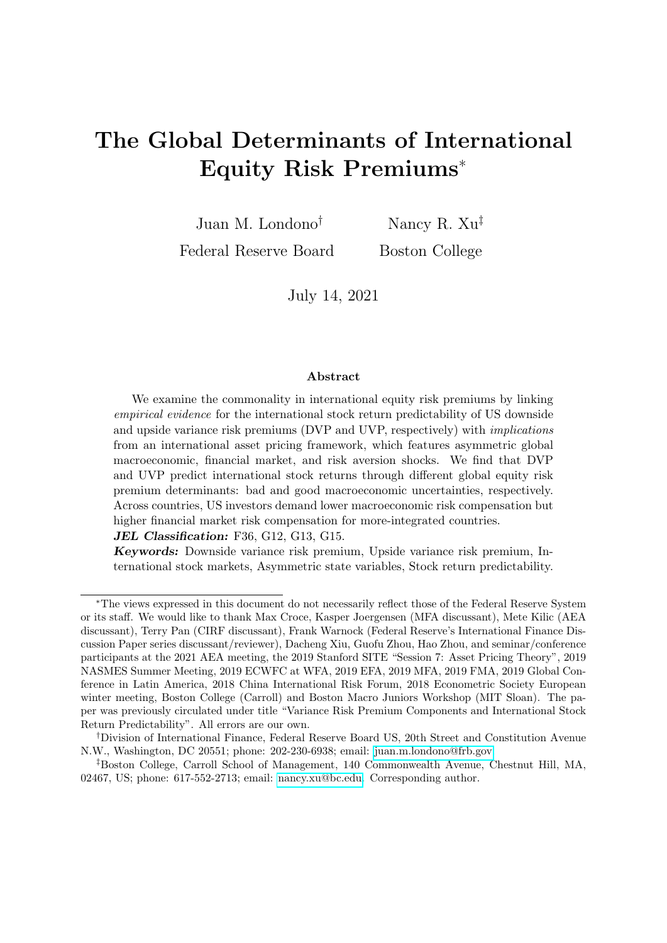contribute to this strand of the literature by showing that decomposing the US variance risk premium into its downside and upside components also yields higher predictability for international stock returns.

Finally, while we are agnostic about the exact global transmission channels (e.g., central banks, firms, households) of risk premium state variables, our cross-country calibration suggests that US/global investors may demand more (less) financial market risk compensation (macroeconomic risk compensation) from countries with higher integration, shedding light on the non-trivial asset pricing implications of globalization (see, e.g., Kose, Prasad, Rogoff, and Wei (2009); Rapach, Strauss, and Zhou (2013); and Bekaert, Harvey, Kiguel, and Wang (2016)).

The remainder of the paper is organized as follows. Section 2 provides the empirical evidence for the dynamics and international stock return predictability of US downside and upside variance risk premiums. In Section 3, we propose a conceptual framework and discuss our core estimation strategy. Bringing the model solution to the empirical evidence, Section 4 presents the estimation results for common risk premium determinants, and Section 5 discusses the relative importance of these economic determinants in international equity risk premiums. Concluding remarks are included in Section 6.

## 2. Empirical Evidence

In this section, we explore the commonality in short-term international equity risk premiums by examining the predictive power of the US variance risk premium (VP) and its downside and upside components for international stock excess returns for horizons between one and twelve months. In the first part of the section, we construct and discuss the dynamic properties of the downside and upside components of the US VP; then, we examine their predictive power for international stock excess returns.

### 2.1. Definitions

We follow the notation in Bollerslev, Tauchen, and Zhou (2009) and define the total one-month-ahead VP as the difference between the risk-neutral  $(Q)$  and the physical  $(P)$ expectations of the total variance of one-month-ahead stock returns,

$$
VP_{t:t+1} = V_t^Q(r_{t+1}) \t V_t^P(r_{t+1}), \t\t(1)
$$

where  $r_{t+1}$  denotes the log stock return between months t and  $t + 1$ . We decompose VP into its downside and upside components, which we label DVP and UVP, respectively. These components allow us to disentangle the compensations for bearing downside and upside variance risks. The general expression for this decomposition is as follows:

$$
VP_{t:t+1} = \underbrace{V_t^Q(r_{t+1}1_{<0})}^{P}(r_{t+1}1_{<0}) + \underbrace{V_t^Q(r_{t+1}1_{>0})}^{P}(r_{t+1}1_{>0})}^{V_t^P}(r_{t+1}1_{>0})
$$
\n<sup>(2)</sup>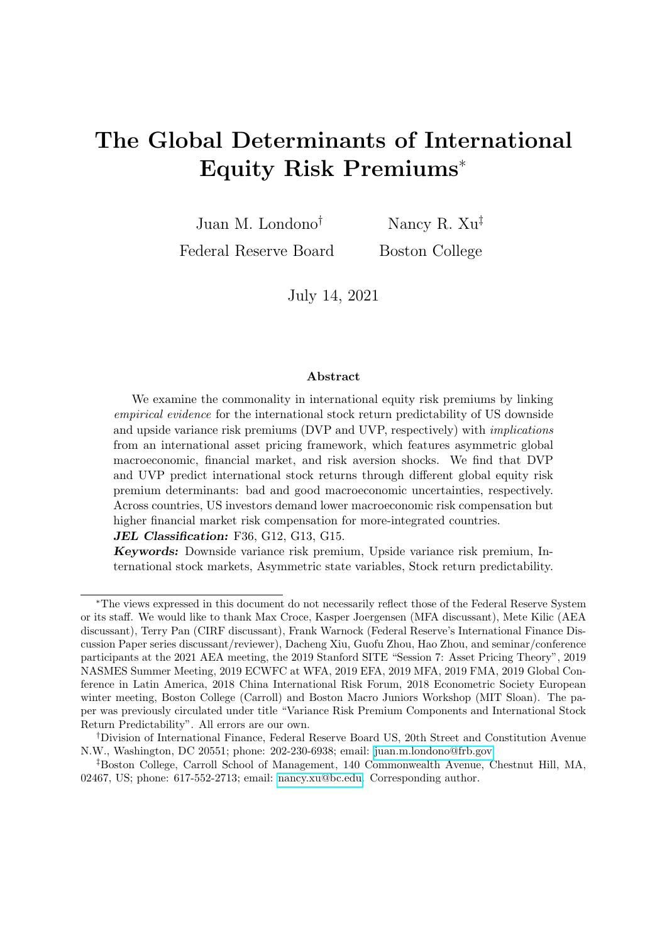where  $1_{\leq 0}$  ( $1_{\geq 0}$ ) is a dummy equal to 1 when the one-month-ahead return is below (above) 0 (see Feunou, Jahan-Parvar, and Okou (2017); Kilic and Shaliastovich (2019); and Held, Kapraun, Omachel, and Thimme (2020)).

We estimate the risk-neutral and physical components of DVP and UVP separately. The risk-neutral components of DVP and UVP are extracted from option prices (see, for instance, Britten-Jones and Neuberger (2000); Andersen and Bondarenko (2009)) using the option-implied downside and upside variances, respectively, as follows:

$$
iv_{t,t+1}^{D} = \left(\int_{0}^{S_{t}} \frac{2(1 + log(S_{t}/K)}{K^{2}} P(t+1, K) dK\right)^{2},
$$
  
\n
$$
iv_{t,t+1}^{U} = \left(\int_{S_{t}}^{1} \frac{2(1 - log(K/S_{t})}{K^{2}} C(t+1, K) dK\right)^{2},
$$
\n(3)

where  $S_t$  is the current stock index price and  $P(K)$   $(C(K))$  is the price of a put (call) with strike  $K$  and a one-month maturity. Intuitively, the option-implied downside (upside) variance is identified by put (call) options that pay off when the return realization is negative (positive). Next, we approximate the physical components of DVP and UVP using the expected values of one-month-ahead downside and upside realized variances, respectively. Intuitively, we separate the return variability due to intradaily negative and positive price movements, and the realized semivariances are obtained as follows:

$$
rv_{t+1}^D = \sum_{r=1}^N r^2 1_{r_r < 0},
$$
\n
$$
rv_{t+1}^U = \sum_{r=1}^N r^2 1_{r_r > 0},
$$
\n
$$
(4)
$$

where r represents the instantaneous return calculated using stock prices sampled at intradaily frequencies between months t and  $t + 1$  and N is the total number of highfrequency return observations within the month. The physical expectations of downside and upside realized variances are obtained using linear projections, as follows:

$$
E_t(rv'_{t+1}) = \hat{\alpha}^t + \hat{\mathbf{X}}_t^t,\tag{5}
$$

where  $i = D$  or U for downside and upside, respectively, and  $X_t^i$  is a chosen set of predictors observable at time t. We allow  $X_t^i$  to be different in predicting downside and upside realized variances. Therefore, DVP and UVP are obtained, respectively, as follows:

$$
vp_{t,t+1}^D = iv_{t,t+1}^D \t E_t(rv_{t+1}^D),
$$
  
\n
$$
vp_{t,t+1}^U = iv_{t,t+1}^U \t E_t(rv_{t+1}^U).
$$
\n(6)

### 2.2. The dynamics of variance risk premiums

We use daily prices for options on the S&P 500 index at different strikes and maturities (source: OptionMetrics) to obtain the risk-neutral components of DVP and UVP,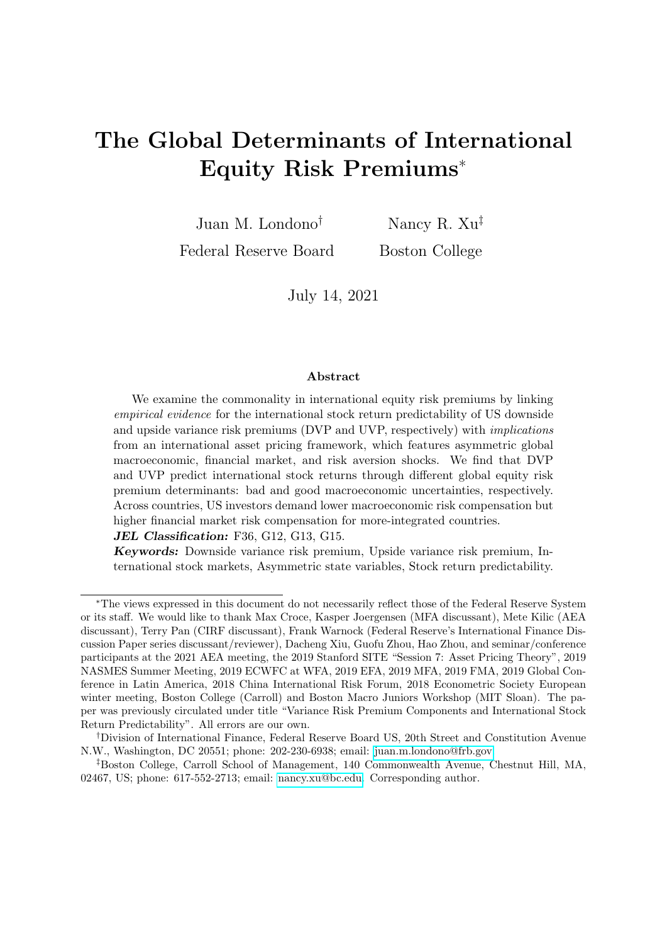and we use intradaily prices sampled every 15 minutes for this stock index (source: TICK-DATA) to obtain the realized semivariances. Our sample period runs between April 1991 and December 2019.

While the literature has examined various models for predicting the total realized variance (see Bekaert and Hoerova (2014) for a thorough discussion), there is limited research on predicting the downside and upside realized variances. Table 1 explores five forecast specifications of one-month-ahead realized semivariances using the regression framework in Equation (5). The specification in measure (1) assumes that realized semivariances follow a Martingale process (see also Kilic and Shaliastovich (2019)), while measures (2) to (5) consider various combinations of predictors including past realized variance and semivariances calculated at various horizons. Both the simple AR(1) and the heterogeneous autoregressive (HAR) framework using the past monthly  $(rv^i_{t-1m;t})$ , weekly  $(rv_t^i_{5d;t})$ , and daily  $(rv_{t-1d;t}^i)$  realized semivariances significantly improve the goodness of fit for both downside and upside realized variances, with respect to the Martingale specification.<sup>1</sup> In column  $(5)$ , we include downside and upside option-implied variances, respectively. This last specification yields the best predictive performance for both downside and upside realized semivariances. Therefore, we use measure (5) to estimate the downside and upside expected physical variances.

With the risk-neutral and physical expected variance estimates, we obtain DVP and UVP as in Equation (6). The sum of the two VP components yields the total VP. In the remainder of the paper, we use the end-of-month estimates as our benchmark DVP and UVP measures.

We find that our benchmark monthly DVP and UVP measures differ in their unconditional and time-series properties. First, from Table 2, the option-implied downside variance is, on average, higher than the expected downside realized variance, yielding a positive DVP with an average of 15.97 squared percent The positive nature of DVP holds for all other measures considered and is consistent with the evidence in the existing literature. DVP is prone to large positive realizations, including the large spike during the 2007-2008 financial crisis, as shown in Figure 1. UVP is also, on average, significantly different from zero but is considerably smaller than the average DVP (1.27 versus 15.98, respectively). As shown in Figure 1, UVP displays negative spikes in a few episodes. For instance, UVP reached -35.48 squared percent during the Lehman Brothers aftermath, which is almost 11 standard deviations away from its historical average.

Second, we find that the total VP comoves closer to DVP than to UVP. Panel C of Table 2 shows that the correlation between VP and DVP using our chosen model is

<sup>&</sup>lt;sup>1</sup>This HAR framework for realized semivariances extends Corsi (2009), who focuses on forecasting the total realized variance. Feunou, Jahan-Parvar, and Okou (2017) also consider the HAR framework to approximate the expectations of downside and upside realized variances. However, they do not report the coefficients associated with the HAR components or the fit of the model, and they conclude that the results for the HAR specification are qualitatively similar to those for the Martingale specification.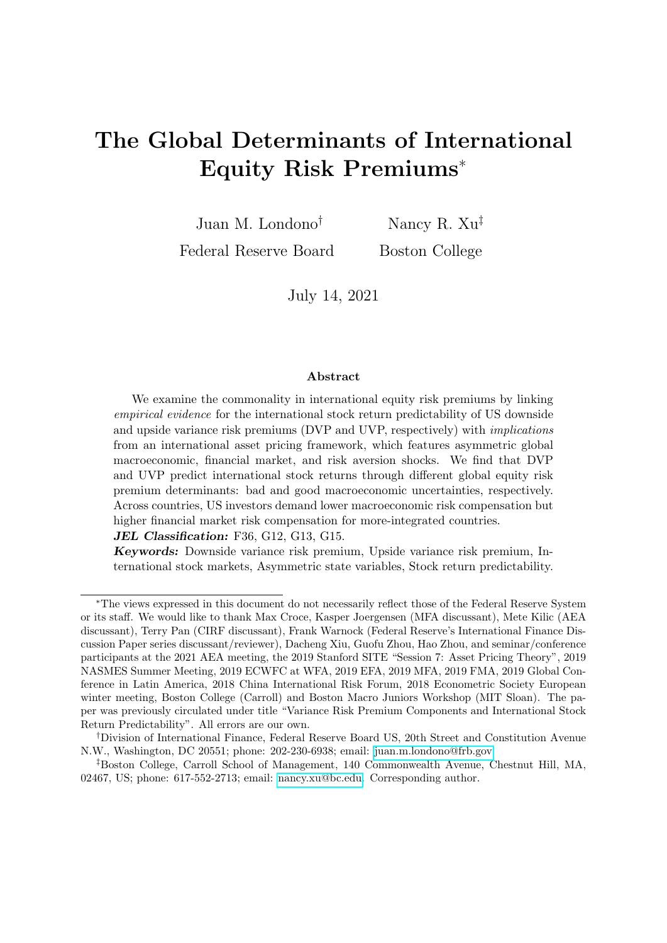0.97, while that between UVP and VP is 0.26. Moreover, our DVP and UVP measures are statistically uncorrelated.2

Third, DVP exhibits a negative correlation with the monthly US industrial production growth ( $\rho = -0.29$ ); in contrast, UVP is positively correlated with the growth rate  $(\rho = 0.17)$ , suggesting weakly procyclical dynamics. Both correlations are statistically significant at the 1% confidence level.

Finally, UVP is more transitory than DVP. The AR(1) coefficient of our DVP measure is 0.80, whereas that of our UVP measure is only 0.22. These four empirical facts are robust across alternative measures. Taken together, our findings suggest that investors, in general, demand much higher compensations for downside shock exposures than for upside shock exposures, although both shocks lead to increases in total variance. On average, investors dislike risks emanating from both tails. However, compensations demanded for bearing downside and upside variance risks have different dynamics, in terms of their persistence and their relation with current economic conditions.

The properties of our VP measures are similar to those reported in the literature.<sup>3</sup> The dynamics of UVP vary slightly among the existing papers. In particular, the UVP measure in Kilic and Shaliastovich (2019) exhibits major negative spikes (given our definition of VP, as they define VP as the difference between the physical and the risk-neutral expectations) during episodes of financial turmoil. This behavior is likely due to the Martingale assumption when obtaining the physical expectation; that is, according to Bekaert and Hoerova (2014), realized variance is likely to be high during financial turmoil, which does not necessarily imply that the expectation of stock market variance continues to be this high in the near future.<sup>4</sup> However, as we discuss later in Section 2.3, the shortterm predictability of UVP and DVP for international excess stock returns is robust to considering alternative VP measures, including the Martingale measure.

### 2.3. International stock return predictability

We now examine the international stock return predictability patterns of US DVP and UVP at the global level and at the country level. We take the perspective of a global investor whose asset values are denominated in US dollars. We consider US dollar excess returns of 22 countries' headline stock market indexes covering North America, Asia, and Europe. Log market returns are obtained from their total return indices (source:

 $2$ Table A2 in Appendix A shows that both DVP and UVP are highly correlated across measures, with a correlation coefficient ranging from 0.74 to 0.99 for DVP and from 0.74 to 0.95 for UVP.

<sup>3</sup>For instance, Held, Kapraun, Omachel, and Thimme (2020) extend the calculation for the variance premium and its components to 8 international markets and their evidence is similar to ours for US VPs. In particular, they find that DVP is, on average, consistently positive for all markets and much larger in magnitude than UVP. UVP is, on average positive for the US, but turns negative for 4 countries in their sample.

<sup>4</sup>Figure A1 of Appendix A compares our benchmark VP measures with those obtained using the Martingale measure.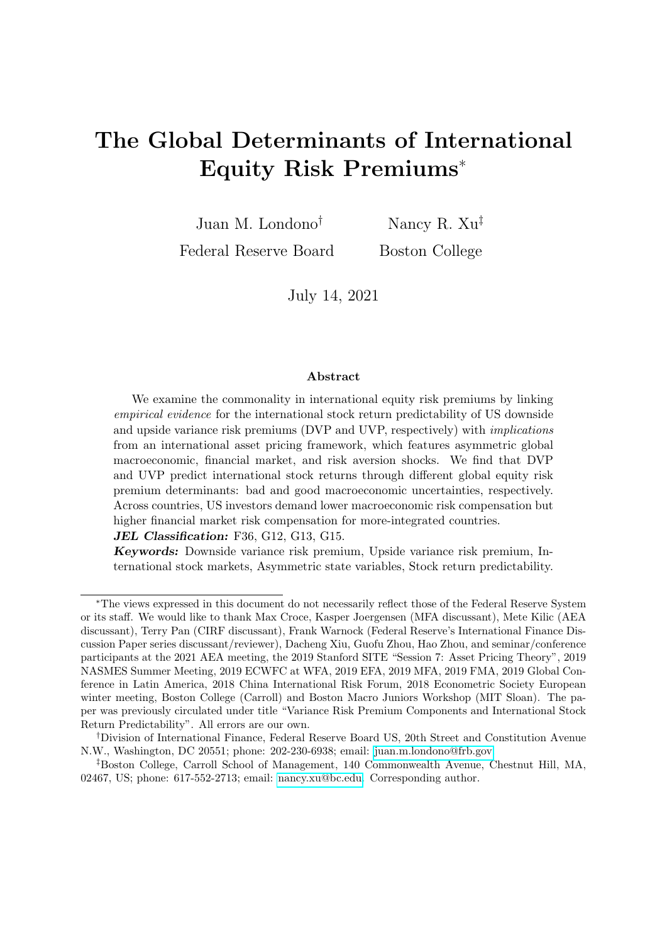DataStream), and the risk free rate uses the zero-coupon yield of US Treasury bonds (source: FRED). As before, our sample runs from April 1991 to December 2019 (T  $=$ 345 months).

The main predictability regression is as follows:

$$
\kappa^{-1}r_{i;t,t+} = a + a_{i;} + b^D v p_{t;t+1}^D + b^U v p_{t;t+1}^U + \epsilon_{i;t+} \t\t(7)
$$

where t denotes the month;  $r_{i,t,t+}$  denotes the  $\kappa$ -month-ahead log excess returns for country  $i$ . A useful null regression specification imposes the same predictive coefficients for DVP and UVP.

Table 3 compares the results of the null and the main predictability regressions at the 1-, 3-, 6-, and 12-month horizons; the full-horizon predictability patterns are shown in Figure 2. Our results for the null model are consistent with those in the literature (see, e.g., Londono (2015); and Bollerslev, Marrone, Xu, and Zhou (2014)). In particular, the hump-shaped predictability pattern of the total VP peaks at around the 6-month horizon.

Our main empirical result is that acknowledging for asymmetry in VP improves the predictability for international stock returns and, therefore, offers more joint information in understanding the latent behaviors of global equity risk premiums. The adjusted Rsquareds of our main bivariate specification are larger than those of the null model for all within-one-year horizons considered. In addition, the predictability patterns of DVP and UVP are different. While DVP exhibits a hump-shaped predictability pattern similar to that of the total VP, UVP is only a significant predictor at very-short horizons. The variance decomposition (row "VARC%" in Table 3) confirms that the DVP contribution to predictability becomes dominant as the horizon increases, while the UVP contribution dominates mostly at horizons between one and three months. Our results thus suggest that decomposing US VP into its downside and upside components might introduce more flexibility in capturing mixed underlying dynamics of international equity risk premiums at different horizons.5

Next, we explore the predictability of DVP and UVP for stock returns at the country level. Figures 3 and 4 show the predictive coefficient estimates associated with DVP and UVP, respectively, in the following country-level regression setting:

$$
\kappa^{-1} r_{i;t,t+} = a_{i;} + b_{i;}^{D} vp_{t;t+1}^{D} + b_{i;}^{U} vp_{t;t+1}^{U} + \epsilon_{i;t+} . \tag{8}
$$

Consistent with the panel evidence, Figure 3 shows a similar hump-shaped predictability pattern with significant and positive predictive DVP coefficients for horizons around 6 months for almost all countries in our sample, with a few exceptions, such as Finland, the Netherlands, Ireland, Portugal, and Switzerland. Figure 4 shows that the predictive coefficients of UVP for most countries (except for Japan) exhibit a similar consistently

<sup>&</sup>lt;sup>5</sup>In unreported results, which are available upon request, we show that the predictability patterns using our sample period are robust to considering alternative VP measures, including Martingale measures, and to controlling for other predictors, including short-term interest rates, interest-rate differentials, and stock valuation ratios.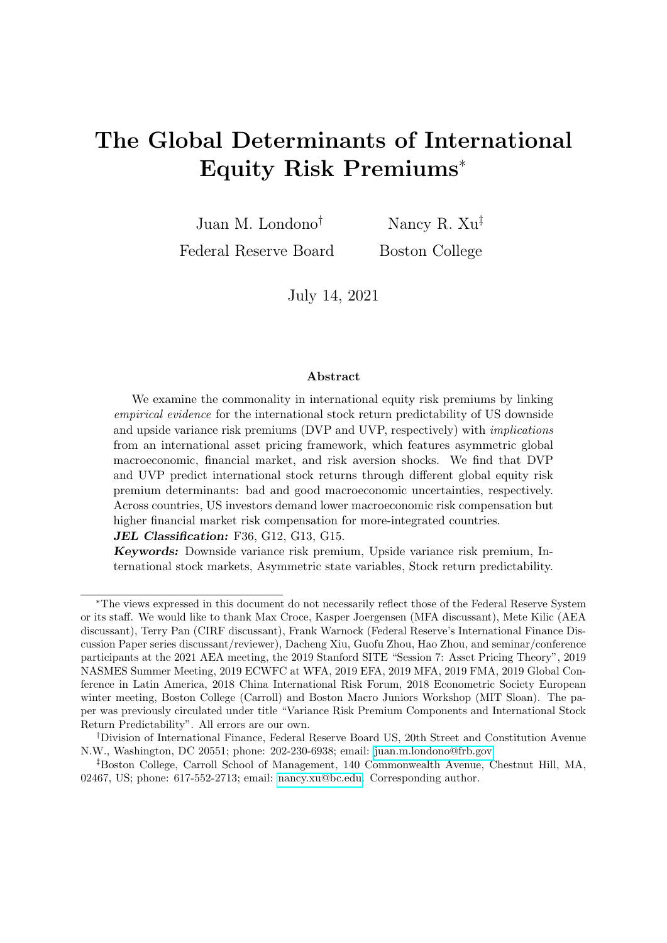positive but decreasing pattern. Although the shape of the predictability patterns of DVP and UVP is by and large consistent across countries, the magnitude and significance of the estimates of the coefficients associated with DVP and UVP could vary across countries.

There are three main takeaways from this empirical section that are important to the conceptual framework that we introduce next. First, US DVP and UVP display different dynamics and are useful short-term predictors of international stock excess returns, which suggests distinct underlying determinants. Second, there are gains in acknowledging for asymmetric risk compensations in the international return predictability, which indicates the importance of asymmetric determinants. Finally, there is some degree of cross-country variation in the predictability patterns and significance of US DVP and UVP, which suggests that there is information in the cross section that can be exploited to understand the global risk premium and the drivers of the cross-country heterogeneity in global risk compensations.

## 3. Conceptual Framework

In this section, we propose a conceptual framework to understand the international stock return predictability of US VPs documented in Section 2. The main intuition is that the observed international stock return predictability should be driven by common economic determinants of US VPs and short-term international equity risk premiums (EPs). An asset pricing framework can help us motivate these common economic determinants and, when confronted with the data, infer their relative importance in driving global equity risk compensations. We first introduce the framework and its implications for VPs and EPs. Then, we explain our estimation strategy.

### 3.1. A No-Arbitrage Framework

Our conceptual framework consists of a characterization of the state evolution and a pricing kernel for a US/global representative agent. The US state evolution process is characterized by kernel state variables, second moment state variables, and a cash flow state variable (dividend growth). The dynamic state process,  $Y_t$ , follows a vector autoregressive nature, and the shocks,  $\boldsymbol{I}_{t}$ , are mutually-independent centered gamma shocks that introduce heteroskedasticity and non-Gaussianity in an affine state variable system, as follows:

$$
Y_{t+1} = +AY_t + \Sigma I_{t+1},
$$
  
\n
$$
I_{t+1} \Gamma(\Omega Y_t + e; 1) - (\Omega Y_t + e),
$$
  
\n(9)

where ,  $\bf{A}$ ,  $\bf{\Sigma}$ ,  $\bf{\Omega}$  and  $\bf{e}$  are constant matrices,  $\bf{\Gamma}$  denotes a gamma distribution, and  $\Omega Y_t + e$  denotes a vector of shape parameters which spans second (and higher-order)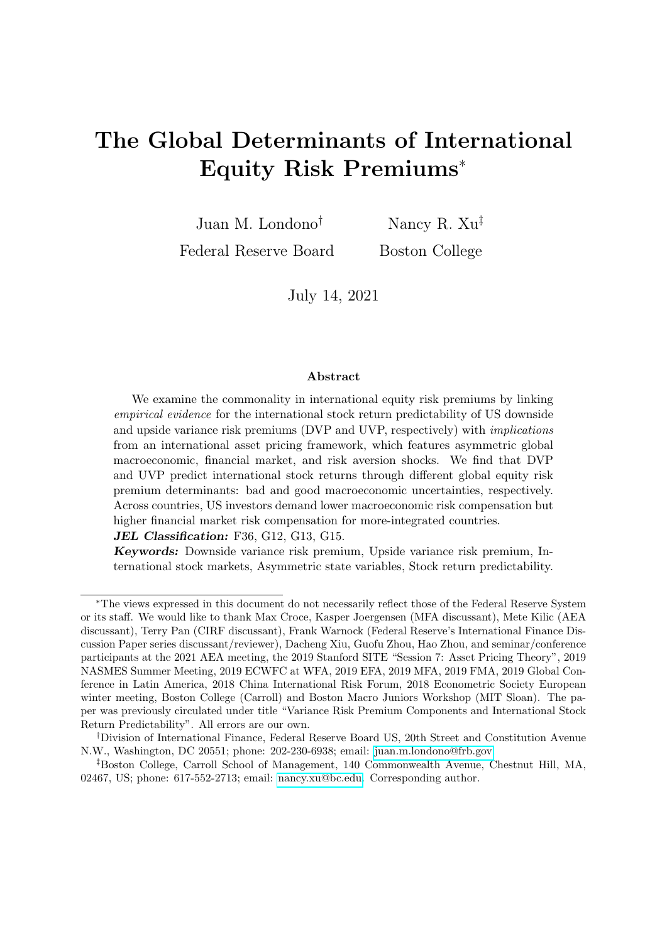moments of these shocks. The empirical assumption of asymmetric non-Gaussian shocks allows the framework to be relatively realistic and tractable.<sup>6</sup>

Next, we assume a general linear process of the log US real pricing kernel, as follows:

$$
m_{t+1} = m_0 + m_1 Y_t + m_2 \Sigma I_{t+1},
$$
\n(10)

where  $m_1$  and  $m_2$  denote the loadings on the lagged state variables and innovations, respectively. Given the no-arbitrage condition and the conditional asset pricing framework, the US price-dividend ratio can be solved in an approximate affine framework, and the log US market return can be expressed in the following quasi-linear process (see Appendix B for the proof):

$$
r_{t+1} = \ln\left(\frac{P_{t+1} + D_{t+1}}{P_t}\right) \quad \xi_0 + \mathbf{1}Y_t + \mathbf{2}\Sigma I_{t+1}.
$$
 (11)

We next assume that, for countries other than the US, there is a country-level dividend growth process that is sensitive to US macro and business conditions,  $Y_t$ , and shocks,  $!$   $t_{t+1}$ . Thus, as shown in Appendix B, log stock returns for country i can be derived as:

$$
r'_{t+1} = \ln\left(\frac{P_{t+1}^i + D_{t+1}^i}{P_t^i}\right) \quad \xi_0^i + \frac{i}{1}Y_t + \frac{i}{2}\Sigma I_{t+1} + \text{Idiosyncratic Parts.} \tag{12}
$$

Constant matrices  $\mathbf{1} \begin{pmatrix} 1 \\ 1 \end{pmatrix}$  $\binom{i}{1}$  and  $\binom{i}{2}$  $\binom{1}{2}$  represent the loadings of US (country i) log returns on the lagged US/global state variables and shocks, respectively.

The model-implied US variance risk premium has the following expression (see Appendix C for the proof):

$$
V_t^Q(r_{t+1}) \t V_t^P(r_{t+1}) = \left\{ (2\Sigma)^2 \t [(1 \t m_2 \Sigma)^2 \t 1] \right\} (\Omega Y_t + e) ; \t (13)
$$

where " " denotes element-by-element matrix multiplication. Here are some economic insights. First, the dynamics of VP (and its components) should be driven by the shape parameters of kernel state variable shocks, as, for these shocks, the pricing kernel has non-zero loadings (that is,  $m_2 \notin 0$ ). Second, for shocks with positive  $m_2$  loadings, their shape parameters (as captured in  $(\Omega Y_t + e)$ ) contribute positively to VP, given  $\left[ \begin{array}{c} 1 \end{array} \right]$ 1  $m<sub>2</sub>$  $\Big)^2$  1 1 > 0. Intuitively, for instance, in a standard habit formation model, the marginal utility loads positively on relative risk aversion, and, hence, VP in such a framework would increase with the expected variability in risk aversion; in Segal, Shaliastovich, and Yaron (2015)'s long-run risk model, the kernel has positive exposure to a bad macroeconomic shock, and, hence, VP could also increase with bad macroeconomic uncertainty. Note that it is not trivial to derive model-implied VP components that are consistent with the downside and upside definitions in the empirical section (negative and

<sup>6</sup>There is an increasing interest in using non-Gaussian and/or composite shocks in asset pricing models to realistically capture the second and higher-order moments as well as tail behaviors of the underlying fundamental or non-fundamental state variables (see, e.g., Eraker and Shaliastovich (2008), Bekaert, Engstrom, and Xing (2009), Fulop, Li, and Yu (2015), Segal, Shaliastovich, and Yaron (2015), De Groot (2015), Colacito, Ghysels, Meng, and Siwasarit (2016), among others). Bekaert and Engstrom (2017) and Xu (2021) show that specifying economic fundamental innovations using gamma shocks is statistically and economically more realistic than using Gaussian shocks.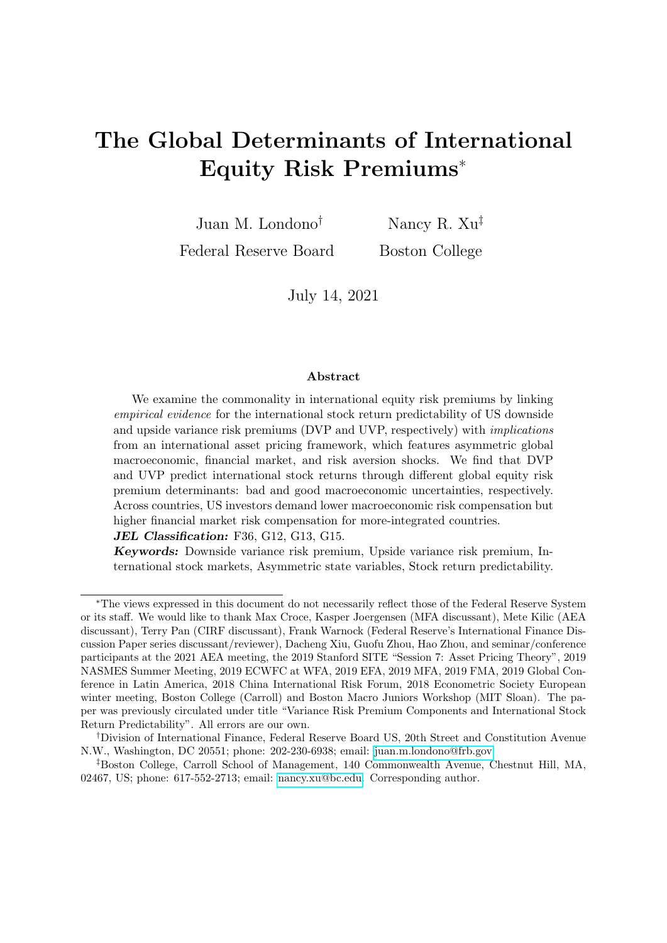positive return realizations, respectively) because returns are endogenously determined, as shown in Equation (11). Therefore, our approach to determine the drivers of downside and upside VPs is entirely empirical, with minimum model assumptions (see Section 3.2).

Finally, the US equity risk premium is given by:

$$
EP_{1,t} \tE_t(r_{t+1}) \trf_1 = f_2 \Sigma + \ln\left[1 \left( \mathbf{m}_2 + 2 \right) \Sigma \right] \ln\left(1 \mathbf{m}_2 \Sigma\right) g(\Omega Y_t + e), \tag{14}
$$

which is determined by second moments of shocks that commonly drive the pricing kernel and asset returns. Similarly, these US second moments also determine the global compensation part of country i's equity risk premium in our framework:

$$
EP_{1,t}^i \t E_t(r_{t+1}^i) \t rf_t^i = f \t \frac{1}{2} \Sigma + \ln[1 \t (m_2 + \frac{1}{2}) \Sigma] \t (15)
$$
  

$$
\ln(1 \t m_2 \Sigma)(\Omega Y_t + e) + \text{Idiosyncratic Part.}
$$

The Gaussian approximation of Equation (14) is  $(m_2\Sigma - 2\Sigma) (\Omega Y_t + e)$ , or  $Cov_t(r_{t+1}, m_{t+1});$ similarly, for other countries, the global part of Equation (15) captures  $Cov_t(r'_{t+1}, m_{t+1})$ . Appendix D provides more details.

In summary, our conceptual framework suggests two important implications for our research objective. First, both the dynamics of US VP and the global part of international equity risk premiums should be driven by the second moments of kernel shocks that enter asset returns, which we refer to as "common risk premium determinants" in the rest of the paper. Second, this commonality implies various stock return predictability channels, which together relate to the observed international predictive coefficients.

### 3.2. Estimation Strategy

We now discuss our estimation strategy to infer the composition and the dynamics of global equity risk premiums in light of the implications from the conceptual framework. There are two stages. We first estimate separate loadings of DVP and UVP on the common risk premium state variables by jointly matching moments of the empirical estimates of DVP and UVP in a GMM system.<sup>7</sup> We consider both constant and timevarying loadings.

The DVP and UVP candidates are denoted by  $vp_t^D$  and  $vp_t^U$ , respectively, given the unknown loading parameter candidates, denoted by W:

$$
\widehat{vp_t^D} = vp_0^D + \left(W_0^{D\prime} + W_1^{D\prime} z_t\right) \left(\Omega Y_t + e\right),
$$
\n
$$
\widehat{vp_t^U} = vp_0^U + \left(W_0^{U\prime} + W_1^{U\prime} z_t\right) \left(\Omega Y_t + e\right),
$$
\n(16)

<sup>&</sup>lt;sup>7</sup>It may be quite natural to consider using simple OLS projections to obtain these separate loadings. However, OLS regressions allow for residuals and do not guarantee dynamic moment matching; in addition, OLS regressions suffer from co-linearity given that, by design, our risk premium state variables comove with each other (e.g., risk aversion loads on growth shocks; see details in Section 4 and Appendix E). Both concerns can be jointly resolved using a GMM framework.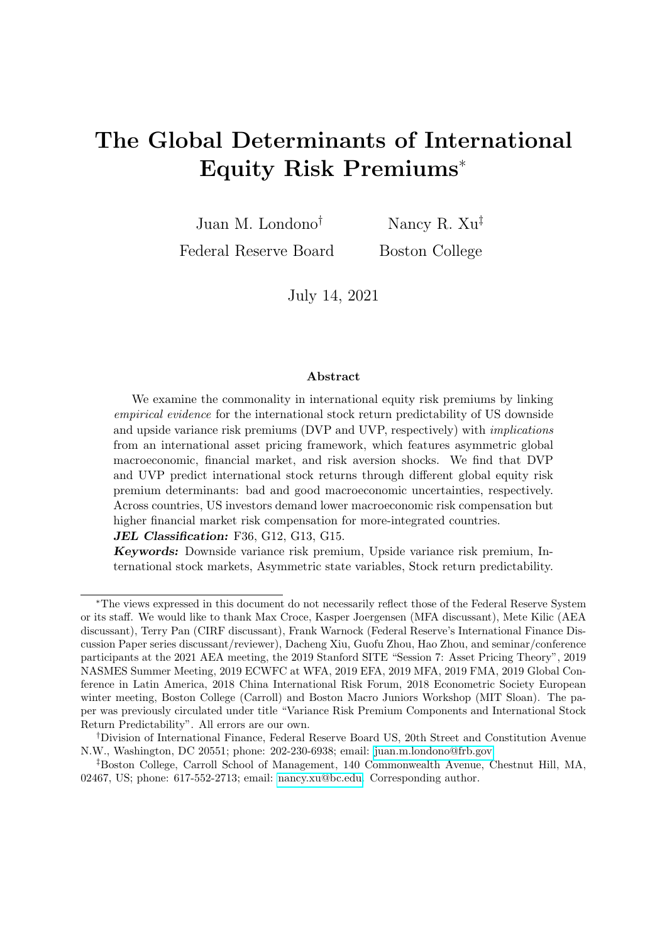where  $\Omega Y_t + e$  denotes estimated shape parameters of the kernel shocks and  $W_0^D$ ,  $W_1^D$ ,  $W_0^U$ , and  $W_1^U$  are all constant matrices. We use the squared real growth innovation as a proxy for  $z_t$  to reflect the general observation that the effects of economic shocks on returns are typically intensified in an uncertain economic environment (for reasons such as learning, as in David and Veronesi (2013), or arbitragers, as in Hong, Kubik, and Fishman (2012)).

As for the equity premiums, from Equations (14) and (15), one-month-ahead country equity risk premiums have a global part that linearly spans the common risk premium state variables. Assuming that common state variables are stationary, the expectation of  $\kappa$ -month-ahead excess returns for country *i*,  $EP^{i}_{;t}$ , should linearly span these state variables. Hence, in the second stage, we consider the following general expression:

$$
\widehat{EP}^I_{;t} = \left(V'_{;0} + V'_{;1}EI^i + V'_{;2}FI^i + V'_{;3}z_t\right)\left(\Omega Y_t + e\right) + \text{Idiosyncratic Part},\tag{17}
$$

where we assume that the country-level loadings are characterized by both economic and financial integration levels,  $EI<sup>i</sup>$  and  $FI<sup>i</sup>$ , respectively, and by current realized variance.  $V,0, V,1, V,2$  and  $V,3$  are all constant matrices and are common for all countries.

We use the average trade-to-GDP ratio (source: World Bank) to capture a country's economic integration (see, e.g., Alesina, Spolaore, and Wacziarg (2000)) and the average total holdings (asset and liability) from country  $i$  to the rest of the world (source: IMF, The Coordinated Portfolio Investment Survey) to capture a country's financial integration (see, e.g., Schularick and Steger  $(2010)$ ).<sup>8</sup> Table 4 presents the country-level integration proxies (in percents) and classifies countries with relatively high (H), medium/average (M), and low (L) integration for demonstration purposes. The two integration proxies are moderately correlated across countries  $(\rho=0.48)$ .

Taken together, the model-implied  $\kappa$ -month predictive coefficients of DVP and UVP for country i's equity risk premium are given by:

$$
\widehat{b^{iD}} \quad \frac{Cov(\widehat{vp_t^D}, \underline{kp^i}_{,t})}{Var(\widehat{vp_t^D})} = \frac{(\mathbf{V}^{i\prime} \mathbf{\Xi} \mathbf{W}^D)}{(\mathbf{W}^{D\prime} \mathbf{\Xi} \mathbf{W}^D)},
$$
\n
$$
\widehat{b^{iU}} \quad \frac{Cov(\widehat{vp_t^U}, \underline{kp^i}_{,t})}{Var(\widehat{vp_t^U})} = \frac{(\mathbf{V}^{i\prime} \mathbf{\Xi} \mathbf{W}^U)}{(\mathbf{W}^{U\prime} \mathbf{\Xi} \mathbf{W}^U)},
$$
\n(18)

where  $V^I$  denotes matrix  $\left[ V{'}_{,0} + V{'}_{,1}EI^i + V{'}_{,2}FI^i \right] V'$ ;3  $\Big]$ <sup> $\int$ </sup>;  $\Xi$  is the variane-covariance matrix of risk premium determinants and risk premium determinants each multiplied by  $z_t$ .  $W^D$ , which denotes matrix  $\begin{bmatrix} W_0^{D} & W_1^{D} \end{bmatrix}$  $\int_{0}^{\ell}$  and  $W^{\mathcal{U}}$ , which denotes matrix  $\begin{bmatrix} W_0^{U} & W_1^{U\prime} \end{bmatrix}$  $\int_{0}^{\infty}$ , are estimated from the first stage (Equation (16)). We estimate unknowns in  $f\vec{V}$ ,  $\vec{V}$ ,  $\vec{V}$ ,  $\vec{V}$ ,  $\vec{V}$ ,  $\vec{V}$ ,  $\vec{S}$  one horizon at a time (for twelve horizons). For each

<sup>8</sup>The data are obtained from Tables 1 and 8 from the Coordinated Portfolio Investment Survey conducted by the International Monetary Fund. The first available year is 2001.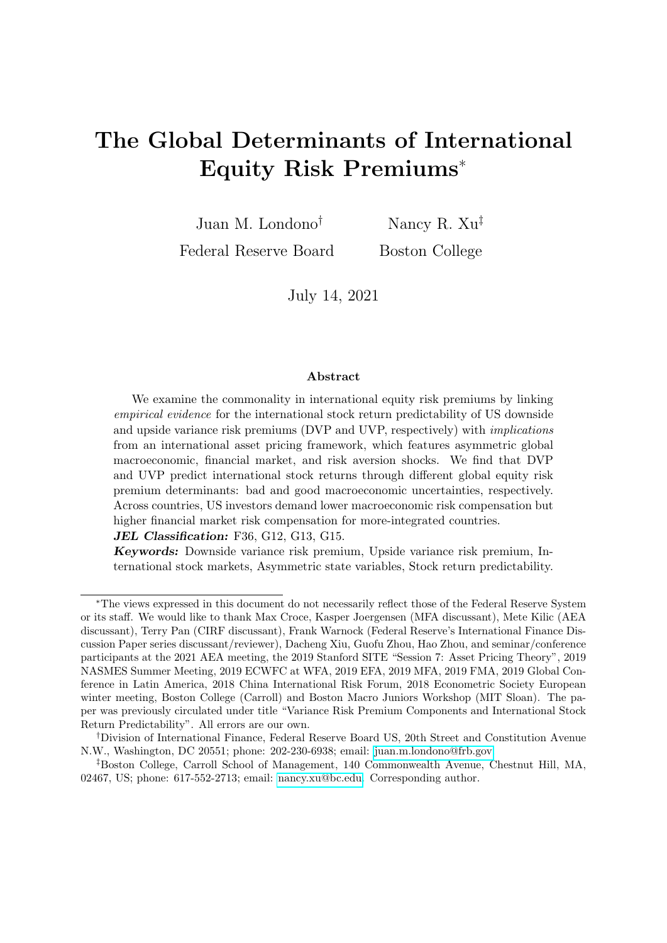horizon  $\kappa$ , the estimation is conducted by minimizing the sum of squared standardized distances between model-implied and empirical country-level predictive coefficients from Section 2.

To implement this estimation strategy, in Section 4, we define and estimate plausible common risk premium determinants,  $\Omega Y_t + e$ , or shape parameters of the kernel shocks. In Section 5, we discuss the estimation results for the composition and the dynamics of global equity risk premiums.

## 4. Common Risk Premium Determinants

We consider three kernel state variables: real economic growth, denoted by  $\theta_t$ ; risk aversion,  $q_t$ ; and stock market illiquidity,  $illiq_t$ . Their second moments should enter the dynamics of US and global risk premiums as common risk premium determinants. As discussed in the introduction, while the literature has examined more equity premium determinants, our research considers kernel state variables that have been used in both the consumption-based and the intermediary-asset-pricing branches of the literature to link equity and variance risk premiums. In this section, we first introduce the dynamic assumptions of the state variables. Then, we discuss the properties of their estimated time series.

### 4.1. The dynamics of state variables

We assume the disturbances of the three kernel state variables to be as follows (see Appendix E for explicit expressions):

$$
\begin{bmatrix}\n\theta_{t+1} & E_t(\theta_{t+1}) \\
q_{t+1} & E_t(q_{t+1}) \\
illiq_{t+1} & E_t(illiq_{t+1})\n\end{bmatrix} = \sum_{m'} m_{r+1},
$$
\n(19)

where  $\Sigma_m$  denotes the shock loading matrix and  $\ell_{m;t+1}$  denotes the orthogonal heteroskedastic shocks,

$$
\Sigma_m = \begin{bmatrix}\n\delta_{\beta} p & \delta_{\beta} n & 0 & 0 & 0 & 0 \\
\delta_{q} p & \delta_{q} n & \delta_{q;q} n & \delta_{q;q} n & 0 & 0 \\
\delta_{i l l i q; p} p & \delta_{i l l i q; n} & \delta_{i l l i q; q h} & \delta_{i l l i q; l l l i q h} & \delta_{i l l i q; i l l i q l}\n\end{bmatrix},
$$
\n
$$
!, m; t+1 = \begin{bmatrix}\n\omega_{p; t+1} & \omega_{n; t+1} & \omega_{q h; t+1} & \omega_{q l; t+1} & \omega_{i l l i q h; t+1} & \omega_{i l l i q l; t+1}\n\end{bmatrix}^{\theta}.
$$

We allow flexible tail behaviors of the state variables, given that their second (and higher-order) moments constitute the common risk premium determinants. Specifically,  $\omega_{p:t+1}$ , 1)  $\theta p_t$  and  $\omega_{n;t+1}$   $\Gamma(\theta n_t, 1)$   $\theta n_t$  denote the good and bad macro shocks with time-varying shape parameters  $\theta p_t$  and  $\theta n_t$ , respectively, that characterize the right and left tail behaviors of the real economic growth. Similarly,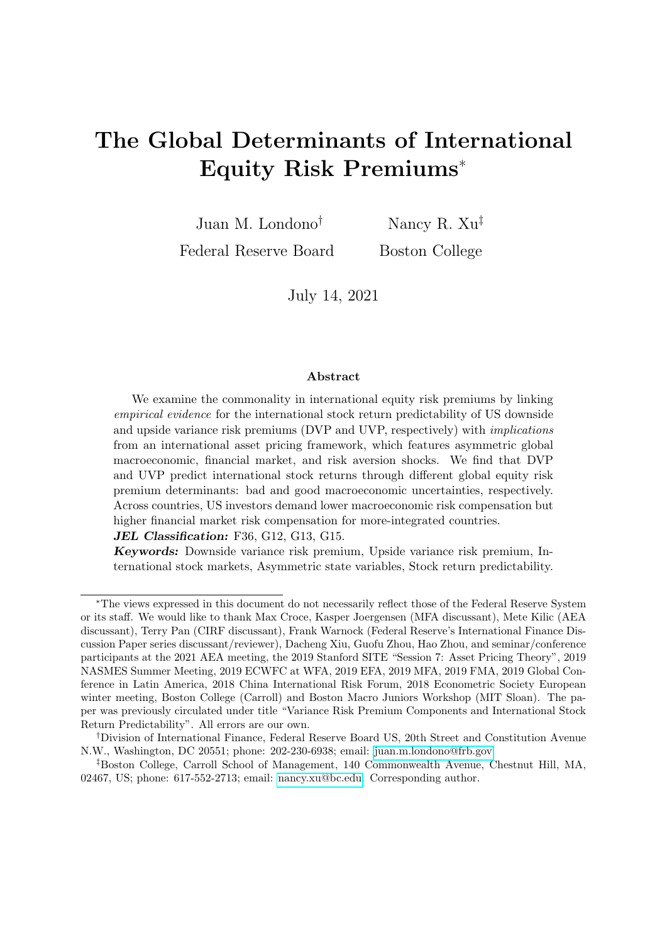$\omega_{q h; t+1}$   $\Gamma(q h_t, 1)$   $q h_t$  and  $\omega_{q l; t+1}$  $\Gamma(\overline{ql}, 1)$   $\overline{ql}$  denote the high and low risk aversion shocks, and  $\omega_{\text{illish}:t+1}$ , 1) *illigh<sub>t</sub>* and  $\omega_{i\ell}$ <sub>illight+1</sub>  $\Gamma(i l l i q l_t, 1)$  *illight* denote the high and low illiquidity shocks. Shocks are mutually independent and follow centered gamma distributions with time-varying shape parameters, except that, for simplicity, we characterize the low risk aversion fluctuation as homoskedastic (i.e.,  $ql$ ). This assumption is to capture the possibility that most of the heteroskedasticity in investor risk aversion is driven by high risk aversion events. Given the moment generating function of gamma shocks, the shape parameters govern the second and higher-order moments of these shocks.<sup>9</sup> We assume simple  $AR(1)$  processes for these shape parameters; that is,  $\partial x \supseteq \bigg[\theta p \quad \theta n \quad qh \quad illiqh \quad illiql\bigg],$ 

$$
x_{t+1} = \mu_X + \rho_X x_t + \sigma_X \omega_{X_t + 1}.
$$
\n(20)

Economically, this dynamic framework assumes non-zero correlations between level and second (or higher-order) moment shocks, which is consistent with empirical evidence. For instance, consistent with Adrian, Boyarchenko, and Giannone (2019) and Bekaert and Popov (2019), when growth spurts are observed this period (a large  $\omega_{p,t}$ realization), we might expect a higher chance for future growth spurts (a higher  $\theta p_t$ from the equation above given  $\sigma_p > 0$ ). Also, consistent with Colacito, Ghysels, Meng, and Siwasarit (2016), time-varying growth skewness, which is effectively captured by the combination of  $\theta p_t$  and  $\theta n_t$ , is a potentially important determinant of the equity risk premium. Moreover, it can be shown that the conditional variance of the relative risk aversion state variable (inverse surplus consumption ratio) in Campbell and Cochrane (1999)-type models comoves positively with the the relative risk aversion state variable, suggesting a potentially positive relationship between risk aversion level and volatility (see Xu (2021) for a detailed proof). Therefore, the use of gamma shocks is suitable for our research as it efficiently summarizes conditional moments with one state variable, which allows us to focus on comparing across the different categories of common risk premium determinants.

Finally, as illustrated in the loading matrix  $\Sigma_m$ , we allow business cycle (growth) shocks to enter both risk aversion and stock market illiquidity dynamics. We also allow market illiquidity to change with investor risk aversion shocks that are orthogonal to business cycle shocks, given recent empirical evidence that stock market liquidity and risk aversion appear positively associated (see, e.g., ECB (2007)).

<sup>&</sup>lt;sup>9</sup>For instance, the conditional variance and (unscaled) skewness of the economic growth,  $\delta_{\frac{1}{2}}\rho\theta p_{t+1}$  $\delta$ ;  $n\theta n_{t+1}$ , can be derived in closed form as a function of two shape parameters; for instance,  $Var_t(\theta_{t+1}) = \sigma^2 \frac{\partial}{\partial p_t} + \sigma^2 \frac{\partial}{\partial p_t}$ ,  $Skew_t(\theta_{t+1}) = 2\sigma^3 \frac{\partial}{\partial p_t} - 2\sigma^3 \frac{\partial}{\partial p_t}$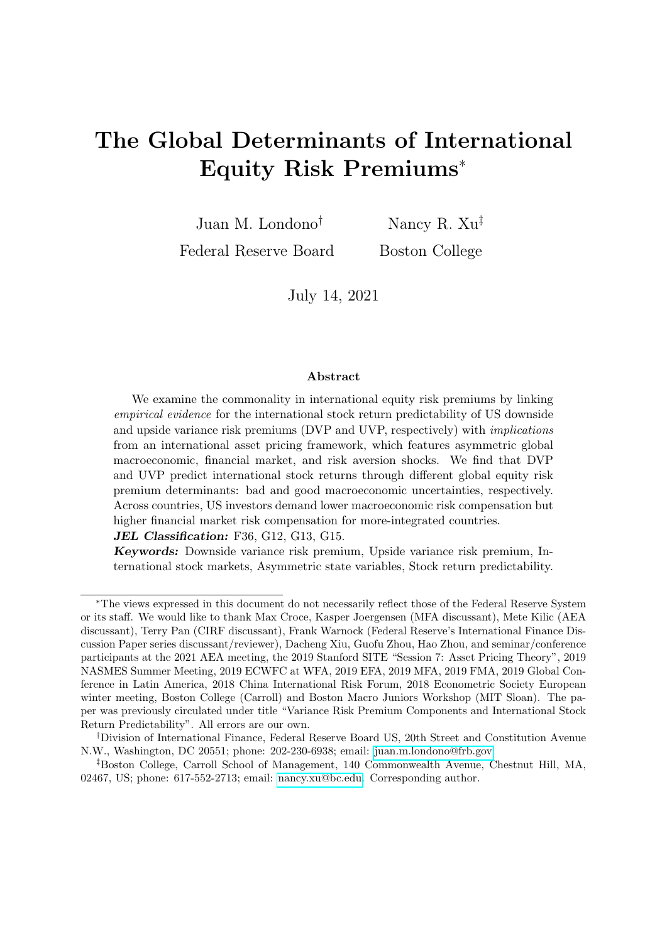#### 4.2. Data and estimation

We follow the empirical macro literature (e.g., Jurado, Ludvigson, and Ng  $(2015)$ ) and use the change in the log US industrial production as the empirical proxy for economic growth  $\theta_t$ . Our data runs from January 1947 to December 2019 and is obtained from FRED. We use Bates (2006)'s approximate MLE methodology to estimate non-Gaussian fundamental shocks ( $\omega_{p,t}$ ,  $\omega_{n,t}$ ) and uncertainty state variables  $(\theta p_t, \theta n_t)$ .

We then filter the risk aversion state variable and shocks from the variable estimated in Bekaert, Engstrom, and Xu (forthcoming). Although measuring market-wide risk aversion is an ongoing debate, the Bekaert, Engstrom, and Xu (forthcoming) measure is potentially more suitable for our framework, given that it is filtered from a wide range of financial and risk variables while being consistent with equilibrium conditions and controlling for fundamental variable dynamics.<sup>10</sup> The longest available sample for risk aversion starts in June of 1986.

Finally, we follow Amihud (2002) to construct the stock market illiquidity measure  $(illiq<sub>t</sub>)$  using asset returns and volume data of the largest 500 stocks each month from the CRSP NYSE/AMEX/NASDAQ universe, and then we filter our illiquidity state variables and shocks from January 1985 to December 2019.

#### 4.3. Results

Table 5 shows standard summary statistics of the five time-varying risk premium determinants and Figure 5 shows their estimated dynamics during our sample period. Detailed parameter estimates and long-sample time series plots are deferred to Appendix E. We now discuss several key observations about the five common risk premium determinants. First, given that a lower shape parameter indicates a more skewed gamma distribution, the evidence from Table 5 implies that there is a higher chance of extreme values from the left tail of the real growth rate than from its right tail; moreover,  $\theta p_t(\theta n_t)$ is procyclical (countercyclical) given the significant negative (positive) correlation with the NBER recession indicator. According to the first two plots of Figure 5, both good and bad uncertainty state variables are quite persistent. While  $\theta p_t$  comoves mostly with the cyclical ups and downs,  $\theta n_t$  captures excessively bad uncertainty events to industrial production, such as the impacts of Hurricane Katrina (September of 2005), the collapse of Lehman Brothers (October of 2008), and the US-China trade war (summer of 2018). The bad uncertainty contributes 67% (more during recessions) to the total conditional

<sup>&</sup>lt;sup>10</sup>In contrast, Campbell and Cochrane (1999)'s risk aversion would not be suitable for our research, as the measure is constructed as past quarterly consumption growth (Wachter (2006)), which is a fundamental variable. Miranda-Agrippino and Rey (2020) also provide a risk aversion measure, which is the residual of regressing their Global Financial Cycle series on current MSCI world realized return variance. Their measure is also not suitable for our research because it uses price series from all geographical areas, while we focus on developed markets and a US perspective.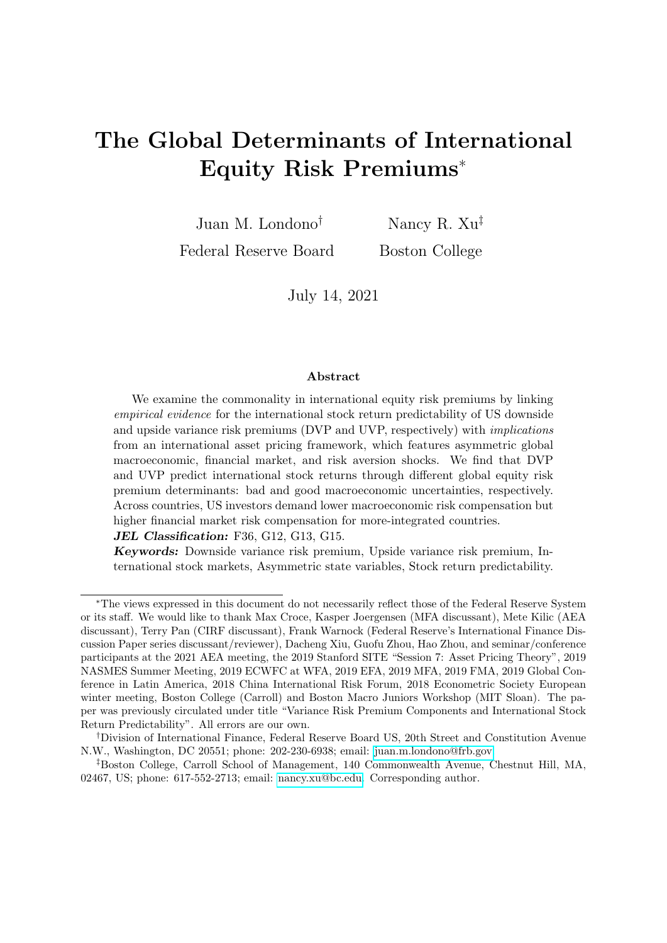variance of economic growth.

Second, the risk aversion state variable  $q h_t$  captures the variability in the risk aversion shock that is cleansed from macroeconomic shocks. The estimated  $q h_t$  process is strictly countercyclical and positively skewed, exhibiting moderate monthly persistence. The time series plot shows that risk aversion variability could also significantly spike in non-recession episodes such as 9/11 and several corporate scandals during the 2000s. To explain the total risk aversion variability, we find that macroeconomic shocks account for about 15% of this variability.

Third, Amihud (2002)'s illiquidity measure is typically found to be quite persistent; during our sample period, we document a persistent coefficient of 0.95. Table 5 shows that the high stock market illiquidity uncertainty,  $illiqh_t$ , is weakly countercyclical, while the expected liquidity shock fluctuation,  $illiql_t$ , is acyclical, suggesting that these two state variables may be capturing a financial cycle that is orthogonal to the business cycle. From Figure 5,  $illiql_t$  appears more stable than  $illiqh_t$ , capturing an asymmetry that is consistent with Amihud (2019). Finally, we find that 73% of the total stock market illiquidity variability is explained by illiquidity uncertainties (mostly  $illiqh_t$ ) and 26% by risk aversion, rendering a weak macroeconomic effect through stock market illiquidity state variables.

### 5. Economic Interpretations

In this section, we bring the empirical evidence and conceptual framework together to understand the sources of the commonality in international equity risk premiums. Section 5.1 provides more estimation details; Section 5.2 examines the model fit; and Section 5.3 presents the results.

#### 5.1. Estimation

For the first stage estimation of the GMM (Section 3.2), we use the empirical estimates of the VP components from Section 2 to generate orthogonality conditions: mean, variance, scaled skewness, scaled kurtosis of DVP and UVP (8 moments), the covariance between DVP and UVP (1), and the fraction of the DVP in total VP (1). Each raw moment condition is then tensor-multiplied with a set of lagged instruments  $f_1, \theta_{t-1}, q_{t-1}, illiq_{t-1}$ . The GMM system has 40 moments and 22 unknowns and is estimated iteratively. Then, for each horizon, the second stage estimation uses the first-stage VP parameter estimates and 44 international predictive coefficients (22  $\widehat{b^{l/D}}$ 's and 22  $\widehat{b^{l,U}}$ 's) to obtain the optimal loadings (20 unknowns in  $V$ 's) of the common part of international equity risk premiums on the pre-determined premium state variables. We use a grid of 10,000 initial value combinations in each estimation.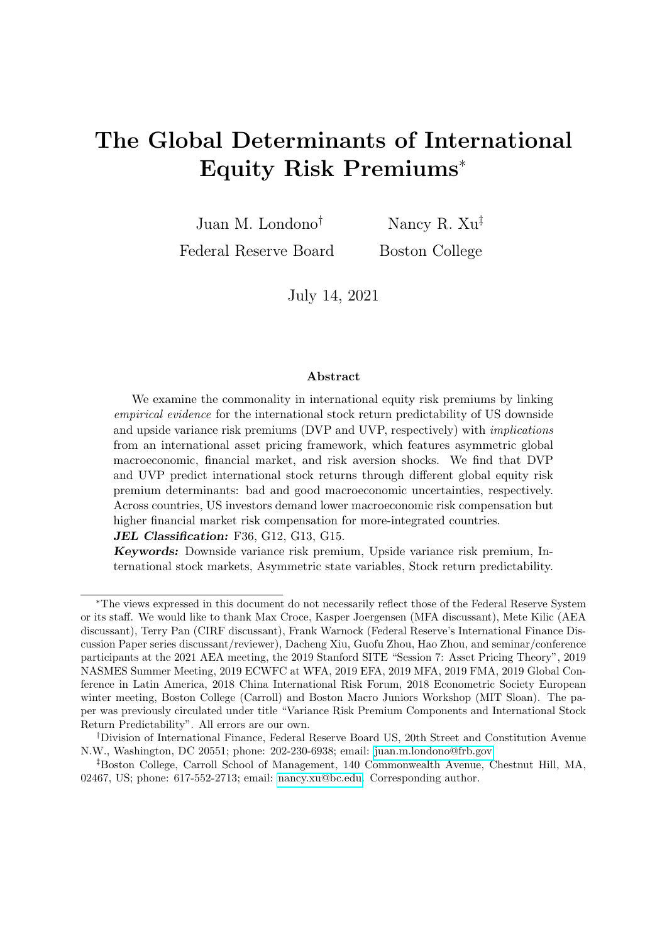#### 5.2. Model fit

Table 6 presents the moment matching results and test specifications of the GMM system for the dynamics of the VP components with time-varying or constant loadings. The constant-loading model is rejected, according to the Hansen J overidentification test statistic value and its poor moment matching. On the other hand, we fail to reject the null hypothesis that the extra moments in the time-varying loading model are valid; all moments are significantly close to their empirical counterparts. On the dynamic fit of DVP and UVP, Figure 6 shows that our model-implied DVP and UVP estimates from the time-varying loading model (solid lines) are highly correlated with their empirical counterparts (dashed lines) at a coefficient of 0.88 and 0.48, respectively. In contrast, the DVP and UVP estimates implied from the constant-loading model (dotted lines) show weaker correlations with empirical estimates at 0.74 and 0.16, respectively. In the remainder of the paper, we focus on the time-varying loading model for the VP components.

Table 7 illustrates the fit of international predictive coefficient estimates of DVP and UVP by evaluating the fit of model-implied mean, median, and standard deviation of the country predictive coefficients at each horizon. From Panel A, the model fits the level and the cross-country dispersion of the DVP predictive coefficients quite well. Most model moments are within the 1.96 standard deviations of the empirical counterparts. If we only consider horizons when most countries' DVP predictive coefficients are significant in the empirical evidence (i.e., horizon between two and seven months), all model moments are statistically close to their empirical counterparts. From Panel B, the modelimplied level and cross-country dispersion of UVP predictive coefficients are statistically close to their empirical counterparts, except for the dispersion statistics at the 3- and 4-month horizons. In general, our evidence suggests that the integration measures, as conjectured in Equation (17), have the potential to explain the cross-country dispersion in the predictive coefficients. This evidence is, to the best of our knowledge, new to the literature.

Finally, we discuss two other observations from Table 7 that are consistent with the empirical evidence. First, both the mean and the median of country predictive coefficients for the 22 countries are statistically close to the panel-data estimates (in Table 3), and to each other, suggesting that there is no major skewness in the cross section of country predictive coefficients. Second, there is more cross-country heterogeneity in predictability at shorter horizons. If integration remains relatively constant for most countries in our sample, predictability likely means that common risk premium determinants that are more economically important should be those that relate more closely to the economic or financial integration channels. The fact that predictability heterogeneity is stronger at shorter horizons indicates that such common risk premium determinants are also more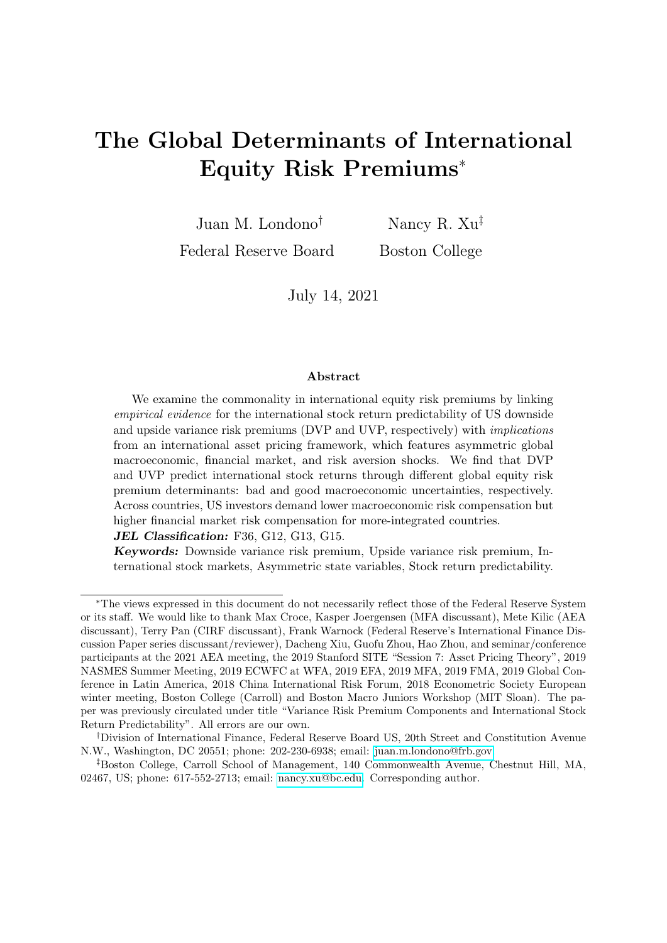dominant at shorter horizons. This observation further supports our use of cross-country predictability evidence to understand the dynamics and determinants of global risk premium.

### 5.3. Economic interpretations

We now discuss economic interpretations of  $(1)$  the dynamics of the VP components, (2) their stock return predictability in an "average" country, which speaks to our globalor panel-level interpretations, and (3) their stock return predictability in countries with low/high economic and financial integration levels, which speaks to our cross-country interpretations.

#### 5.3.1. The dynamics of the VP components

Table 8 presents the estimation results of the parameters from Equation (16) and the variance contribution of each premium state variable (see rows "VARC $\%$ ").<sup>11</sup> From this table, DVP loads strongly and positively on variations in risk aversion that are not explained by business cycle fluctuations. According to the variance decomposition results,  $q h_t$  accounts for most of the explained dynamics of DVP—62.49%, of which, 10.29% is explained by the time-varying component of the coefficient. This evidence suggests that DVP increases with risk aversion more strongly when the current market and business cycle condition is volatile, given the significant and positive  $w_{qh,1}^D$  estimate. The bad economic uncertainty,  $\theta n_t$ , captures about 30% of the explained DVP dynamics. Different from risk aversion, bad uncertainty may exhibit slightly lower explanatory power in the DVP dynamics when the current business condition is volatile. Finally, the state variable capturing the right-tail fluctuations in stock market illiquidity,  $illiqh_t$ , appears to contribute positively to the DVP dynamics only during volatile periods; the corresponding VARC of around 9 is economically sizable.

Table 9 provides the economic magnitudes of these VP loadings at various values of the current economic condition characterized by the realized variance of economic growth,  $z_t$ . Because  $z_t$  is right skewed and is always greater than 0, we calibrate several useful scenarios when  $z_t$  equals the mean, 90th, 95th, and 99th percentile of its distribution. We find that, under normal conditions  $(z<sub>t</sub>$  at mean), one standard deviation (SD) increase in risk aversion is associated with the largest increase in DVP (around 9 monthly percentage squared), while bad uncertainty shows the second largest increase (around 6); both observations are consistent with the evidence in Table 8. Under more extreme economic conditions, one SD high illiquidity uncertainty corresponds to an increase of 9.9 monthly

<sup>&</sup>lt;sup>11</sup>The variance contribution is calculated as  $\frac{x \cos(x_i;\hat{y}_i)}{\hat{y}_i}$  100%, where  $x_t$  denotes an explanatory variable,  $\beta_{\mathbf{x}}$  the corresponding loading, and  $\hat{y}_t$  the total explained dependent variable.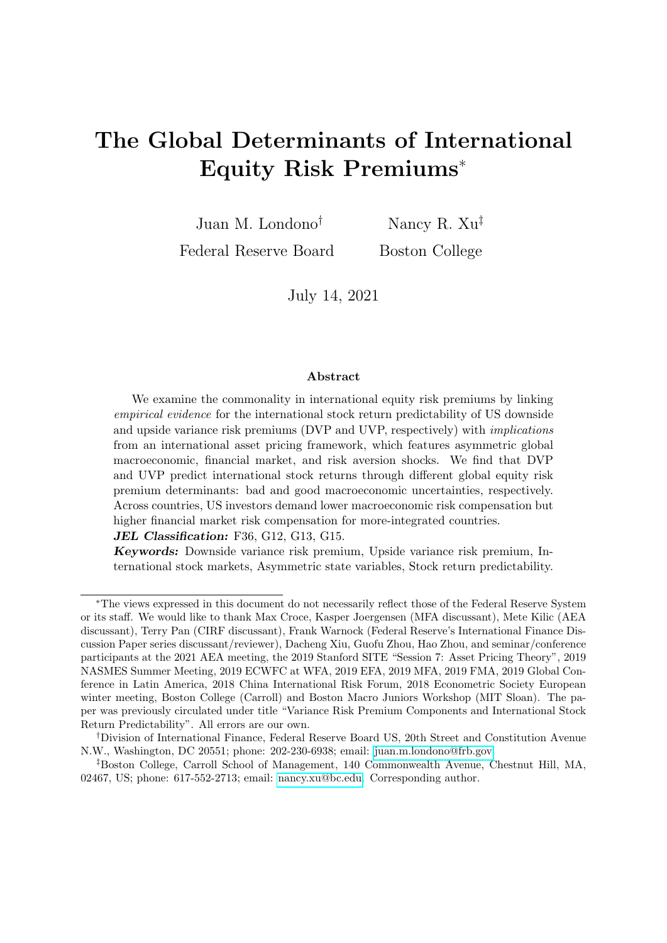percentage squared in DVP, which is comparable in magnitude to the marginal impact of one SD risk aversion, 11.3.

Under normal conditions, good economic uncertainty, risk aversion, and fluctuations in stock market liquidity all contribute positively to the variability of UVP. Our evidence suggests that UVP increases with the procyclical good economic uncertainty through the hedging demand of upside volatility risk; in addition, UVP also increases with the *countercyclical* risk aversion and market illiquidity risk through the general risk compensation intuition (i.e., higher compensation demanded when risk aversion or financial market risk increases). These counteracting drivers explain the procyclical and relatively less persistent UVP dynamics, as documented in Section 2.2.

Interestingly, the positive relation between good uncertainty and UVP is quite sensitive to the current economic condition. During extremely volatile months when  $z_t$  is high, good economic uncertainty contributes less positively to UVP, leading to sudden drops in the UVP level (such as the one in October 2008). This is formally captured by the negative  $w_{p,1}^U$  coefficient estimate (Table 8) and the decreasing UVP loading on  $\theta p_i$ as  $z_t$  increases (Table 9). One possible explanation is that an economic fallout leads to less demand to hedge against future upside variance risk.

#### 5.3.2. International stock return predictability: A Global View

While the dynamic fitting of the VP components improves by allowing for timevarying loadings, we find little evidence that  $z_t$  plays an economically important role in determining international equity risk premiums at the horizons of interests — the  $V_{3}$ coefficient estimates in Equation  $(17)$  are economically small.<sup>12</sup> Hence, we discuss our results using the mean value of  $z_t$ , and relegate the results using  $z_t$  equal to  $min(z_t)$  or  $max(z_t)$  to Appendix F.

Figure 7-(A) shows the model-implied changes in an average country's equity risk premium (EP, in annualized percent) given one SD increase in a common risk premium state variable. For horizons up to 7 months, where we center the attention, the three main common risk premium sources – US economic uncertainty, risk aversion, and illiquidity uncertainty – contribute positively to the average country's equity risk premium. Moreover, the sensitivities of global equity risk premiums to these premium state variables change with the horizon. Both good and bad economic uncertainties contribute positively to the global equity risk premium. Furthermore, we find that the positive ef-

<sup>&</sup>lt;sup>12</sup>Analytically, according to Equations (13) and (14), kernel and return sensitivities to shocks  $(m_2's)$ and  $\xi_2$ 's, respectively) determine both the VP and EP loadings. A linear approximation to the VP (EP) loading is 2 (  $_2\Sigma$ )<sup>2</sup>  $m_2\Sigma$  (  $m_2\Sigma$   $_2\Sigma$ ). Suppose kernel and return sensitivities double; it can be easily shown that the VP loadings would increase much more than that the EP loadings. Economically, while stock and volatility pricing may reflect similar risk factors (and hence VP exhibits predictability), VP is not the appropriate direct proxy for EP as the underlying asset is more non-linear (by design) in VP.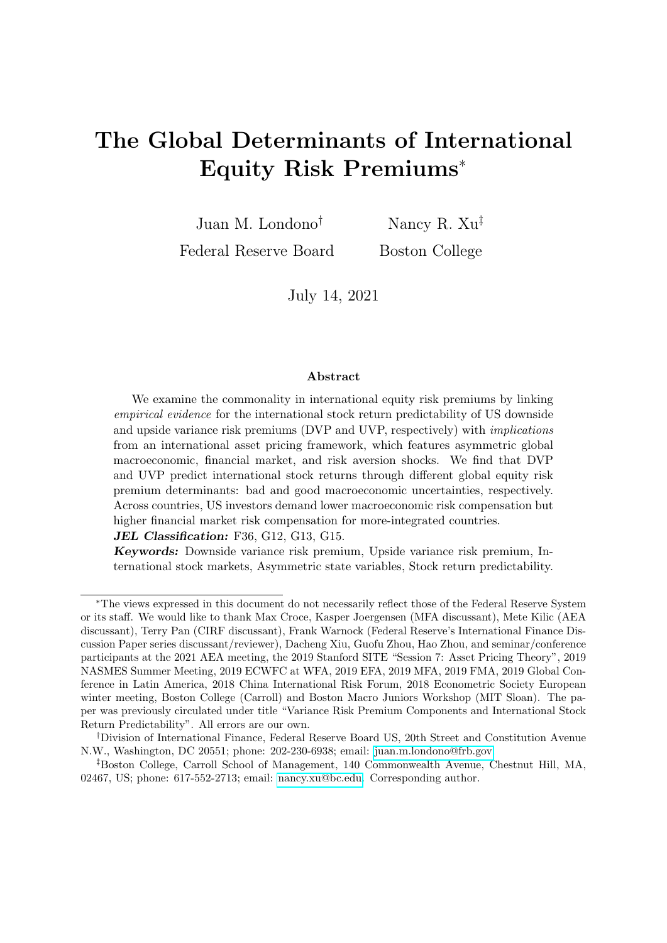fect of bad economic uncertainty,  $\theta n_t$ , can vary across horizons and becomes dominant in contributing to the global equity risk premium at horizons equal or longer than 4 months.

In contrast, risk aversion and illiquidity uncertainty have stable and positive effects for all horizons; one SD risk aversion,  $q h_t$ , or high illiquidity uncertainty,  $illiq h_t$ , leads to between two and three annualized percent increases in the global equity risk premium. These results suggest that economic risk compensations may be more crucial at short horizons. To directly demonstrate this point, Figure 8 depicts the variance decomposition of the model-implied global equity risk compensation at various horizons (see solid lines denoted as "MM" for the global-level view for calibrations with median EI and median  $FI$ , and shows that economic uncertainty explains about 70-80% at horizons under 7 months.

We next illustrate the relative importance of the premium state variables in explaining the predictive coefficients of the VP components. We use a Jackknife exercise. Specifically, we replace the equity premium loading on a particular premium state variable with 0 and recompute the implied predictive coefficient. As a result, the lower the implied coefficient is, the more important the state variable is in explaining the predictability.

Figure 7-(B) depicts the implied coefficients focusing on horizons with significant predictability in our empirical evidence. The top plot shows that the DVP predictive coefficient decreases the most after deleting the bad economic uncertainty channel,  $\theta n_t$ , or the risk aversion channel,  $q h_t$ ; between the two,  $\theta n_t$  dominates. While  $q h_t$  dominates  $\theta n_t$  in explaining the variability of DVP, we find that DVP predicts international stock excess returns mostly through the bad economic risk compensation channel. In addition, the bottom plot shows that the good economic uncertainty channel is potentially crucial for explaining the pattern and magnitude of the international predictability of UVP.

Observations from Figure 7-(B) are not immediately intuitive. The variance risk premium predictability literature typically uses an equilibrium framework with one particular risk premium state variable to rationalize its asset pricing channel (see Zhou (2018) for a summary). However, our contribution is to use a relatively flexible framework and horse race these channels such that they jointly explain the predictability patterns, among VP components and across countries.

As a validation exercise, Figure 9 depicts the model-implied global equity risk compensation demanded by the US/global investor at 3-, 6-, and 12-month horizons. The first observation is that the model-implied global risk compensations at various horizons are all generally countercyclical, which is consistent with the literature. Second, on average, the global risk compensation is smaller at longer horizons (see the dotted line), which suggests a downward-sloping term structure of common global risk compensation in international equity markets, adding to the recent discussions considering the US equity market only (see e.g. Boguth, Carlson, Fisher, and Simutin (2011), Van Binsbergen, Brandt, and Koijen (2012), Van Binsbergen, Hueskes, Koijen, and Vrugt (2013),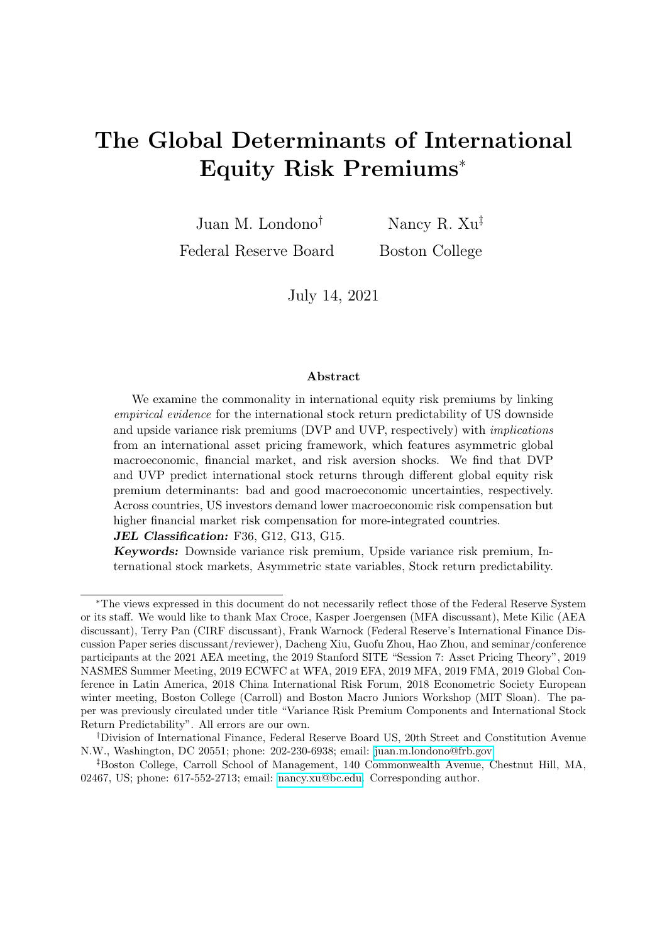Croce, Lettau, and Ludvigson (2015)). Third, the short-term global risk compensation appears to be particularly higher than the long-term counterpart during high economic uncertainty periods; for instance, the good uncertainty spikes of 1998 and the bad uncertainty spikes of 2007-2008. This finding is consistent with Figure 7, where we show that economic uncertainties may be more important risk premium determinants at short horizons, while risk aversion and financial market uncertainty likely determine the whole term structure.

#### 5.3.3. International stock return predictability: A Cross-Country View

We complement our average country analysis and calibrate the results considering country groups with low and high integration. Specifically, we consider four country groups with low/high economic and financial integration, where "low" ("high") uses the 33th (67th) value of the cross-country integration level (see Table 4).

Figure 10 demonstrates that US/global investors demand a lower global economic risk compensation but a higher global financial market risk compensation for countries with higher integration (especially financial integration). The former result is potentially consistent with the international risk sharing story where global investors demand a lower risk compensation given a lower cost of capital, greater firm and fundamental investment opportunities, and higher expected growth (Bekaert and Harvey (2003); Carrieri, Errunza, and Hogan (2007)); the latter result is potentially consistent with the increasing chance of higher global systemic risk exposure that cannot be diversified away. Moreover, the relative importance of market-wide risk aversion is also slightly higher for countries with higher integration. Note that, while the two integration measures are able to generate a realistic cross-section of predictive coefficients (see Table 7), these integration measures are also moderately correlated at 0.48, which suggests that distinguishing the effects of the two integration types is challenging.

Figure 11 conducts similar Jackknife exercises for these four country groups. Panel (A) shows that the high (low) integration country return predictability is mainly through the financial market risk aversion (economic uncertainty) channel, as the bar size drops more significantly after deleting this channel. This result is consistent with Figure 10. As similarly seen in the average country analysis, Panel (B) illustrates a significant role of good uncertainty in explaining the predictability of UVP, which is even more salient for low integration countries.

## 6. Conclusion

Understanding the commonality in international equity risk premiums and the transmission of global risks across international financial markets remains an open de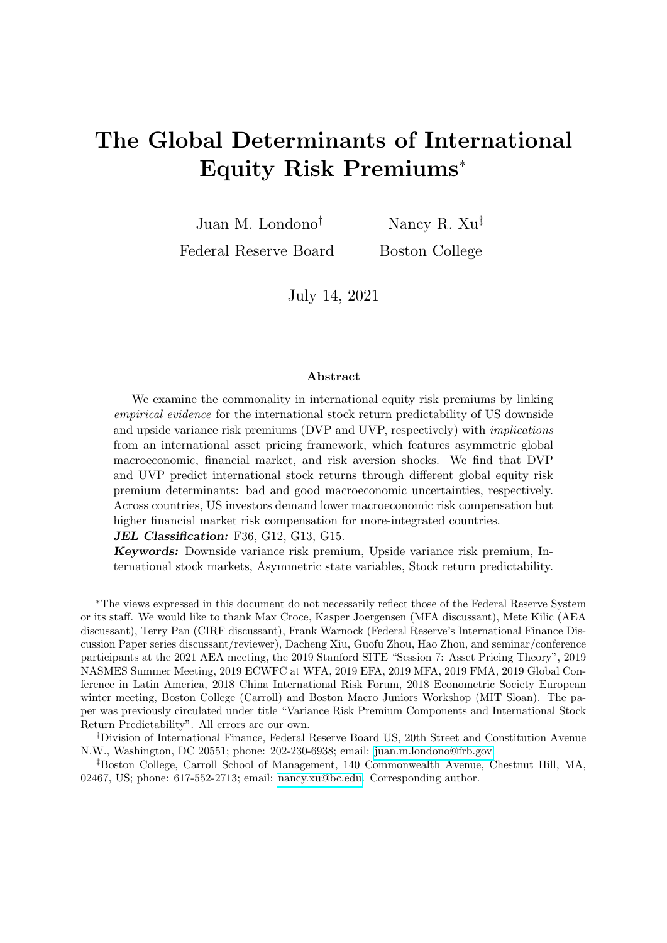bate in the literature. In this paper, we add to this debate by using a novel approach in which we link empirical evidence for the international stock return predictability of US downside and upside variance risk premiums with the implications of an asset pricing framework using data for 22 countries from 1991 to 2019.

We find that the international predictability patterns of DVP (positive and countercyclical) and UVP (smaller in magnitude and procyclical) are considerably different, with DVP being a robust mid-horizon  $(4-7 \text{ month})$  predictor and UVP a short-horizon (1-3 month) predictor. We link these results to the implications of a conceptual asset pricing framework that takes the perspective of a US/global investor and features heteroskedastic and asymmetric US macroeconomic, financial market (illiquidity), and risk aversion shocks. The main intuition from the model solution is that international stock return predictability should be determined by common economic determinants of the VP components and global equity risk compensations. We find that DVP and UVP predict international stock returns through different common risk premium determinants, mainly bad and good US macroeconomic uncertainties, respectively. At the country level, our results also suggest that US/global investors demand a lower global macroeconomic risk compensation but a higher global pure financial market risk compensation for countries with higher integration.

Our approach of linking international predictability evidence with an asset pricing framework allows us to use more information to infer the global nature of risk compensations across time, across horizons, and across countries. This methodology should naturally inspire several extensions of our work, including examining whether global risk premium determinants transmit through local-currency equity risk pricing or through exchange rate channels, involving other international finance puzzles similar to the work in Colacito and Croce (2010) and Colacito, Croce, Gavazzoni, and Ready (2018). Moreover, future work should integrate our findings to existing general equilibrium models with an international perspective.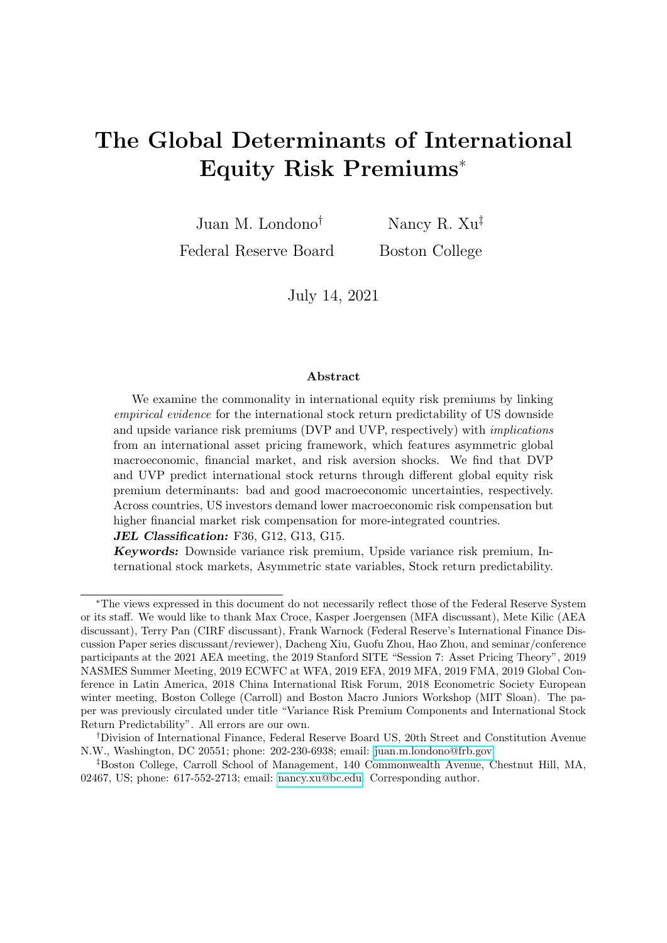## References

- Adrian, T., Boyarchenko, N., Giannone, D., 2019. Vulnerable growth. American Economic Review 109, 1263–89.
- Aldasoro, I., Avdjiev, S., Borio, C. E., Disyatat, P., 2020. Global and domestic financial cycles: variations on a theme .
- Alesina, A., Spolaore, E., Wacziarg, R., 2000. Economic integration and political disintegration. American Economic Review 90, 1276–1296.
- Amihud, Y., 2002. Illiquidity and stock returns: cross-section and time-series effects. Journal of financial markets 5, 31–56.
- Amihud, Y., 2019. Illiquidity and stock returns: A revisit. Critical Finance Review 8, 203–221.
- Andersen, T. G., Bondarenko, O., 2009. Dissecting the market pricing of return volatility. Working paper .
- Avdjiev, S., Gambacorta, L., Goldberg, L. S., Schiaffi, S., 2020. The shifting drivers of global liquidity. Journal of International Economics 125, 103324.
- Bates, D. S., 2006. Maximum likelihood estimation of latent affine processes. The Review of Financial Studies 19, 909–965.
- Bekaert, G., Engstrom, E., 2017. Asset return dynamics under habits and bad environment–good environment fundamentals. Journal of Political Economy 125, 713–760.
- Bekaert, G., Engstrom, E., Xing, Y., 2009. Risk, uncertainty, and asset prices. Journal of Financial Economics 91, 59–82.
- Bekaert, G., Engstrom, E., Xu, N. R., forthcoming. The time variation in risk appetite and uncertainty. Management Science .
- Bekaert, G., Harvey, C. R., 2003. Emerging markets finance. Journal of Empirical Finance 10, 3–55.
- Bekaert, G., Harvey, C. R., Kiguel, A., Wang, X., 2016. Globalization and asset returns. The annual review of financial eocnomics 8, 221–288.
- Bekaert, G., Hoerova, M., 2014. The vix, the variance premium and stock market volatility. Journal of Econometrics 183, 181–192.
- Bekaert, G., Hoerova, M., Xu, N. R., 2020. Risk, monetary policy and asset prices in a global world. Available at SSRN 3599583 .
- Bekaert, G., Popov, A., 2019. On the link between the volatility and skewness of growth. IMF Economic Review 67, 746–790.
- Boguth, O., Carlson, M., Fisher, A., Simutin, M., 2011. Dividend strips and the term structure of equity risk premia: A case study of the limits of arbitrage. Unpublished Paper, University of British Columbia, Sauder School of Business .
- Bollerslev, T., Marrone, J., Xu, L., Zhou, H., 2014. Stock return predictability and variance risk premia: statistical inference and international evidence. Journal of Financial and Quantitative Analysis 49, 633–661.
- Bollerslev, T., Tauchen, G., Zhou, H., 2009. Expected stock returns and variance risk premia. The Review of Financial Studies 22, 4463–4492.
- Bonciani, D., Ricci, M., 2020. The international effects of global financial uncertainty shocks. Journal of International Money and Finance 109, 102236.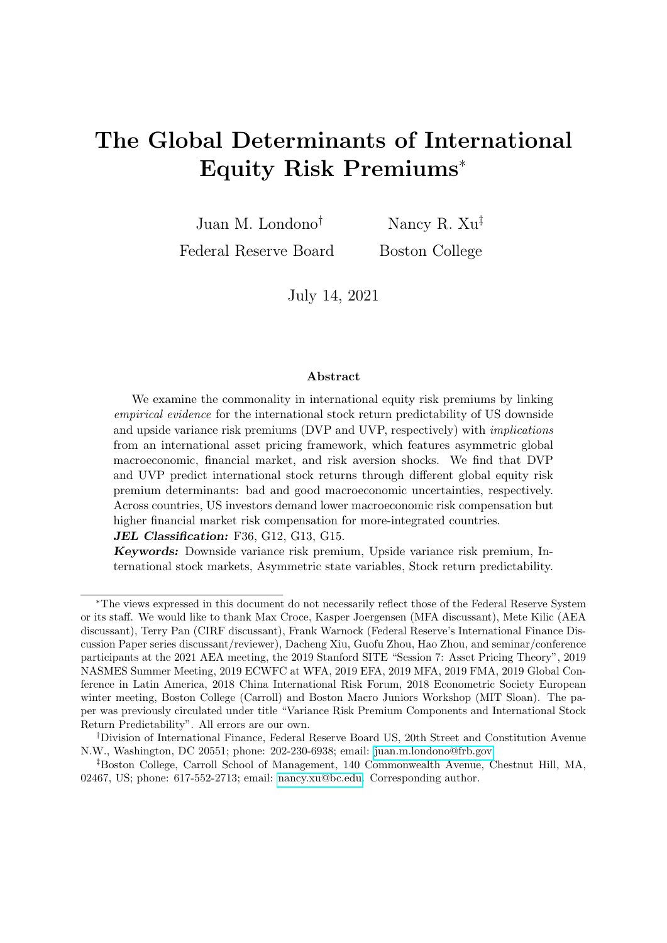- Britten-Jones, M., Neuberger, A., 2000. Option prices, implied price processes, and stochastic volatility. The Journal of Finance 55, 839–866.
- Campbell, J. Y., Cochrane, J. H., 1999. By force of habit: A consumption-based explanation of aggregate stock market behavior. Journal of political Economy 107, 205–251.
- Carrieri, F., Errunza, V., Hogan, K., 2007. Characterizing world market integration through time. Journal of Financial and Quantitative Analysis pp. 915–940.
- Colacito, R., Croce, M. M., 2010. The short and long run benefits of financial integration. American Economic Review 100, 527–31.
- Colacito, R., Croce, M. M., Gavazzoni, F., Ready, R., 2018. Currency risk factors in a recursive multicountry economy. The Journal of Finance 73, 2719–2756.
- Colacito, R., Ghysels, E., Meng, J., Siwasarit, W., 2016. Skewness in expected macro fundamentals and the predictability of equity returns: Evidence and theory. The Review of Financial Studies 29, 2069–2109.
- Corsi, F., 2009. A simple approximate long-memory model of realized volatility. Journal of Financial Econometrics 7, 174–196.
- Croce, M. M., Lettau, M., Ludvigson, S. C., 2015. Investor information, long-run risk, and the term structure of equity. The Review of Financial Studies 28, 706–742.
- David, A., Veronesi, P., 2013. What ties return volatilities to price valuations and fundamentals? Journal of Political Economy 121, 682–746.
- De Groot, O., 2015. Solving asset pricing models with stochastic volatility. Journal of Economic Dynamics and Control 52, 308–321.
- Drechsler, I., 2013. Uncertainty, time-varying fear, and asset prices. The Journal of Finance 68, 1843– 1889.
- ECB, 2007. Measuring financial market liquidity and risk aversion interdependence. ECB Financial Stability Review pp. December, 176–181.
- Eraker, B., Shaliastovich, I., 2008. An equilibrium guide to designing affine pricing models. Mathematical Finance: An International Journal of Mathematics, Statistics and Financial Economics 18, 519–543.
- Fan, J., Imerman, M. B., Dai, W., 2016. What does the volatility risk premium say about liquidity provision and demand for hedging tail risk? Journal of Business and Economic Statistics 34, 519–535.
- Feunou, B., Jahan-Parvar, M. R., Okou, C., 2017. Downside variance risk premium. Journal of Financial Econometrics 16, 341–383.
- Fulop, A., Li, J., Yu, J., 2015. Self-exciting jumps, learning, and asset pricing implications. The Review of Financial Studies 28, 876–912.
- Gabaix, X., 2012. Rare disasters: An exactly solved framework for ten puzzles in macro-finance. The Quarterly Journal of Economics 127, 645–700.
- Graham, J. R., Harvey, C. R., 2005. The long-run equity risk premium. Finance Research Letters 2, 185–194.
- Held, M., Kapraun, J., Omachel, M., Thimme, J., 2020. Up-and downside variance risk premia in global equity markets. Journal of Banking and Finance 118.
- Hong, H., Kubik, J. D., Fishman, T., 2012. Do arbitrageurs amplify economic shocks? Journal of Financial Economics 103, 454–470.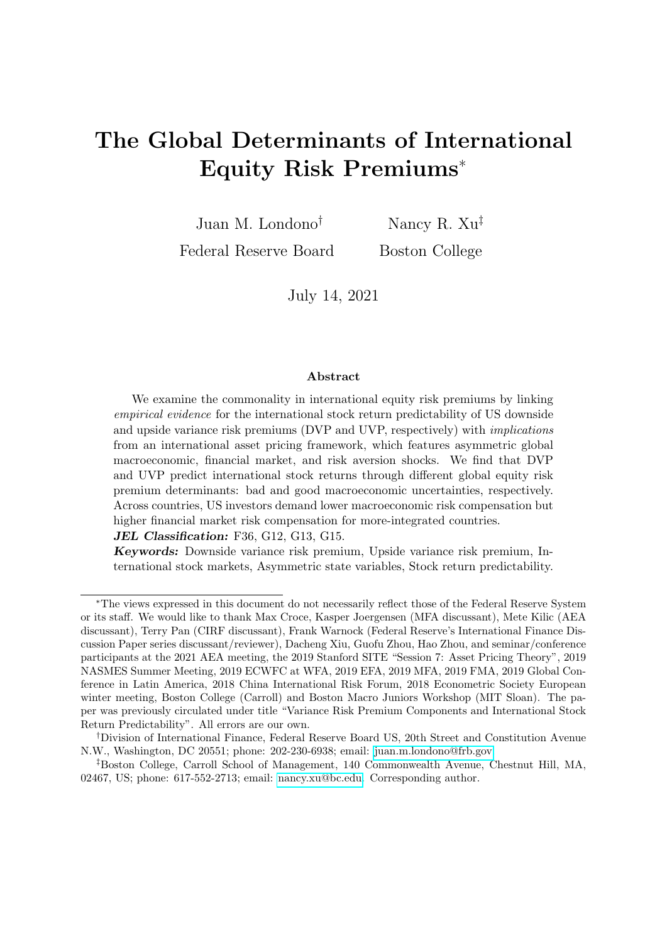- Jurado, K., Ludvigson, S. C., Ng, S., 2015. Measuring uncertainty. American Economic Review 105, 1177–1216.
- Kilic, M., Shaliastovich, I., 2019. Good and bad variance premia and expected returns. Management Science 65, 2445–2945.
- Kose, M. A., Prasad, E., Rogoff, K., Wei, S.-J., 2009. Financial globalization: a reappraisal. IMF Staff papers 56, 8–62.
- Londono, J. M., 2015. The variance risk premium around the world .
- Martin, I., 2017. What is the expected return on the market? The Quarterly Journal of Economics 132, 367–433.
- Miranda-Agrippino, S., Rey, H., 2020. Us monetary policy and the global financial cycle. The Review of Economic Studies 6, 2754–2776.
- Rapach, D. E., Strauss, J. K., Zhou, G., 2013. International stock return predictability: what is the role of the united states? The Journal of Finance 68, 1633–1662.
- Schularick, M., Steger, T. M., 2010. Financial integration, investment, and economic growth: evidence from two eras of financial globalization. The Review of Economics and Statistics 92, 756–768.
- Segal, G., Shaliastovich, I., Yaron, A., 2015. Good and bad uncertainty: Macroeconomic and financial market implications. Journal of Financial Economics 117, 369–397.
- Stathopoulos, A., 2017. Asset prices and risk sharing in open economies. The Review of Financial Studies 30, 363–415.
- Van Binsbergen, J., Brandt, M., Koijen, R., 2012. On the timing and pricing of dividends. American Economic Review 102, 1596–1618.
- Van Binsbergen, J., Hueskes, W., Koijen, R., Vrugt, E., 2013. Equity yields. Journal of Financial Economics 110, 503–519.
- Wachter, J. A., 2006. A consumption-based model of the term structure of interest rates. Journal of Financial economics 79, 365–399.
- Xu, N. R., 2019. Global risk aversion and international return comovements .
- Xu, N. R., 2021. Procyclicality of the comovement between dividend growth and consumption growth. Journal of Financial Economics 139, 288–312.
- Zhou, H., 2018. Variance risk premia, asset predictability puzzles, and macroeconomic uncertainty. Annual Review of Financial Economics 10, 481–497.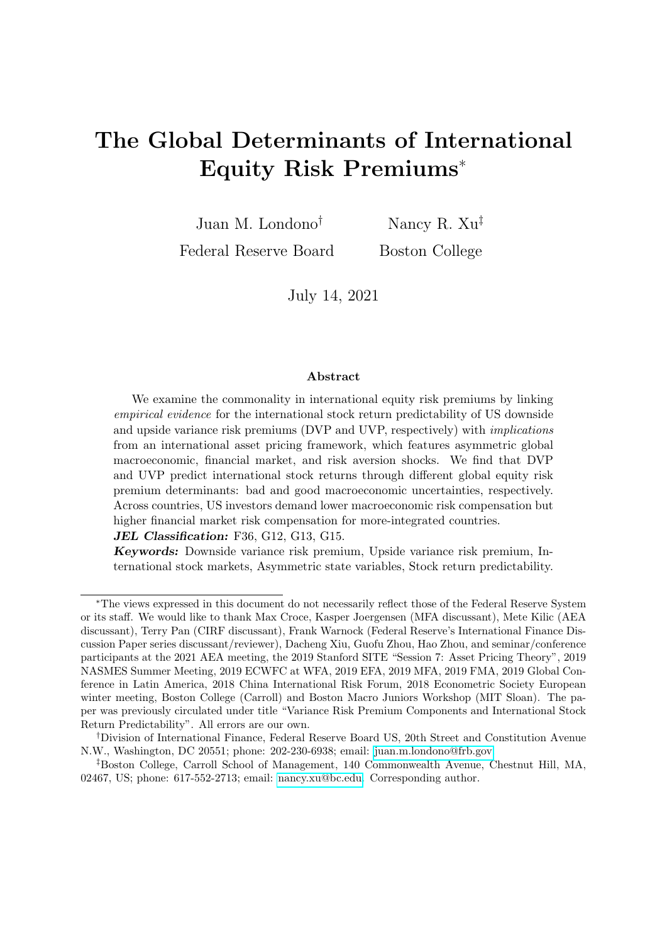#### Table 1: Expected downside and upside realized variances

This table shows the coefficients associated with the predictors of one-month-ahead (22 days) downside and upside realized variances, in panels A and B, respectively. The specification in column (1) assumes that realized variances follow a Martingale  $(E(rv_{t+1}^i) = rv_t^i$ , for  $i = D, U$  (downside or upside)). For the specifications in columns (2) to (5), we estimate the following regression setting:

$$
E_t(rv'_{t+1m}) = \hat{\alpha}^i + \hat{\gamma}^i \mathbf{X}_t^i.
$$

We consider the following predictors,  $\mathbf{X}_t$ , at time t: the total realized variance calculated over the last month  $(rv_{t-1m;t})$  and its downside an upside components  $(rv_{t-1m;t}^i)$ ; realized semivariances calculated using either the last five days  $(rv_t^i_{t-5d;t})$  or the last day of the month  $(rv_t^i_{t-1d;t})$ ; and the downside and upside components of the option-implied variance  $(iv_{t,t+1m}^j)$ . All regressions are estimated using daily data. The sample runs from April 1991 to December 2019. Heteroskedasticity and autocorrelation consistent (HAC) standard deviations with 44 lags are reported in parentheses. , ) represent significance at the 1% (5%, 10%) confidence level. The adjusted  $R^2$ s are reported at the end of each panel.

|                          | (1)            | (2)                                 | $\left( 3\right)$ | $\left(4\right)$ | (5)       |
|--------------------------|----------------|-------------------------------------|-------------------|------------------|-----------|
|                          |                | Panel A. Downside realized variance |                   |                  |           |
| Constant                 | $\overline{0}$ | $4.17***$                           | $4.11***$         | $3.88***$        | $3.18***$ |
|                          |                | (0.63)                              | (0.67)            | (0.55)           | (1.00)    |
| $rv_t$ 1m;t              |                |                                     | 0.43              |                  |           |
|                          |                |                                     | (0.36)            |                  |           |
| $rv_t^D$ <sub>1m:t</sub> | $\mathbf{1}$   | $0.62***$                           | 0.10              | $0.29**$         | $0.23***$ |
|                          |                | (0.07)                              | (0.21)            | (0.13)           | (0.08)    |
| $rv_t^D$ 5d:t            |                |                                     |                   | $0.29**$         | $0.27*$   |
|                          |                |                                     |                   | (0.13)           | (0.15)    |
| $rv_t^D_{t-1d:t}$        |                |                                     |                   | $0.06***$        | $0.04*$   |
|                          |                |                                     |                   | (0.01)           | (0.03)    |
| $iv_{t:t+1m}^D$          |                |                                     |                   |                  | 0.08      |
|                          |                |                                     |                   |                  | (0.10)    |
| Adj. $R^2$               | 0.23           | 0.378                               | 0.378             | 0.428            | 0.429     |
|                          |                | Panel B. Upside realized variance   |                   |                  |           |
| Constant                 | $\overline{0}$ | $3.73***$                           | $3.80***$         | $3.39***$        | 0.84      |
|                          |                | (0.64)                              | (0.64)            | (0.59)           | (0.73)    |
| $rv_t$ 1m;t              |                |                                     | $-0.60$           |                  |           |
|                          |                |                                     | (0.40)            |                  |           |
| $rv_t^U$ <sub>1m:t</sub> | $\mathbf 1$    | $0.64***$                           | $0.61***$         | $0.30**$         | 0.07      |
|                          |                | (0.08)                              | (0.17)            | (0.15)           | (0.11)    |
| $rv_t^U$ <sub>5d;t</sub> |                |                                     |                   | $0.30**$         | 0.24      |
|                          |                |                                     |                   | (0.15)           | (0.15)    |
| $rv_t^U$ <sub>1d:t</sub> |                |                                     |                   | $0.05***$        | $0.03**$  |
|                          |                |                                     |                   | (0.01)           | (0.01)    |
| $iv_{t:t+1m}^U$          |                |                                     |                   |                  | $0.57***$ |
|                          |                |                                     |                   |                  | (0.11)    |
| Adj. $R^2$               | 0.29           | 0.414                               | 0.433             | 0.461            | 0.499     |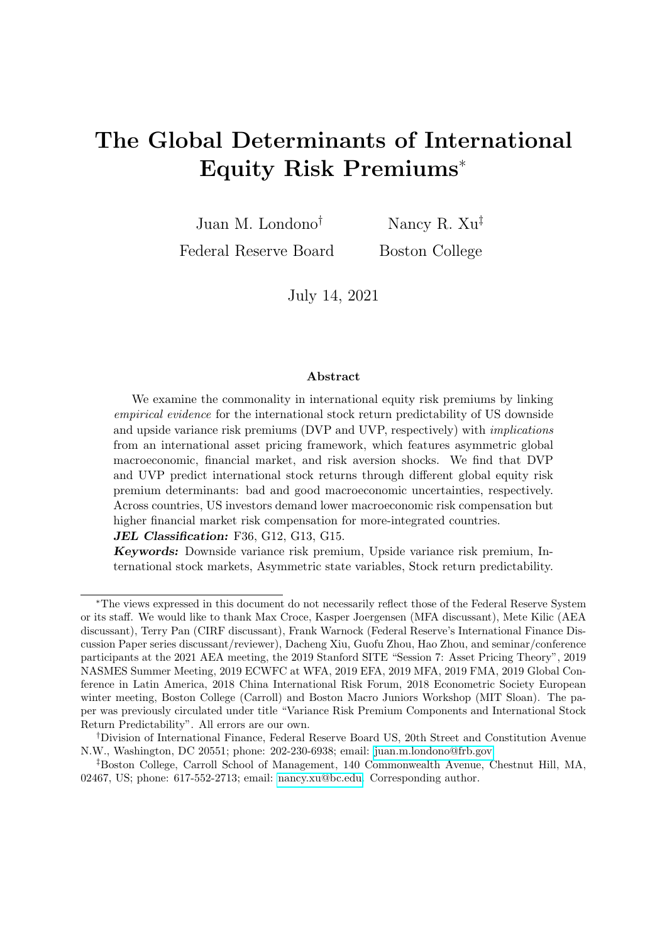Table 2: Summary statistics for variance premium components

This table reports time series averages of the monthly risk-neutral and physical expectations of the variances  $(iv_{t,t+1}$  and  $E_t(v_{t,t+1})$ , respectively) as well as the corresponding monthly variance premiums (VPs). The monthly time series are end-of-month estimates from Table 1. All measures are in units of monthly variance—i.e., in annual percentage squared divided by 12 (as commonly used in the literature; see, e.g., Bekaert and Hoerova (2014), Kilic and Shaliastovich (2019), among many others). For VP estimates, we also report standard deviations and minimum and maximum values. The sample runs from April 1991 to December 2019.

|                                                      | $\left(1\right)$ | 2)                         | $\left(3\right)$ | $\left(4\right)$ | $\left(5\right)$ |  |  |  |  |
|------------------------------------------------------|------------------|----------------------------|------------------|------------------|------------------|--|--|--|--|
| Panel A.<br><b>DVP</b>                               |                  |                            |                  |                  |                  |  |  |  |  |
| $Mean(iv_{t:t+1}^D)$                                 | 23.67            | 23.67                      | 23.67            | 23.67            | 23.67            |  |  |  |  |
| $Mean(E_t(rv_{t:t+1}^D))$                            | 10.87            | 7.04                       | 7.08             | 7.05             | 7.69             |  |  |  |  |
| $Mean(vp_{t:t+1}^D)$                                 | 12.79            | 16.63                      | 16.58            | 16.61            | 15.97            |  |  |  |  |
| $SD(vp_{t:t+1}^D)$                                   | 11.24            | 14.08                      | 14.10            | 13.85            | 13.52            |  |  |  |  |
| $Min(vp_{t:t+1}^D)$                                  | $-23.49$         | 2.47                       | 2.41             | 2.21             | 2.24             |  |  |  |  |
| $Max(vp_{t:t+1}^D)$                                  | 81.25            | 97.91                      | 99.64            | 91.00            | 93.05            |  |  |  |  |
|                                                      |                  | Panel B. UVP               |                  |                  |                  |  |  |  |  |
| $\overline{Mean}(iv_{t:t+1}^U)$                      | 11.03            | 11.03                      | 11.03            | 11.03            | 11.03            |  |  |  |  |
| $Mean(E_t(rv_{t:t+1}^U))$                            | 10.50            | 7.07                       | 7.02             | 7.34             | 9.76             |  |  |  |  |
| $Mean(vp_{t:t+1}^U)$                                 | 0.53             | 3.96                       | 4.01             | 3.69             | 1.26             |  |  |  |  |
| $SD(vp_{t:t+1}^U)$                                   | 9.76             | 6.19                       | 6.15             | 6.30             | 3.28             |  |  |  |  |
| $Min(vp_{t:t+1}^U)$                                  | $-138.25$        | $-59.87$                   | $-64.41$         | $-62.93$         | $-35.48$         |  |  |  |  |
| $Max(vp_{t:t+1}^U)$                                  | 23.27            | 31.07                      | 22.70            | 26.17            | 9.56             |  |  |  |  |
| Panel<br>$\mathbf C$                                 |                  | Correlations within models |                  |                  |                  |  |  |  |  |
| $\text{Correl}(vp_{t;t+1},vp_{t;t+1}^{\mathcal{D}})$ | 0.85             | 0.95                       | 0.94             | 0.93             | 0.97             |  |  |  |  |
| Correl $(pp_{t:t+1},vp_{t:t+1}^U)$                   | 0.79             | 0.69                       | 0.65             | 0.59             | 0.26             |  |  |  |  |
| Correl $(vp_{t:t+1}^U, vp_{t:t+1}^D)$                | 0.35             | 0.43                       | 0.36             | 0.25             | 0.03             |  |  |  |  |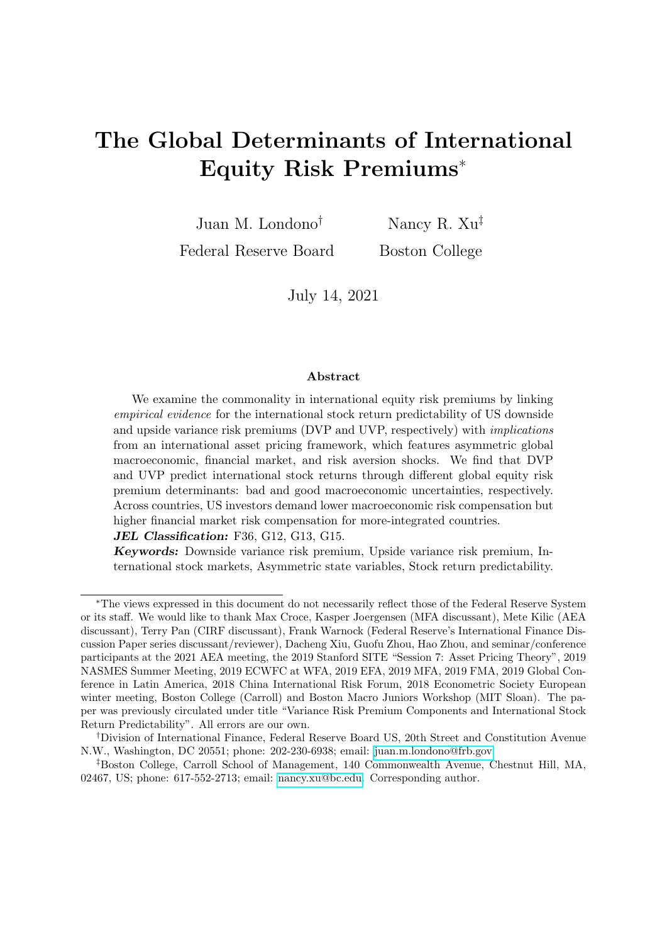#### Table 3: International predictability of VP and its components

The table reports evidence for the predictability of the variance premium and its components for international stock returns at various horizons of interest (in units of months). Our main specification is the following:

$$
\kappa^{-1} r_{i,t,t+1} = a_{i;1} + a_{i} + b_{i;D} v p_{t,t+1}^D + b_{i;U} v p_{t,t+1}^U + \epsilon_{i;t+1},
$$

where  $r_{i,t,t+1}$  denotes the  $\kappa$ -month-ahead log excess returns for country i and  $vp_{t,t+1}^D$  and  $vp_{t,t+1}^U$ denote DVP and UVP estimates, respectively. We compare our main specification with one in which the coefficients associated with DVP and UVP are homogeneous, which is equivalent to a regression for the predictability of the total VP:

$$
\kappa^{-1} r_{i,t,t+} = a_{i} + a + b \left( v p_{t,t+1}^D + v p_{t,t+1}^U \right) + \epsilon_{i,t+}.
$$

In both specifications, the coefficients are estimated using ordinary least squares (OLS) where the coefficients associated with VP and its components are restricted to be homogeneous across countries. The VP estimated coefficients and their h-lag corrected Newey-West standard errors (in parentheses) are reported along with the adjusted  $R^2$ . "VARC" indicates the variance decomposition of the model.  $\,$ , ) represent significance at the 1% (5%, 10%) confidence level.

|                    |          | $\kappa=1$ |          | $\kappa = 3$ |             | $\kappa = 6$ |            | $\kappa=12$ |
|--------------------|----------|------------|----------|--------------|-------------|--------------|------------|-------------|
| vp                 | 0.1187   |            | 0.2645   |              | $0.3127***$ |              | $0.1604**$ |             |
| (SE)               | (0.3365) |            | (0.1775) |              | (0.1088)    |              | (0.0718)   |             |
| $vp^D$             |          | $-0.0111$  |          | 0.2149       |             | $0.2987***$  |            | $0.1785***$ |
| (SE)               |          | (0.3370)   |          | (0.1756)     |             | (0.1085)     |            | (0.0692)    |
| $[VARC\%]$         |          | $(0.0\%)$  |          | $[43.1\%]$   |             | [83.8%]      |            | $[98.0\%]$  |
| $vp^{\mathcal{U}}$ |          | $2.0996**$ |          | 1.0198*      |             | $0.5263*$    |            | $-0.116$    |
| (SE)               |          | (0.8620)   |          | (0.5834)     |             | (0.2883)     |            | (0.2395)    |
| [VARC%]            |          | [100.0%]   |          | [56.9%]      |             | $[16.2\%]$   |            | [2.0%]      |
| Adj. $R^2$         | 0.04%    | $0.82\%$   | $0.66\%$ | $0.96\%$     | 1.67%       | 1.71%        | 0.85%      | $0.99\%$    |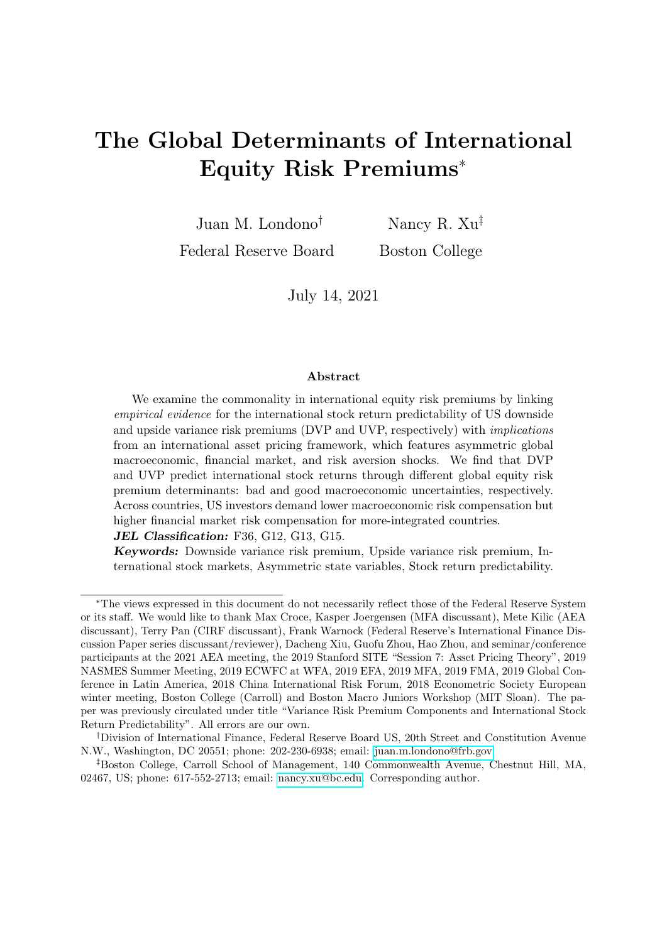| (source: World Bank; 1989-2018) as the proxy for a country's economic integration, and the         |
|----------------------------------------------------------------------------------------------------|
| average total asset and liability holdings from country $i$ to the rest of the world (source: IMF, |
| The Coordinated Portfolio Investment Survey; 2001-2018) as the proxy for a country's financial     |
| integration (Schularick and Steger (2010)). This table also provides a within-variable sort: low,  |
| [0th, 33th); middle, $[33th,67th)$ ; high, $[67th,100th]$ .                                        |
|                                                                                                    |

|                |        | Trade-to-GDP |        | Holdings-to-GDP |
|----------------|--------|--------------|--------|-----------------|
|                | in $%$ | L/M/H        | in $%$ | L/M/H           |
| Australia      | 39.5   | L            | 106.9  | L               |
| Austria        | 86.9   | $\mathbf{M}$ | 171.8  | H               |
| Belgium        | 138.7  | H            | 236.0  | H               |
| Canada         | 65.8   | L            | 121.0  | $\mathbf{M}$    |
| Denmark        | 85.0   | $\mathbf{M}$ | 178.4  | М               |
| Finland        | 69.1   | $\mathbf{M}$ | 211.8  | $\mathbf{M}$    |
| France         | 52.0   | $\mathbf{M}$ | 189.1  | $\mathbf{L}$    |
| Germany        | 64.7   | $\mathbf{M}$ | 148.1  | $\mathbf{M}$    |
| Hong Kong      | 309.9  | H            | 330.4  | H               |
| Ireland        | 159.4  | H            | 1185.9 | H               |
| Italy          | 48.1   | L            | 121.9  | $\mathbf{L}$    |
| Japan          | 24.6   | $\Gamma$     | 86.3   | $\Gamma$        |
| Netherlands    | 125.2  | H            | 396.2  | H               |
| New Zealand    | 57.7   | L            | 63.6   | М               |
| Norway         | 70.0   | $\mathbf{M}$ | 223.5  | $\mathbf{M}$    |
| Portugal       | 66.8   | М            | 141.0  | $\mathbf{M}$    |
| Singapore      | 356.6  | H            | 450.7  | H               |
| Spain          | 52.1   | L            | 114.7  | $\mathbf{L}$    |
| Sweden         | 77.0   | $\mathbf{M}$ | 190.8  | $\mathbf{M}$    |
| Switzerland    | 99.4   | H            | 302.8  | H               |
| United Kingdom | 52.9   | H            | 236.1  | L               |
| United States  | 24.7   | L            | 93.7   | L               |

Table 4: Country-level economic and financial integration indicators This table presents the country-level integration proxies: the average trade-to-GDP ratio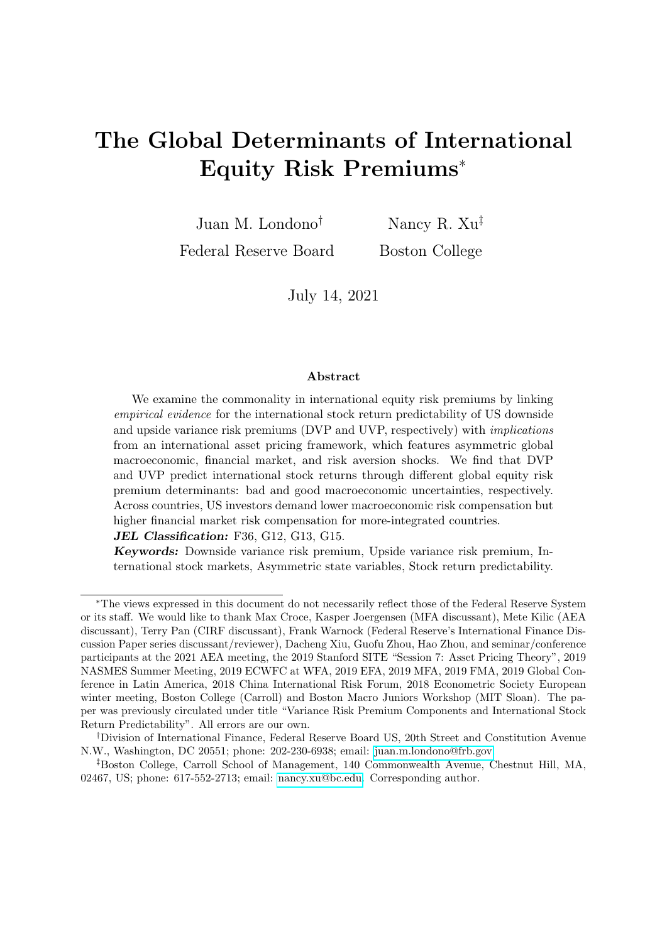#### Table 5: Summary statistics of risk premium state variables

This table provides summary statistics of our main five risk premium state variables introduced in Section 4: good and bad economic uncertainty  $(\theta p_t$  and  $\theta n_t$ , respectively), expected risk aversion fluctuations  $(qh_t)$ , and high and low stock market illiquidity uncertainty (illiq $h_t$  and  $illiql_t$ , respectively). The full sample estimation results and detailed dynamic processes are deferred to Appendix B.  $\,$ , ) represent significance at the 1% (5%, 10%) confidence level. The summary statistics are calculated for a sample running from April 1991 to December 2019.

|          | $\theta p_t$ | $\theta n_t$ | $q h_t$                        | $illigh_t$ | $illiql_t$ |  |
|----------|--------------|--------------|--------------------------------|------------|------------|--|
|          |              |              | Panel A. Univariate statistics |            |            |  |
| Mean     | 476.020      | 3.342        | 0.838                          | 1.191      | 0.702      |  |
| SD.      | 15.176       | 7.798        | 1.107                          | 1.376      | 0.046      |  |
| Skewness | 0.724        | 5.133        | 3.379                          | 1.935      | 1.247      |  |

| Panel B. Correlation matrix |             |            |            |            |            |  |  |
|-----------------------------|-------------|------------|------------|------------|------------|--|--|
| $\theta p_t$                |             |            |            |            |            |  |  |
| $\theta n_t$                | $-0.222***$ |            |            |            |            |  |  |
| $q h_t$                     | $-0.070$    | $0.191***$ | 1          |            |            |  |  |
| $illiqh_t$                  | $0.159***$  | 0.084      | $0.115**$  |            |            |  |  |
| $illiql_t$                  | $0.348***$  | $-0.035$   | $0.116**$  | 0.058      |            |  |  |
| <b>NBER</b>                 | $-0.182***$ | $0.532***$ | $0.205***$ | $0.142***$ | $-0.077$   |  |  |
| Cyclicality                 | $Pro-$      | Counter-   | Counter-   | Counter-   | A-cyclical |  |  |

Table 6: Model fit: VP component dynamics

This table presents the moment matching results of the GMM system used to estimate the loadings of DVP and UVP on the five risk premium state variables (see details in Section 3.2). Two GMM systems are estimated: one with time-varying loadings (22 unknowns) and one with constant loadings (12 unknowns). Both GMM systems have 40 moments and are estimated using iterative GMM. indicates that the model estimate is within 1.645 SD of the empirical point estimate in the same row. Standard model specification statistics and empirical correlations are shown at the end of the table.

|                | Moment                                             | Empirical | Boot. SE | Model        |              |
|----------------|----------------------------------------------------|-----------|----------|--------------|--------------|
|                |                                                    |           |          | time-varying | constant     |
| 1              | $vp^{\mathcal{D}}$                                 | 15.972    | (0.725)  | $16.464***$  | 10.05        |
| $\overline{2}$ | $vp^U$                                             | 1.265     | (0.173)  | $1.241***$   | $-0.202$     |
| 3              | $E(vp^D))^2$<br>$(vp^D)$                           | 182.198   | (33.504) | 180.071***   | $175.881***$ |
| 4              | $E(vp^U))^2$<br>$(vp^U)$                           | 10.755    | (4.230)  | $10.701***$  | $4.383***$   |
| $\overline{5}$ | $E(vp^D)^3/(SD(vp^D)^3)$<br>$(vp^D)$               | 2.656     | (0.885)  | $2.752***$   | $2.867***$   |
| 6              | $E(vp^{U})^3/(SD(vp^{U})^3)$<br>$(vp^U)$           | $-5.001$  | (3.959)  | $-4.146***$  | $0.687***$   |
| 7              | $E(vp^D)^4/(SD(vp^D)^4)$<br>$(vp^D)$               | 12.293    | (4.287)  | $11.955***$  | $12.821***$  |
| 8              | $E(vp^U))^4/(SD(vp^U)^4)$<br>$(vp^U$               | 53.202    | (45.926) | 48.432***    | 7.718        |
| 9              | $E(vp^D)$ $(vp^U - E(vp^U))$<br>$(vp^D)$           | 1.262     | (8.555)  | $-1.981***$  | $-3.18***$   |
| 10             | $vp^D/(vp^D+vp^U)$                                 | 0.927     | (0.010)  | $0.924***$   | 0.626        |
|                | GMM J Statistics:                                  |           |          | 15.78        | 61.56        |
|                | DF:                                                |           |          | 18           | 28           |
|                | Hansen's Overidentification Test, p-value:         |           |          | 0.61         | 0.00         |
|                | Dynamic correlation with empirical estimates, DVP: |           |          | 0.88         | 0.74         |
|                | Dynamic correlation with empirical estimates, UVP: |           |          | 0.48         | 0.16         |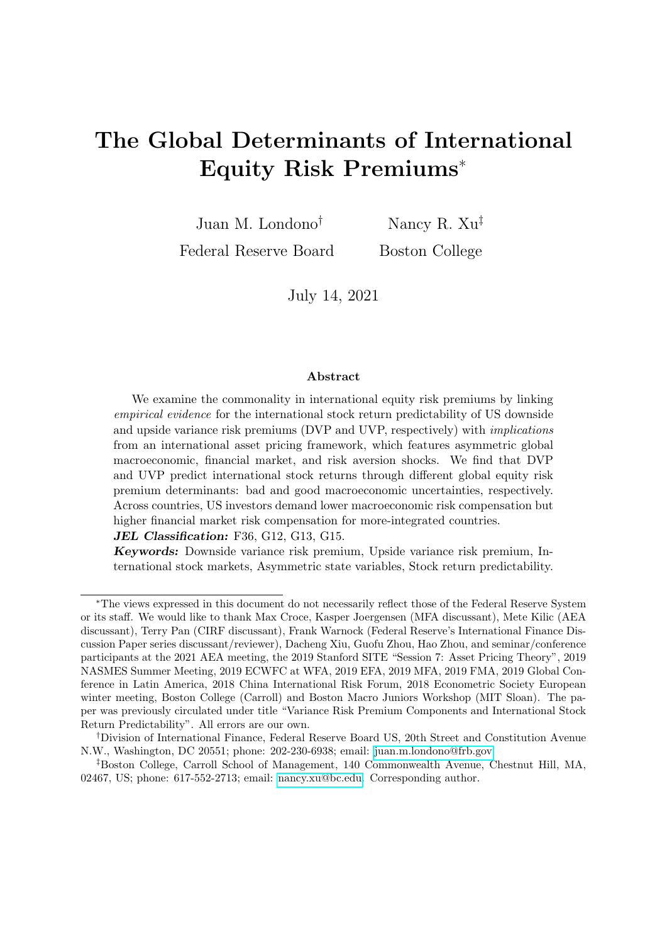Table 7: Model fit: VP component predictive coefficients

This table provides the model fit results of the international stock return predictive coefficients of the VP components (see details in Section 3.2). To summarize the information, Panels A and B report the average, mean, and cross-country variation of the DVP and UVP predictive coefficients, respectively, and provide closeness tests with their empirical counterparts;  $( ; )$ indicates that the model estimate is within the 1.645 (1.96;2.576) SD of the empirical point estimate in the same row. Rows in bold indicate horizons with significant predictability for most countries according to our empirical evidence.

| Panel A          |           | Average DVP coeff.  |                            |           | Median DVP coeff.   |                           |           |                     | Cross-country SD DVP coeff. |
|------------------|-----------|---------------------|----------------------------|-----------|---------------------|---------------------------|-----------|---------------------|-----------------------------|
| Horizon          | Emp.      | $\operatorname{SE}$ | Model                      | Emp.      | $\operatorname{SE}$ | Model                     | Emp.      | $\operatorname{SE}$ | Model                       |
| $\mathbf{1}$     | $-0.011$  | (0.052)             | $-0.059***$                | $-0.036$  | (0.070)             | $-0.027***$               | $0.245\,$ | (0.027)             | 0.148                       |
| $\overline{2}$   | 0.188     | (0.043)             | $0.142***$                 | 0.151     | (0.048)             | $0.177***$                | 0.202     | (0.025)             | $0.147^{\ast}$              |
| 3                | 0.215     | (0.036)             | $0.176***$                 | 0.188     | (0.032)             | $0.205***$                | 0.171     | (0.023)             | $0.130**$                   |
| $\overline{4}$   | 0.226     | (0.036)             | $0.186***$                 | 0.221     | (0.026)             | $0.215***$                | 0.169     | (0.024)             | $0.134***$                  |
| $\bf 5$          | 0.262     | (0.036)             | $0.225***$                 | 0.262     | (0.031)             | $0.26***$                 | 0.169     | (0.025)             | $0.128***$                  |
| 6                | 0.299     | (0.036)             | $0.253***$                 | 0.289     | (0.030)             | $0.287***$                | 0.168     | (0.025)             | $0.131***$                  |
| 7                | 0.287     | (0.035)             | $0.247***$                 | 0.265     | (0.030)             | $0.284***$                | 0.166     | (0.027)             | $0.136***$                  |
| 8                | 0.235     | (0.034)             | $0.202***$                 | 0.220     | (0.027)             | $0.239***$                | 0.161     | (0.028)             | $0.134^{***}\;$             |
| $\boldsymbol{9}$ | $0.214\,$ | (0.033)             | $0.181***$                 | $0.214\,$ | (0.023)             | $0.217***$                | 0.157     | (0.028)             | $0.128^{\ast \ast \ast}$    |
| 10               | 0.189     | (0.033)             | $0.164***$                 | 0.191     | (0.021)             | $0.199***$                | 0.155     | (0.028)             | $0.125^{\ast\ast\ast}$      |
| 11               | 0.185     | (0.033)             | $0.158***$                 | 0.184     | (0.022)             | $0.195***$                | 0.153     | (0.028)             | $0.132***$                  |
| 12               | 0.179     | (0.032)             | $0.157^{***}\,$            | 0.174     | (0.023)             | $0.192***$                | 0.149     | (0.027)             | $0.127***$                  |
|                  |           |                     |                            |           |                     |                           |           |                     |                             |
|                  |           |                     |                            |           |                     |                           |           |                     |                             |
| Panel B          |           | Average UVP coeff.  |                            |           | Median UVP coeff.   |                           |           |                     | Cross-country SD UVP coeff. |
| Horizon          | Emp.      | $\rm SE$            | Model                      | Emp.      | SE                  | Model                     | Emp.      | $\rm SE$            | Model                       |
| $\mathbf{1}$     | 2.100     | (0.241)             | $1.859***$                 | 1.999     | (0.178)             | $1.807***$                | 1.128     | (0.203)             | $0.627*$                    |
| $\overline{2}$   | 0.922     | (0.174)             | $0.782***$                 | 0.995     | (0.150)             | $0.814***$                | 0.814     | (0.142)             | $0.450**$                   |
| 3                | 1.020     | (0.117)             | $0.903***$                 | 1.272     | (0.137)             | $0.953***$                | 0.548     | (0.101)             | $0.392**$                   |
| $\overline{4}$   | 1.227     | (0.106)             | $1.096***$                 | 1.309     | (0.126)             | $1.175***$                | 0.497     | (0.074)             | 0.268                       |
| $\overline{5}$   | 0.891     | (0.081)             | $0.816***$                 | 0.906     | (0.120)             | $0.881***$                | 0.380     | (0.050)             | 0.217                       |
| $\!6\,$          | 0.526     | (0.063)             | $0.482***$                 | 0.551     | (0.073)             | $0.555***$                | 0.293     | (0.046)             | $0.224***$                  |
| 7                | 0.276     | (0.053)             | $0.273^{***}\,$            | 0.299     | (0.083)             | $0.329***$                | 0.247     | (0.033)             | $0.188***$                  |
| 8                | 0.237     | (0.053)             | $0.217***$                 | $0.296\,$ | (0.083)             | $0.251***$                | 0.250     | (0.031)             | 0.158                       |
| 9                | $-0.009$  | (0.045)             | $-0.004***$                | $-0.009$  | (0.047)             | $0.038***$                | 0.209     | (0.032)             | 0.126                       |
| 10               | $-0.069$  | (0.047)             | $-0.074***$                | $-0.049$  | (0.055)             | $-0.042***$               | 0.219     | (0.036)             | $0.100\,$                   |
| 11               | $-0.125$  | (0.048)             | $-0.127***$<br>$-0.115***$ | $-0.122$  | (0.058)             | $-0.089***$<br>$-0.08***$ | 0.225     | (0.036)             | 0.109                       |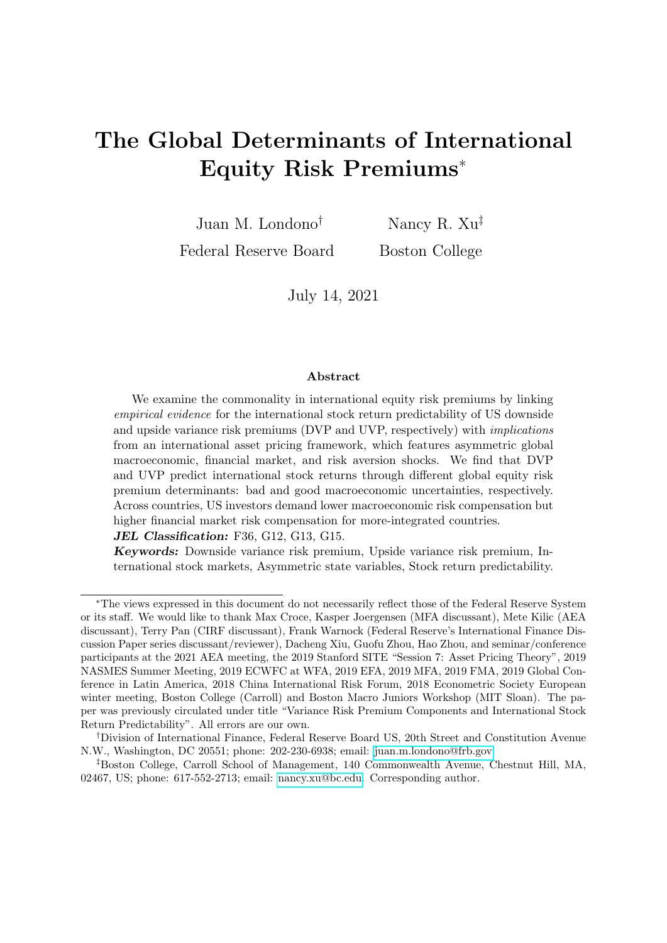Table 8: Loadings of VP components on risk premium state variables

This table presents the estimation results of the GMM framework and the relative importance of the risk premium state variables in driving the dynamics of VPs. Details are presented in Section 3.2. For each GMM iteration, the model-implied DVP and UVP  $(vp_t^D$  and  $vp_t^U$ , respectively) can be expressed as:

$$
\widehat{vp_t^U} = vp_0^D + w_{p,t}^D \widehat{p}_{rt} + w_{n,t}^D \widehat{m}_t + w_{qh,t}^D \widehat{n}_t + w_{illiqh,t}^D i \text{N} i q h_t + w_{illiql,t}^D i \text{N} i q l_t,
$$
\n
$$
\widehat{vp_t^U} = vp_0^U + w_{p,t}^U \widehat{p}_{rt} + w_{n,t}^U \widehat{m}_t + w_{qh,t}^U \widehat{n}_t + w_{illiqh,t}^U i \text{N} i q h_t + w_{illiql,t}^U i \text{N} i q l_t,
$$

where, for  $x \geq \theta p, \theta n, qh, illiqh, illiql, \hat{x}$  indicates the estimated risk premium state variables (Section 4), and  $w_{x,t}^D$  and  $w_{x,t}^U$  indicate the corresponding time-varying coefficients:

$$
w_{X,t}^D = w_{X,0}^D + w_{X,1}^D z_t,
$$
  

$$
w_{X,t}^U = w_{X,0}^U + w_{X,1}^U z_t,
$$

and  $z_t$  is the current squared innovation to real economic growth. Standard errors are shown in parentheses and variance decomposition results are shown in the third row ("VARC"). The variance contribution is calculated as  $\frac{v^{COV(V_t;\hat{y}_t)}}{\hat{\alpha}}$  $\frac{\partial \phi(x, y_t)}{\partial t}$  100%, where  $v_t$  denotes an explanatory variable,  $\beta_V$  the corresponding loading, and  $\tilde{y}_t^t$  the total explained y variable. (, ) represent significance at the 1% (5%, 10%) confidence level.

|            |             | $\theta p_t$ | $\theta n_t$  | $q h_t$     | $illiqh_t$   | $illiql_t$      | Constant  |
|------------|-------------|--------------|---------------|-------------|--------------|-----------------|-----------|
| <b>DVP</b> | $w_0^D$     | $-0.041$     | $0.885***$    | $7.762***$  | $-0.35$      | $83.505***$     | $-32.257$ |
|            |             | (0.061)      | (0.134)       | (0.358)     | (0.506)      | (14.412)        | (25.616)  |
|            | $[VAR C\%]$ | $[0.46\%]$   | $[33.27\%]$   | [52.20%]    | $[-0.49\%]$  | $[9.34\%]$      |           |
|            | $w_1^D$     | 14.143       | $-522.083***$ | 5323.575*** | 16282.641*** | $-27746.517***$ |           |
|            |             | (11.003)     | (5.474)       | (70.288)    | (269.496)    | (7465.181)      |           |
|            | [VARC%]     | $[2.64\%]$   | [-8.97%]      | $(10.29\%)$ | [8.98%]      | [-7.72%]        |           |
| <b>UVP</b> | $w_0^U$     | $0.074**$    | $0.177***$    | $1.19$ ***  | $0.476***$   | $-26.99**$      | $-15.935$ |
|            |             | (0.036)      | (0.039)       | (0.145)     | (0.122)      | (13.106)        | (11.539)  |
|            | $[VAR C\%]$ | [5.82%]      | $[-4.04\%]$   | $(5.11\%)$  | $(6.62\%)$   | $(6.04\%)$      |           |
|            | $w_1^U$     | $-76.725***$ | $41.821***$   | $-1.364$    | 1306.134***  | 1068.634        |           |
|            |             | (18.526)     | (5.932)       | (34.542)    | (90.690)     | (1273.898)      |           |
|            | [VARC%]     | $[88.54\%]$  | [-3.74%]      | $[0.01\%]$  | [-2.54%]     | $-1.82\%$       |           |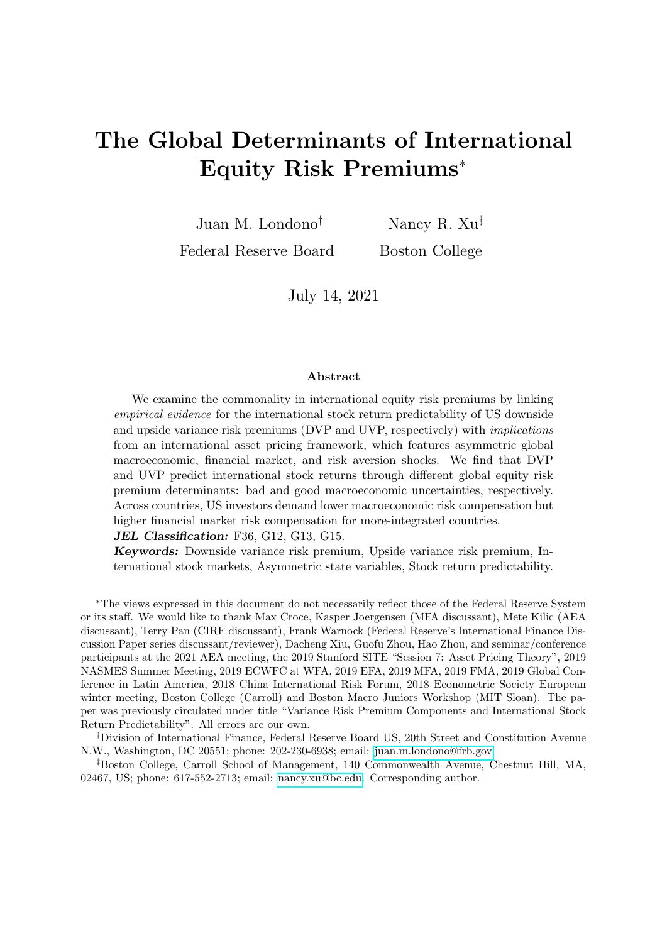Table 9: Economic magnitude of VP loadings

This table complements Table 8 and provides economic magnitude of the sensitivity of the VP components to each risk premium state variable at four different values of  $z_t$ , the proxy for the current economic condition (sample average, 90th, 95th, and 99th percentiles).

|            | $z_t$ values | $\theta p_t$ | $\theta n_t$ | $q h_t$ | $illiqh_t$ | $illiql_t$ |
|------------|--------------|--------------|--------------|---------|------------|------------|
| <b>DVP</b> | $Mean(z_t)$  | $-0.6123$    | 6.8424       | 8.6720  | $-0.1713$  | 3.8341     |
|            | $90th(z_t)$  | $-0.5989$    | 6.5886       | 9.0393  | 1.2258     | 3.7543     |
|            | $95th(z_t)$  | $-0.5862$    | 6.3463       | 9.3900  | 2.5593     | 3.6782     |
|            | $99th(z_t)$  | $-0.5158$    | 5.0125       | 11.3204 | 9.9011     | 3.2588     |
| <b>UVP</b> | $Mean(z_t)$  | 1.1085       | 1.3868       | 1.3172  | 0.6803     | $-1.2443$  |
|            | $90th(z_t)$  | 1.0359       | 1.4071       | 1.3171  | 0.7924     | $-1.2412$  |
|            | $95th(z_t)$  | 0.9666       | 1.4265       | 1.3170  | 0.8994     | $-1.2383$  |
|            | $99th(z_t)$  | 0.5851       | 1.5334       | 1.3165  | 1.4883     | $-1.2221$  |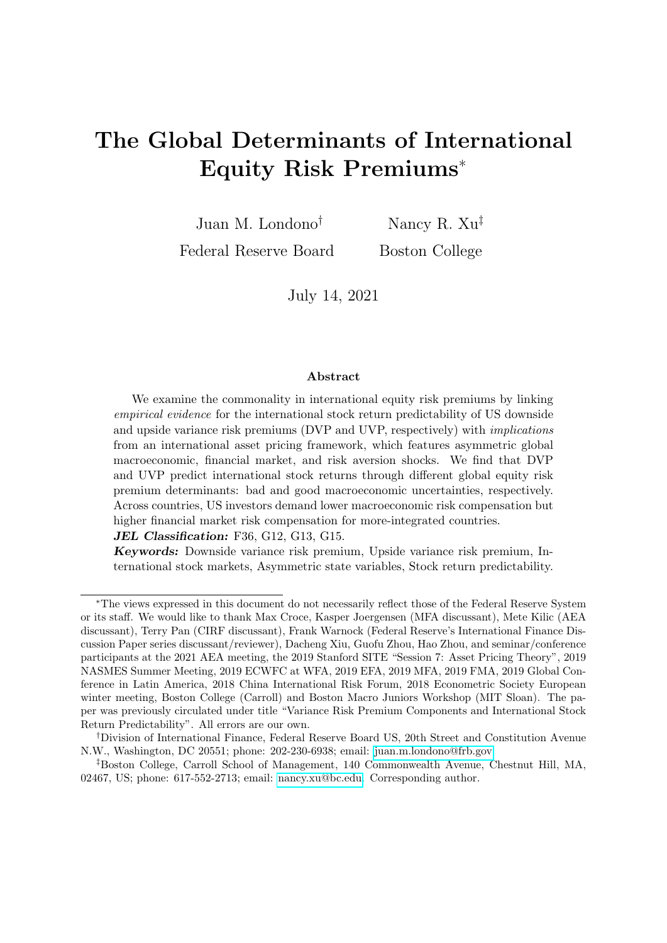

Figure 1: Downside and upside components of the variance risk premium

This figure shows the time series of the downside and upside variance premium components. The construction details of variance risk premiums are discussed in Section 2. The downside (upside) variance risk premium is calculated as the difference between the option-implied downside (upside) variance and the expected downside (upside) realized variance. We use the best forecasts of the downside and upside realized variances from Table 1 (specification (5)). Measures are in units of monthly percentages.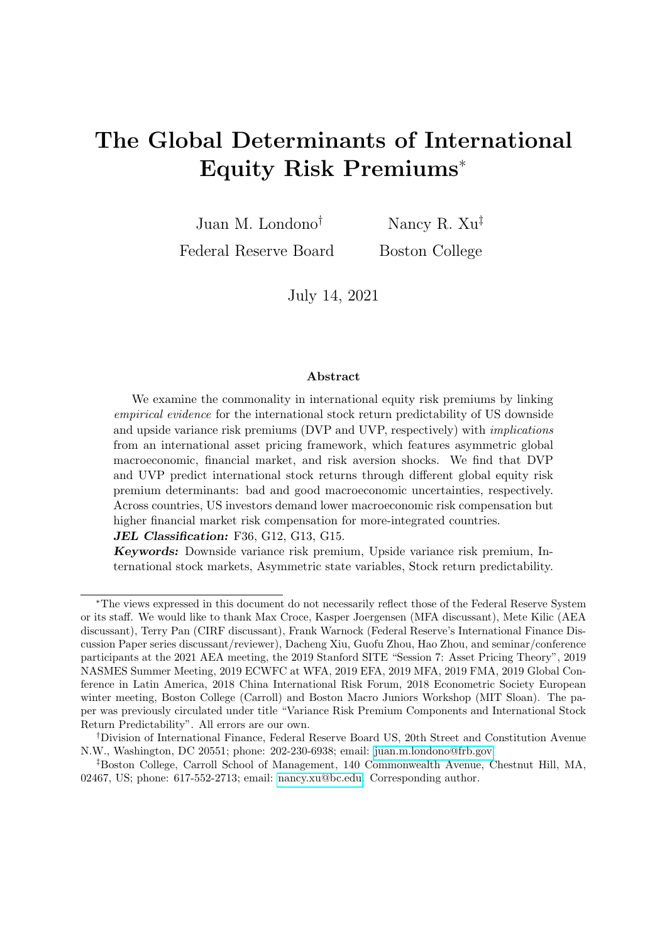

Figure 2: International stock return predictability of DVP and UVP

This figure shows the predictive coefficient estimates of the downside (DVP, top) and upside (UVP, bottom) variance premiums at horizons between 1 and 12 months for the main predictability regression setting:

$$
\kappa^{-1} r_{i,t,t+} = a_{i;} + a + b_{i;d} v p_{t,t+1}^D + b_{i;d} v p_{t,t+1}^U + \epsilon_{i,t,t+} ,
$$

where  $r_{i,t,t+}$  denotes the cumulative  $\kappa$ -month-ahead log excess returns for country i. The dashed lines depict 90% confidence intervals given Newey-West standard errors.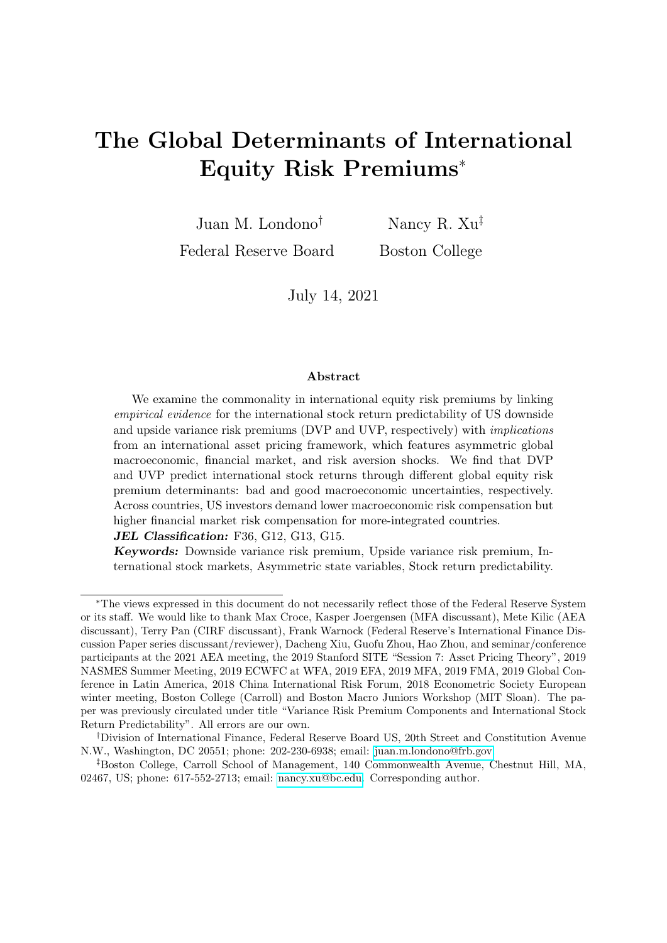

Figure 3: DVP coefficients

This figure shows the predictive coefficient estimates of the downside variance premium (the solid lines) and its 90% confidence interval given Newey-West standard errors (the dashed lines) at the country level. The regression setting is the following:

$$
\kappa^{-1} r_{i,t,t+1} = a_{i;1} + b_{i;2} \omega p_{t,t+1}^D + b_{i;2} \omega p_{t,t+1}^U + \epsilon_{i;t,t+1},
$$

where  $r_{i,t,t+}$  denotes the cumulative  $\kappa$ -month-ahead log excess returns for country i.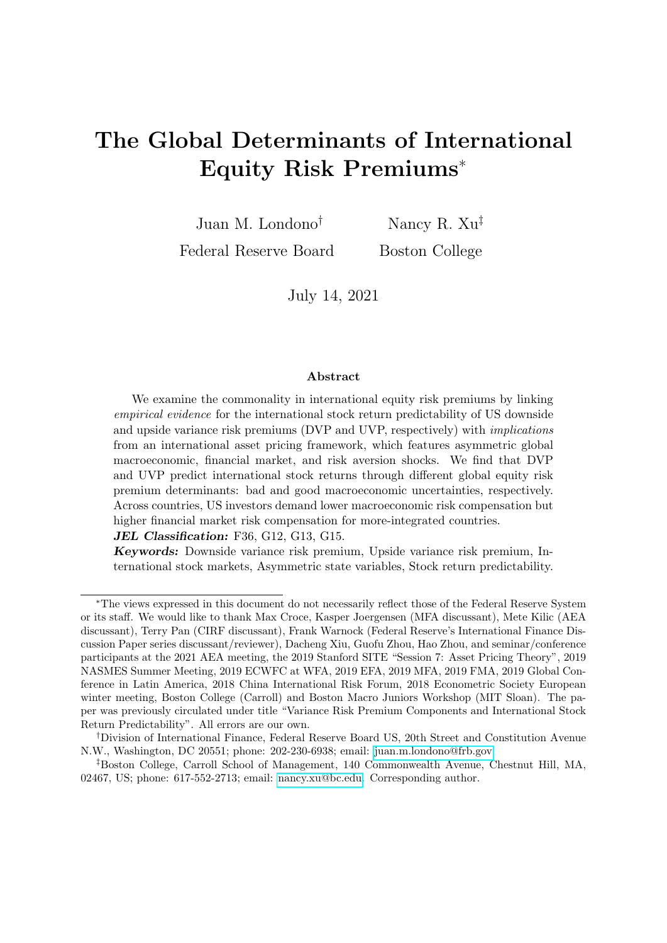

Figure 4: UVP coefficients

This figure shows the predictive coefficient estimates of the upside variance premium (the solid lines) and its 90% confidence interval given Newey-West standard errors (the dashed lines) at the country level. The regression setting is the following:

$$
\kappa^{-1} r_{i,t,t+1} = a_{i} + b_{i}{}_{i} \partial_{t}^{0} p_{t,t+1}^{D} + b_{i}{}_{i} \partial_{t}^{0} p_{t,t+1}^{U} + \epsilon_{i,t,t+1},
$$

where  $r_{i,t;t+}$  denotes the cumulative  $\kappa$ -month-ahead log excess returns for country *i*.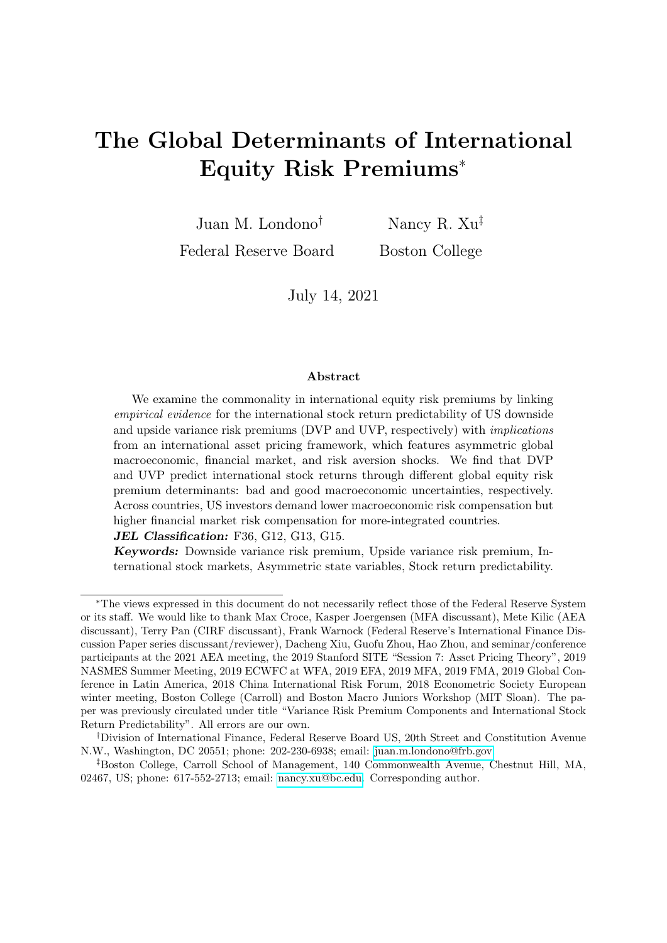

Figure 5: State variable dynamics

This figure shows the dynamics of the estimated risk premium state variables (good and bad economic uncertainty,  $\theta p_t$  and  $\theta n_t$ , expected risk aversion fluctuations,  $q h_t$ , and high and low stock market illiquidity uncertainty,  $illiqh_t$  and  $illiql_t$ ) and the time-varying loading instrument (realized variance of economic growth,  $z_t$ ) for the sample running between April 1991 and December 2019. The corresponding summary statistics are shown in Table 5. The full sample estimation results and detailed dynamic processes are deferred to Appendix B.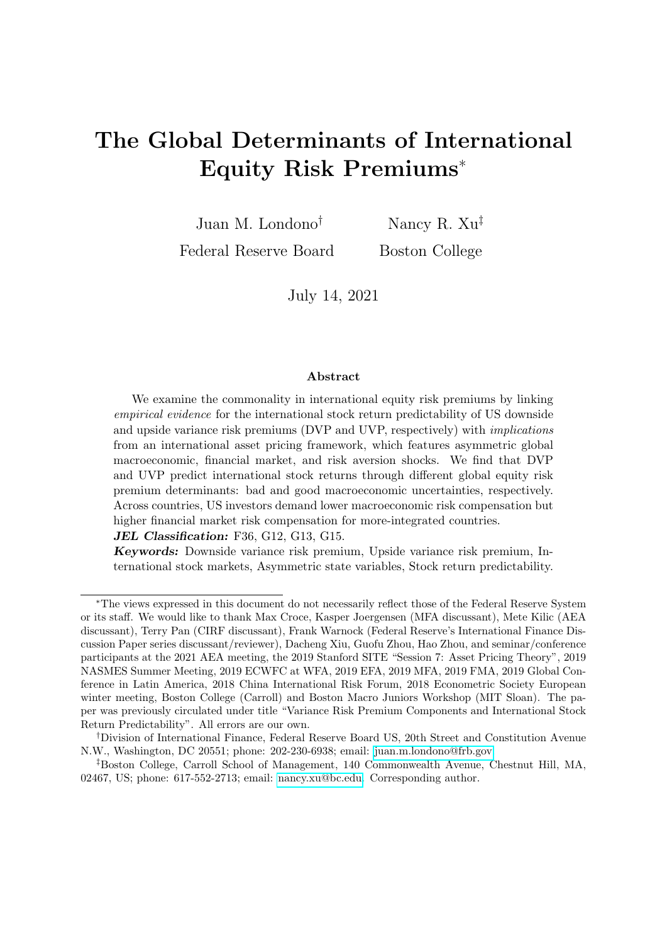

Figure 6: Dynamic fit

This figure shows the dynamics of empirical and model-implied DVP (top) and UVP (bottom) estimates. The empirical estimates, in dashed red lines, are obtained from Section 2. The model-implied estimates are obtained from Section 5 and we consider both constant (dotted blue lines) and time-varying (solid black lines) loadings. Other estimation details are shown in Table 6.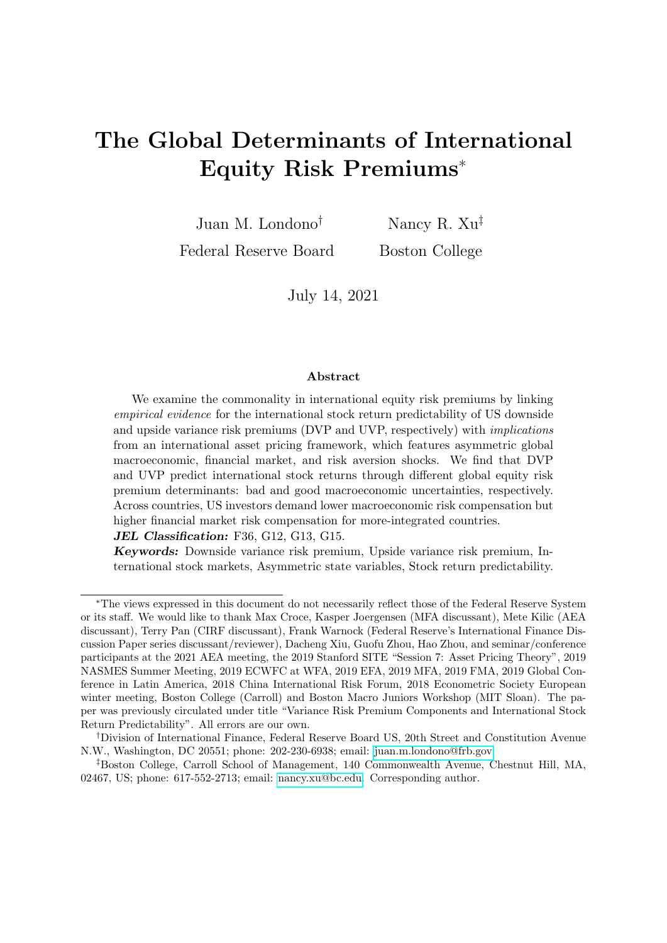

Figure 7: Economic interpretations of international equity risk premiums and stock return predictability: An average-country view

Panel (A) shows the model-implied changes in an average country's equity risk premium (EP) given one SD increase in a US/global risk premium state variable, where an average country is calibrated with median trade-to-GDP and holdings-to-GDP values and EP is expressed in annualized percents for all horizons. Panel (B) shows the implied predictive coefficients after deleting one risk premium state variable in the implied EP at a time; the lower the implied coefficient (the bar size) is, the more important the state variable is in explaining the predictability. This panel focuses on horizons with significant predictability according to the empirical evidence (less than seven months).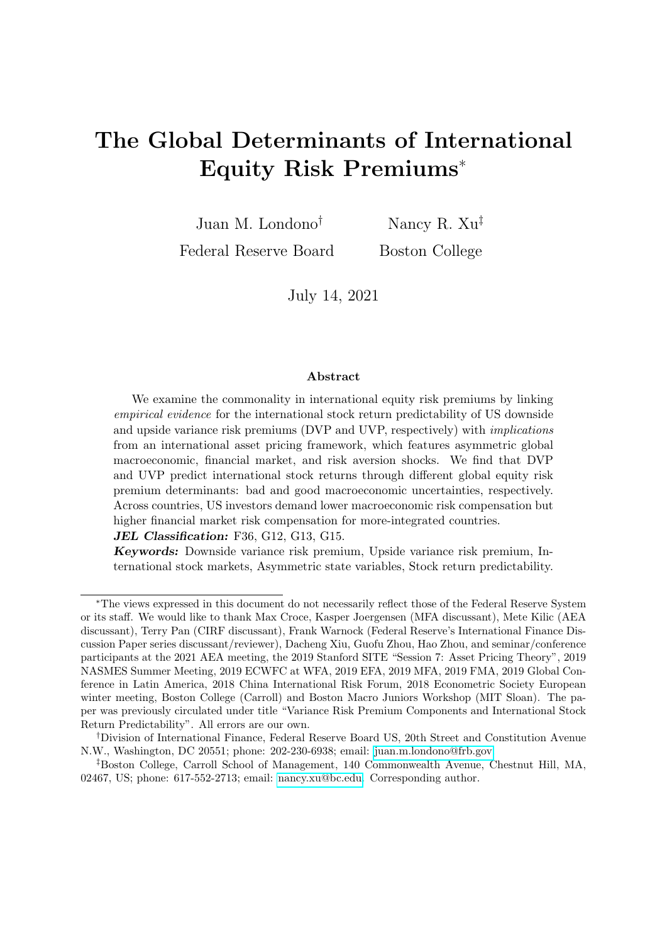

Figure 8: Variance decomposition

This figure shows the variance decomposition (in  $\%$ ) of the model-implied international equity risk premiums at various horizons. The solid black lines show variance decomposition results for an average country with median economic and financial integration, MM, to make inferences about global risk compensations. The other four lines show results for country groups with various low/high economic and financial integration (see Table 4).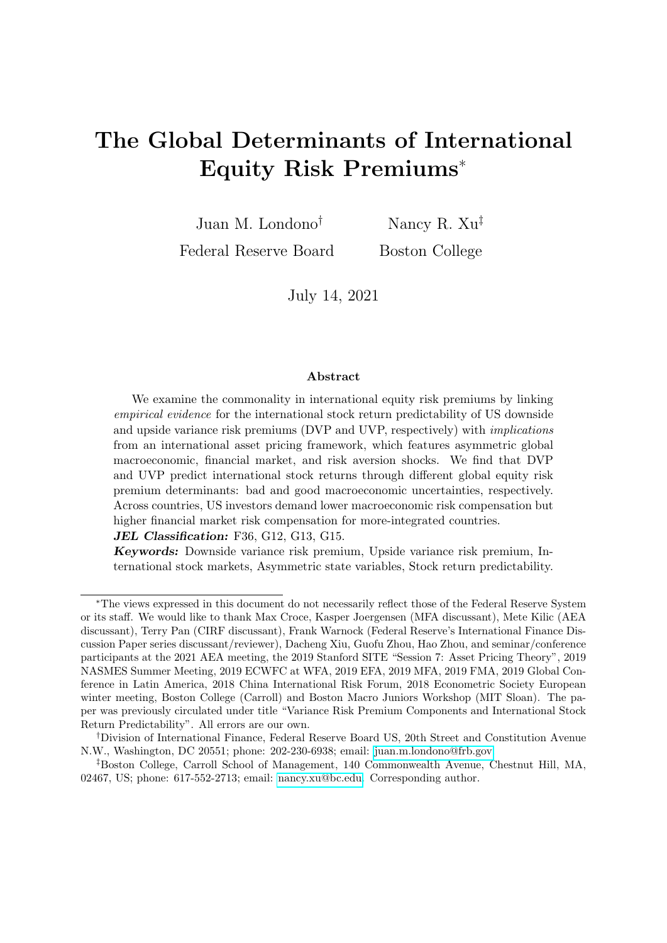

Figure 9: Time variation in model-implied equity risk premiums

This figure shows the time variation in model-implied equity risk premiums for an average country with median economic and financial integration at the 3-, 6-, and 12-month horizons. Equity risk premiums are expressed in annualized percents.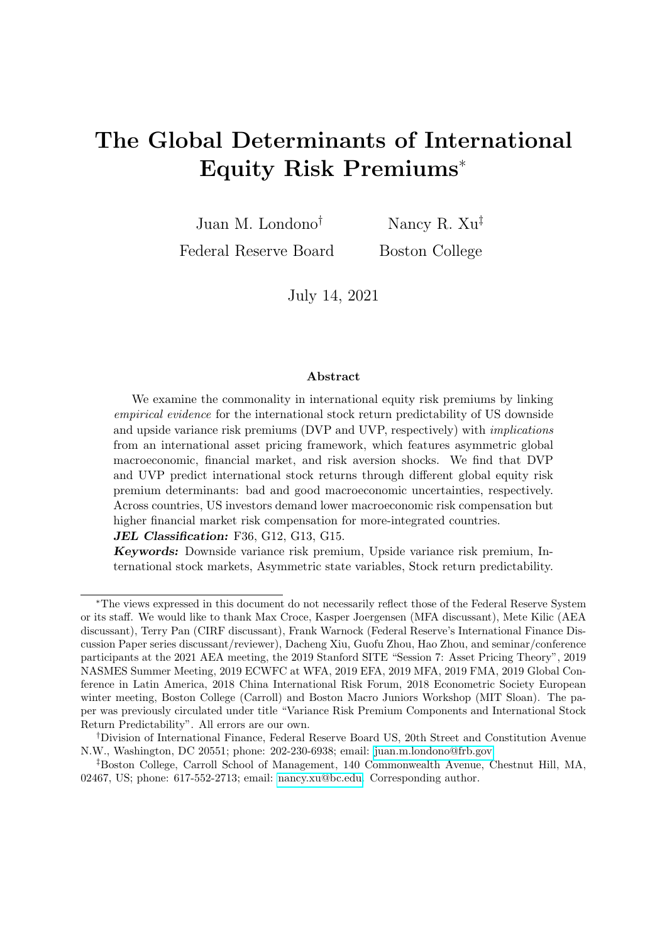

Figure 10: Economic interpretations of international equity risk premiums: A crosscountry view

This figure complements Figure  $7-(A)$  with a cross-country view, showing the marginal changes in four country-type equity risk premiums given one SD increase in a common premium state variable. The results are calibrated using low/high economic and financial integration, with low (high) using the 33th (67th) percentile value of the 22 countries. See other details in Figure 7.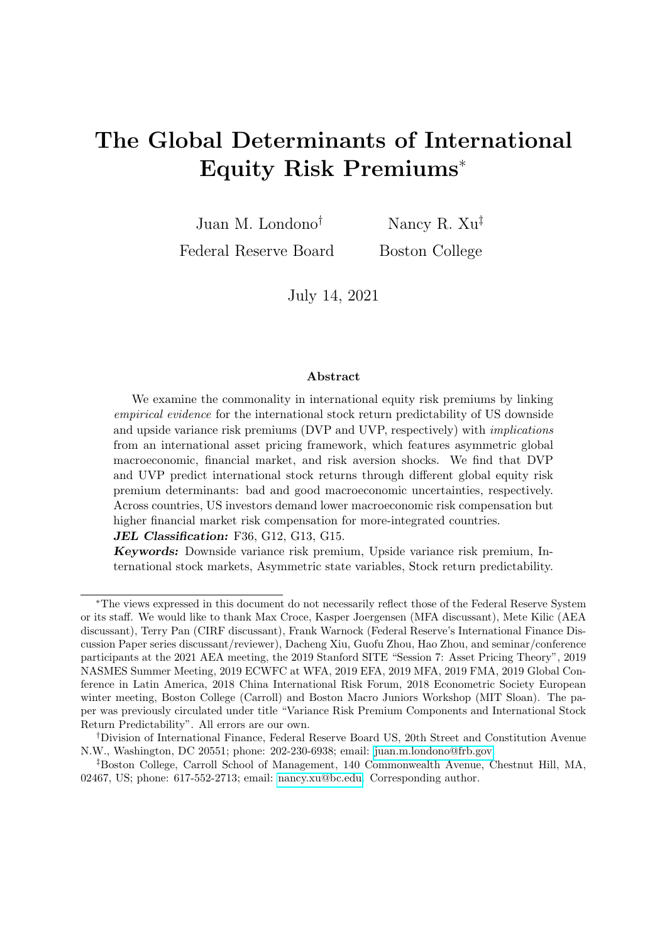

(A) DVP predictive coefficients without a state variable

Figure 11: Economic interpretations of international stock return predictability: A crosscountry view

This figure complements Figure 7-(B) with a cross-country view, showing the implied predictive coefficients for four country types after deleting one premium state variable in the implied EP at a time. The lower the implied coefficient (bar) is, the more important the state variable is in explaining the predictability. The results are calibrated using low/high economic and financial integration, with low (high) using the 33th (67th) percentile value of the 22 countries. See other details in Figure 7.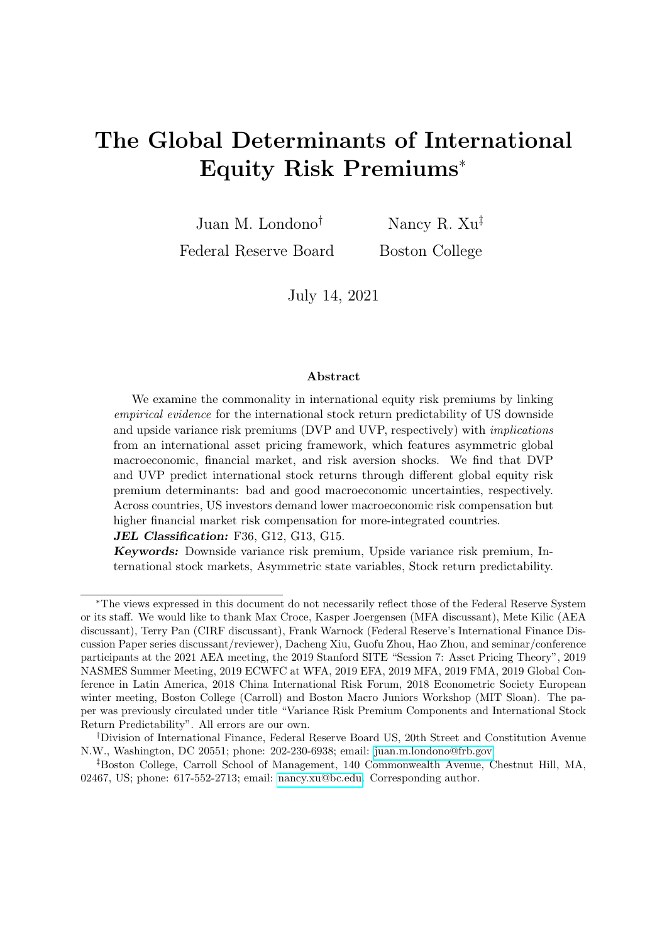# APPENDICES

## A. Additional tables and figures for Section 2

#### Table A1: Expected realized variance

This table shows the coefficients associated with the predictors of one-month-ahead (22 days) total realized variance. The specifications are similar to those for realized semivariances in Table 1. The specification in column (1) assumes that realized variance follow a Martingale  $(E_t(rv_{t+1m}) = rv_t)$ . For the specifications in columns (2) to (5), we estimate the following regression setting:  $E_t(rv_{t+1}) =$  $\hat{\alpha} + \hat{\gamma}X_t$ . We consider the following predictors in matrix X: the total realized variance calculated over the last month  $(rv_{t-1m;t})$ ; realized variance calculated using either the last five days  $(rv_{t-5d;t})$  or the last day of the month  $(rv_{t-1d;t})$ ; and the option-implied variance  $(iv_{t,t+1m})$ . We report, in parentheses, heteroskedasticity and autocorrelation consistent (HAC) standard deviations with 44 lags.  $\,$ , ) represent significance at the 1% (5%, 10%) confidence level. The adjusted  $R^2$ s are reported at the end of the table.

|                 | 1)       | $\left( 2\right)$ | 3)        | $\left(4\right)$ | (5)       |
|-----------------|----------|-------------------|-----------|------------------|-----------|
| Constant        | 0        | $7.72***$         | $7.72***$ | $6.96***$        | $4.15***$ |
|                 |          | (1.28)            | (1.28)    | (1.10)           | (1.56)    |
| $rv_t$ 1m;t     | 1        | $0.64***$         | $0.64***$ | $0.27***$        | 0.12      |
|                 |          | (0.08)            | (0.08)    | (0.10)           | (0.09)    |
| $rv_t\ _{5d;t}$ |          |                   |           | $0.32**$         | $0.29*$   |
|                 |          |                   |           | (0.16)           | (0.17)    |
| $rv_{t-1d;t}$   |          |                   |           | $0.09***$        | $0.06**$  |
|                 |          |                   |           | (0.02)           | (0.02)    |
| $iv_{t:t+1m}$   |          |                   |           |                  | $0.21*$   |
|                 |          |                   |           |                  | (0.12)    |
| Adj. $R^2$      | $0.27\,$ | 0.406             | 0.406     | 0.466            | 0.474     |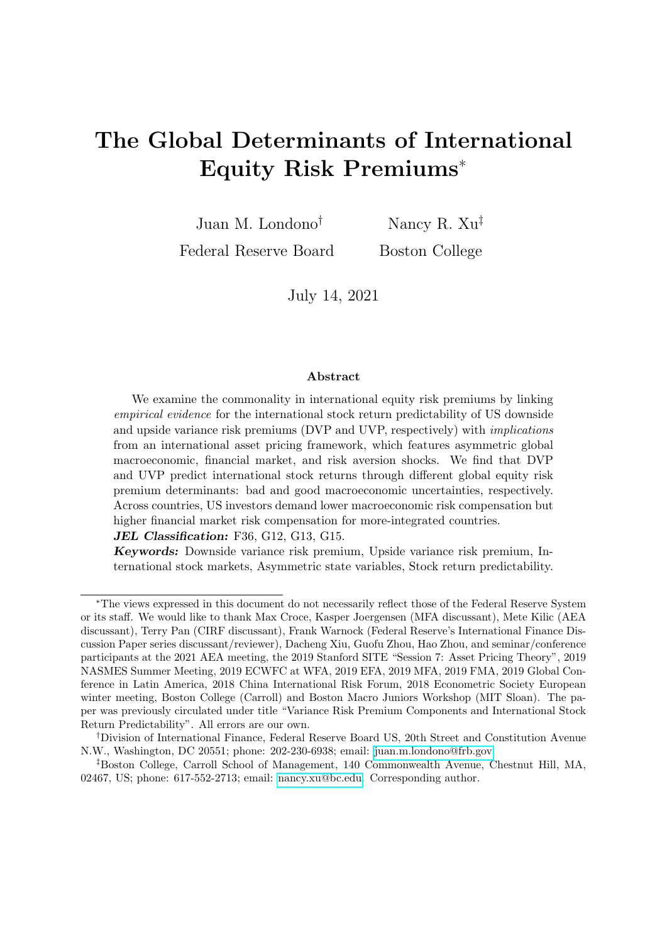

Figure A1: Alternative measures of the VP and its components

The dashed lines denote the Martingale measure, or measure (1) in Tables 1 and 2. The solid lines denote the benchmark VP measures used in the main empirical results (Table 1 and Figure 1). The shaded regions indicate NBER recessions.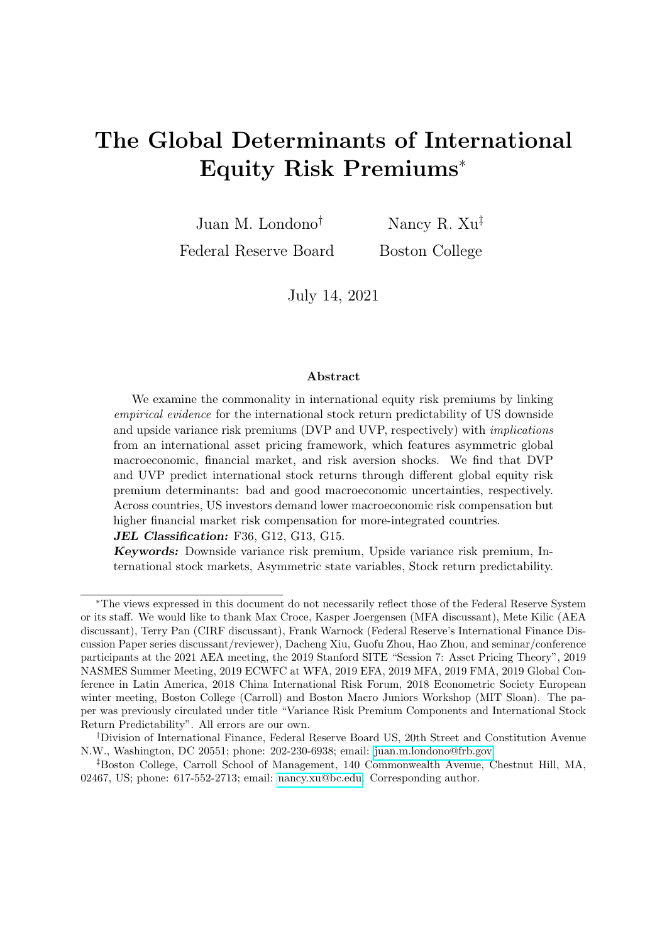### Table A2: Correlations

This table reports correlations among the monthly US downside and upside variance premiums across various measures. Models are reported in Table 1. Panel A (Panel B) reports correlations of DVP (UVP) estimates across measures. The sample runs from April 1991 to December 2019.

|                                    |      |      | 3    | 4    | $\mathbf{b}$                       |  |                  |      | $\mathbf{z}$ | 3    | 4 | $\vert$ |
|------------------------------------|------|------|------|------|------------------------------------|--|------------------|------|--------------|------|---|---------|
| A. Correlations across models; DVP |      |      |      |      | B. Correlations across models; UVP |  |                  |      |              |      |   |         |
|                                    |      |      |      |      |                                    |  |                  |      |              |      |   |         |
| $\left( 2\right)$                  | 0.87 |      |      |      |                                    |  | $\left(2\right)$ | 0.80 |              |      |   |         |
| $\left( 3\right)$                  | 0.87 | 0.99 |      |      |                                    |  | (3)              | 0.77 | 0.94         | 1.00 |   |         |
| $\left(4\right)$                   |      | 0.97 | 0.97 |      |                                    |  | (4)              | 0.77 | 0.90         | 0.88 |   |         |
| $\mathcal{D}$                      |      | 0.97 | 0.96 | 0.99 |                                    |  | .5)              |      |              | 0.75 |   |         |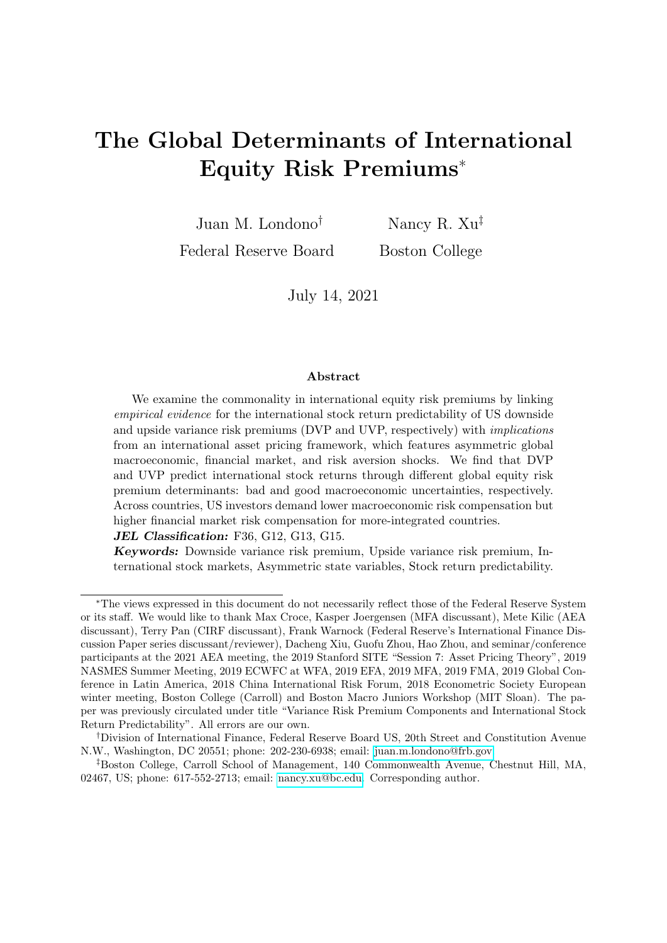

Figure A2: DVP predictive coefficients, alternative VP measure

This figure shows the predictive coefficient estimates of DVP from the country-level predictive regression specification in Equation (7), where predictors DVP and UVP use Measure (1), the Martingale measure (see Table 2). The dashed lines correspond to the 90% confidence intervals for the given Newey-West standard errors. The model specification is introduced in Section 2.3.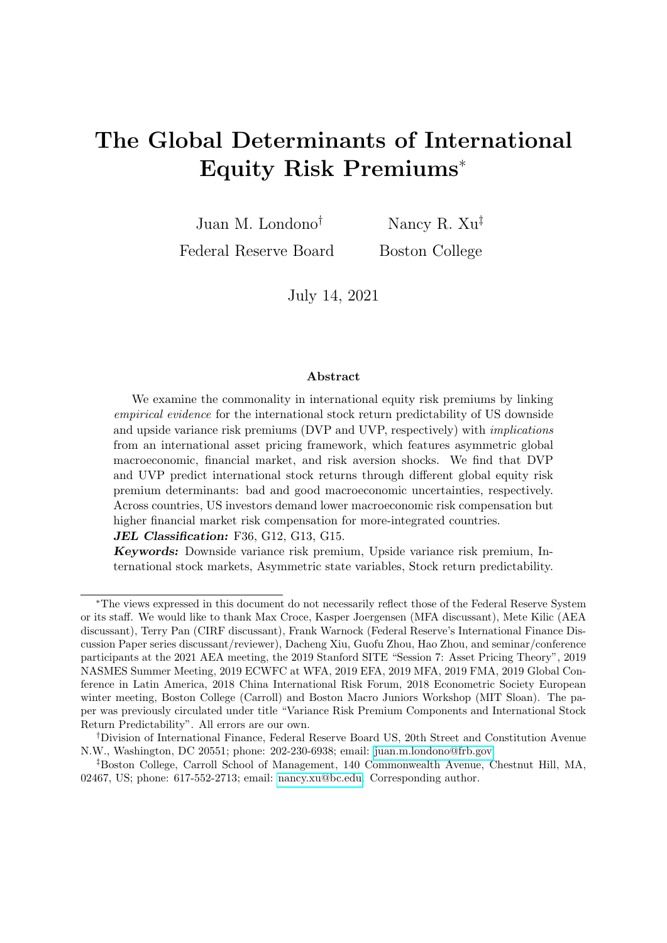

Figure A3: UVP predictive coefficients, alternative VP measure

This figure shows the predictive coefficient estimates of UVP from the country-level predictive regression specification in Equation (7), where predictors DVP and UVP use Measure (1), the Martingale measure (see Table 2). The dashed lines correspond to the 90% confidence intervals for the given Newey-West standard errors. The model specification is introduced in Section 2.3.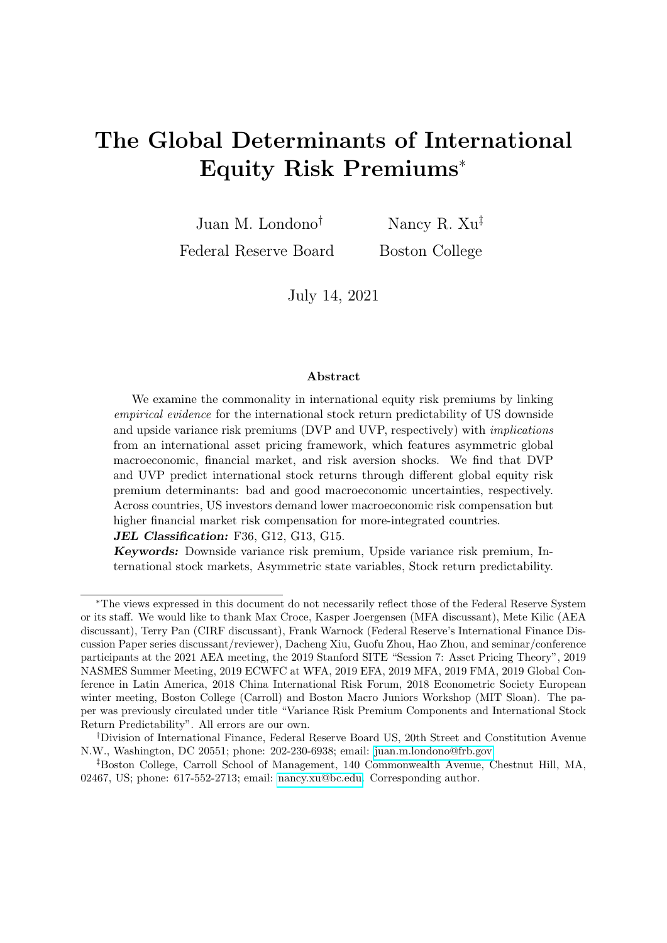

Figure A4: DVP predictive coefficients, model with control predictors

This figure shows the predictive coefficient estimates of DVP from the country-level predictive regression in an extended version of the setting in Equation (8) with control variables (US bill, earnings yield). The dashed lines correspond to the 90% confidence intervals for the given Newey-West standard errors. The model specification is introduced in Section 2.3.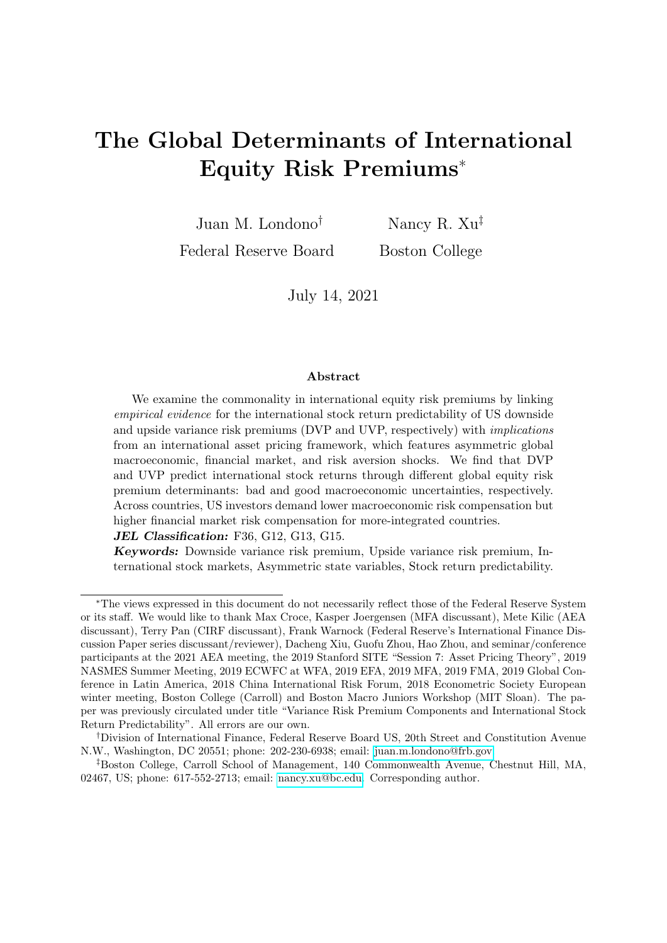

Figure A5: UVP predictive coefficients, model with control predictors

This figure shows the predictive coefficient estimates of UVP from the country-level predictive regression in an extended version of the setting in Equation (8) with control variables (US bill, earnings yield). The dashed lines correspond to the 90% confidence intervals for the given Newey-West standard errors. The model specification is introduced in Section 2.3.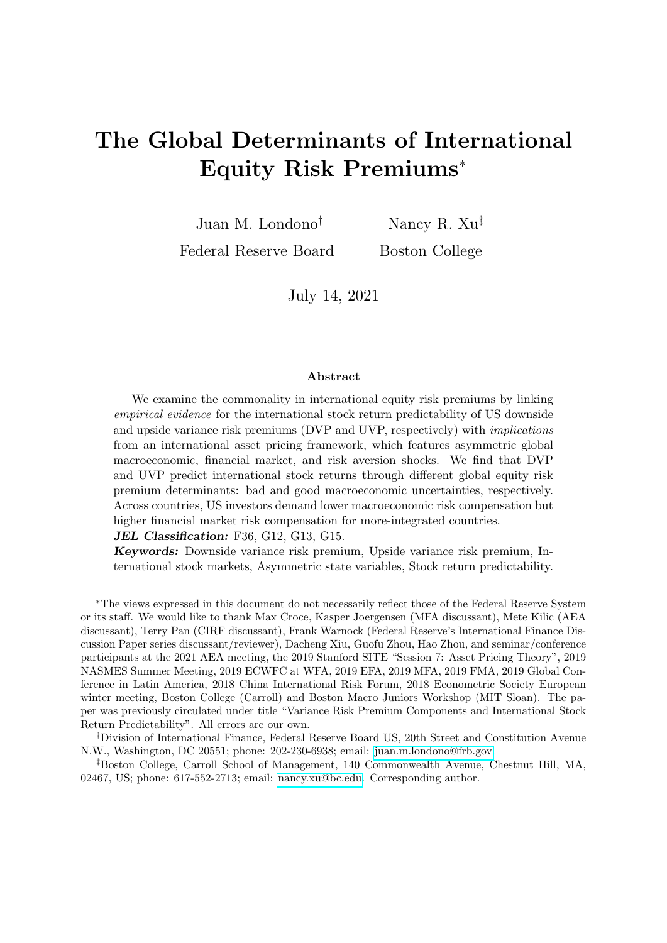## B. Solution for the price-dividend ratio and log stock returns

Rewrite the dividend growth process and the pricing kernel in a matrix representation,  $\Delta d_{t+1} =$  $d_0 + d_1Y_t + d_2\Sigma I_{t+1}$  and  $m_{t+1} = m_0 + m_1Y_t + m_2\Sigma I_{t+1}$ , where  $Y_t$  and  $I_t$  are the state variable vector and the independent shock vector, respectively. Given the assumptions in Section 3, the US price-dividend ratio can be rewritten as,

$$
PD_t = E_t \left[ M_{t+1} \left( \frac{P_{t+1} + D_{t+1}}{D_t} \right) \right] = \sum_{n=1}^{\tau} E_t \left[ \exp \left( \sum_{j=1}^n m_{t+j} + \Delta d_{t+j} \right) \right],
$$

where  $m_{t+j}$  indicates the future log US pricing kernel at month j and  $\Delta d_{t+j}$  the j-th month log dividend growth rates. Let  $F_t^n$  denote the *n*-th term in the summation,  $F_t^n = E_t \left[ \exp \left( \sum_{j=1}^n m_{t+j} + \Delta d_{t+j} \right) \right],$ and hence  $F_t^n D_t$  means the price of zero-coupon equity that matures in n periods. The PD<sub>t</sub> can be rewritten as  $\sum_{n=1}^{1} F_t^n$ .

We first prove that,  $\beta n \quad 1, F_t^n$  is an exactly exponential affine function of the state variables using induction. When  $n = 1, F_t^1 = E_t [\exp(m_{t+1} + \Delta d_{t+1})] = E_t f \exp[(m_0 + d_0) + (m_1 + d_1)Y_t + (m_2 + d_2)\Sigma I_{t+1}]g =$  $\exp(e_0^1 + e_1^1 Y_t)$ , where  $e_0^1$  and  $e_1^1$  are implicitly defined. Suppose that the  $(n \quad 1)$ -th term  $F_t^{n-1}$  $\exp\left(e_0^{n-1}+e_1^{n-1}Y_t\right)$ , then

$$
F_t^n = E_t \left[ \exp \left( \sum_{j=1}^n m_{t+j} + \Delta d_{t+j} \right) \right]
$$
  
= 
$$
E_t \left\{ \exp(m_{t+1} + \Delta d_{t+1}) E_{t+1} \left[ \exp \left( \sum_{j=1}^{n-1} m_{t+j+1} + \Delta d_{t+j+1} \right) \right] \right\}
$$
  
= 
$$
E_t \left[ \exp(m_{t+1} + \Delta d_{t+1}) \exp \left( e_0^{n-1} + e_1^{n-1} Y_{t+1} \right) \right] = \exp \left( e_0^{n} + e_1^{n} Y_t \right),
$$

where  $e_0^n$  and  $e_1^n$ <br>  $\sum_{n=1}^{\infty} F_t^n = \sum_{n=1}^{\infty}$ here  $e_0^D$  and  $e_1^D$  are implicitly defined. Hence, the price-dividend ratio can be solved as  $PD_t = \frac{1}{n-1} F_t^D = \sum_{n=1}^{1} \exp(e_0^D + e_1^D Y_t)$ . The log return can be solved and approximated as,

$$
r_{t+1} = \ln\left(\frac{P_{t+1} + D_{t+1}}{P_t}\right) = \Delta d_{t+1} + \ln\left[\frac{1 + \sum_{n=1}^{\gamma} \exp\left(e_0^n + e_1^n Y_{t+1}\right)}{\sum_{n=1}^{\gamma} \exp\left(e_0^n + e_1^n Y_t\right)}\right]
$$

$$
\Delta d_{t+1} + \text{const.} + \frac{\sum_{n=1}^{\gamma} \exp\left(e_0^n + e_1^n \overline{Y}\right) e_1^n}{\frac{1 + \sum_{n=1}^{\infty} \exp\left(e_0^n + e_1^n \overline{Y}\right)}{\sum_{n=1}^{\infty} \exp\left(e_0^n + e_1^n \overline{Y}\right)}} Y_{t+1} + \frac{\sum_{n=1}^{\gamma} \exp\left(e_0^n + e_1^n \overline{Y}\right) e_1^n}{\sum_{n=1}^{\gamma} \exp\left(e_0^n + e_1^n \overline{Y}\right)}} Y_t
$$

$$
= \xi_0 + \mathbf{1} Y_t + \mathbf{2} \Sigma I_{t+1}.
$$

Similarly, as the model takes the perspective of a US investor, the price-dividend ratio of country *i* is modeled as  $PD_t^i = E_t \left[ M_{t+1} \left( \frac{P_{t+1}^i + D_{t+1}^i}{D_t^i} \right) \right] = \sum_{n=1}^{\infty} E_t \left[ \exp \left( \sum_{j=1}^n m_{t+j} + \Delta d_{t+j}^i \right) \right]$ . Suppose the country *i* log dividend growth is  $\Delta d'_{t+1} = d'_0 + (\mathbf{d}'_1 \mathbf{Y}_t + \mathbf{d}'_2 \mathbf{\Sigma} \mathbf{Y}_{t+1}) + \mu'_t + u'_{d,t+1}$ , where  $\mathbf{d}'_1$  ( $\mathbf{d}'_2$ ) indicates the loadings of country i's dividend growth on the US lagged state variable levels (state variable shocks), and  $\mu_t^i$  and  $u_{d,t+1}^i$  indicate the additional country-specific dividend growth mean and shock processes that are orthogonal to the US shocks, respectively. Using the same induction procedure, it can be easily shown that,

$$
PD_t^i = \sum_{n=1}^1 F_t^n = \sum_{n=1}^1 \exp\left(e_0^{i,n} + e_1^{i,n} Y_t + \text{Idiosyncratic Parts}\right),
$$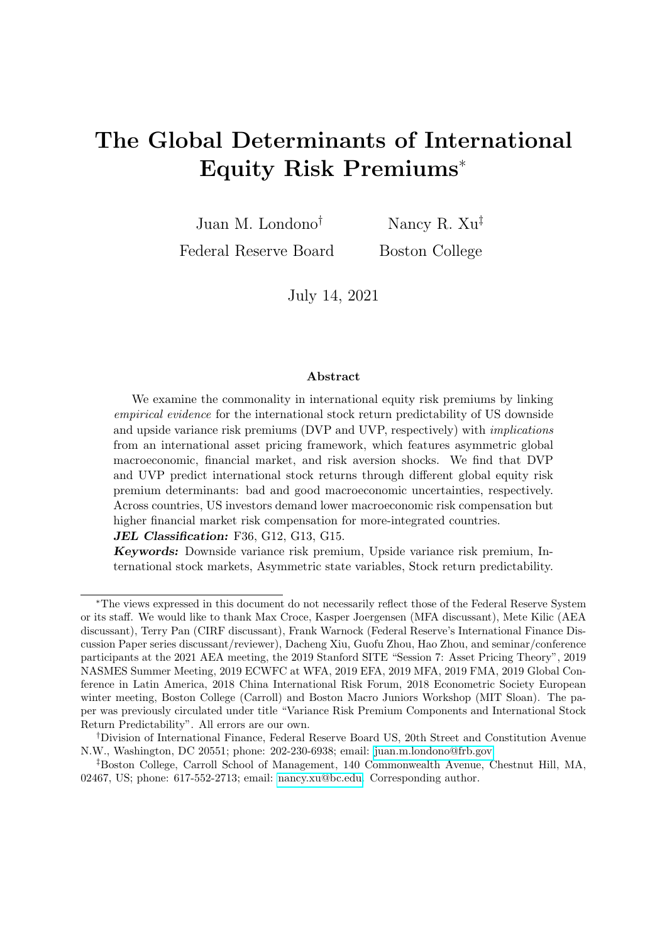$$
r'_{t+1} = \ln\left(\frac{P'_{t+1} + D'_{t+1}}{P'_t}\right) = \xi_0^i + \frac{i}{1}Y_t + \frac{i}{2}\Sigma I_{t+1} + \text{Idiosyncratic Parts.}
$$

## C. Solution for the variance risk premium

The proof is similar to that in Bekaert, Engstrom, and Xu (forthcoming). First, the US one-period physical conditional return variance can be easily obtained, given that  $I_{t+1}$   $\Gamma(\Omega Y_t + e; 1) - (\Omega Y_t + e),$ as:

$$
VAR_t(r_{t+1}) = \left(\begin{array}{c} 2\Sigma \end{array}\right)^2 (\Omega Y_t + e),
$$

where " " indicates element-by-element matrix multiplication.

Second, the US one-period risk-neutral conditional return variance can be obtained using the moment generating function (MGF) of gamma-distributed shocks. We start from the MGF under the risk-neutral measure:

$$
mgf_t^O(r_{t+1};\nu) = \frac{E_t[\exp(m_{t+1} + \nu r_{t+1})]}{E_t[\exp(m_{t+1})]}
$$
  
\n
$$
= \exp fE_t(m_{t+1}) + \nu E_t(r_{t+1}) + [ (m_2 + 2)\Sigma \ln(1 + (m_2 + 2)\Sigma)](\Omega Y_t + e)g
$$
  
\n
$$
/ \exp fE_t(m_{t+1}) + [ m_2\Sigma \ln(1 + m_2\Sigma)](\Omega Y_t + e)g
$$
  
\n
$$
= \exp f\nu E_t(r_{t+1}) + [ 2\Sigma + [ \ln(1 + (m_2 + 2)\Sigma) + \ln(1 + m_2\Sigma)]](\Omega Y_t + e)g.
$$

The first-order moment is the first-order derivative at  $\nu = 0$ :

$$
\frac{\partial mgf_t^O(r_{t+1};\nu)}{\partial \nu} = mgf_t^O(r_{t+1};\nu) \left\{ E_t(r_{t+1}) + \left[ (m_2 + 2)\Sigma \quad 2\Sigma \quad (1 \quad (m_2 + 2)\Sigma) \right]^{1} \right] (\Omega Y_t + e) \right\}
$$
  

$$
E_t^O(r_{t+1}) = \frac{\partial mgf_t^O(r_{t+1};\nu)}{\partial \nu} = 0
$$
  

$$
= E_t(r_{t+1}) + \left[ m_2 \Sigma \quad 2\Sigma \quad (1 \quad m_2 \Sigma) \right]^{1} (\Omega Y_t + e).
$$

The second-order moment can be derived as follows:

$$
\frac{\partial^2 mgf_t^O(r_{t+1};\nu)}{\partial \nu^2} = mgf_t^O(r_{t+1};\nu) \left\{ E_t(r_{t+1}) + \left[ (m_2 + 2)\Sigma \quad 2\Sigma \quad (1 \quad (m_2 + 2)\Sigma) \right] \right] (\Omega Y_t + e) \right\}^2
$$
  
+ 
$$
mgf_t^O(r_{t+1};\nu) \left\{ \left[ (m_2 + 2)\Sigma \quad (2\Sigma)^2 \quad (1 \quad (m_2 + 2)\Sigma) \right] (\left[ (m_2 + 2)\Sigma \right] \right\}^2 \right\}
$$
  

$$
E_t^O(r_{t+1}^2) = \frac{\partial^2 mgf_t^O(r_{t+1};\nu)}{\partial \nu^2} j_{=0}
$$
  
= 
$$
\left( E_t^O(r_{t+1}) \right)^2 + \left[ (2\Sigma)^2 \quad (1 \quad m_2 \Sigma)^{-2} \right] (\Omega Y_t + e).
$$

As a result, the one-period risk-neutral conditional variance is

$$
VAR_t^Q(\widetilde{r}_{t+1}^i) = E_t^Q((\widetilde{r}_{t+1}^i)^2) \left(E_t^Q(\widetilde{r}_{t+1}^i)\right)^2
$$
  
= 
$$
\left[ \left(\begin{array}{cc} 2\Sigma \end{array}\right)^2 \left(1 - m_2 \Sigma\right)^{-2} \right] (\Omega Y_t + e).
$$

The US variance risk premium is, as displayed in Equation (13), given by:

$$
VAR_t^Q(\widetilde{r}_{t+1}^i) \quad VAR_t(\widetilde{r}_{t+1}^i) = \left\{ \left(\begin{array}{cc} 2\Sigma \end{array}\right)^2 \quad \left[\left(1 \quad m_2 \Sigma\right)^{-2} \quad 1\right] \right\} (\Omega Y_t + e).
$$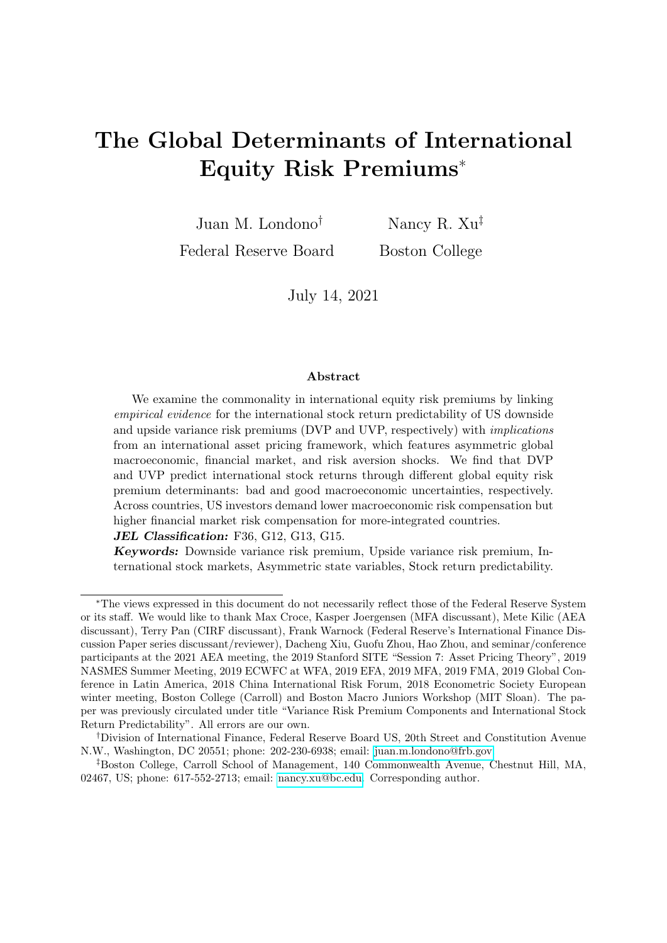### D. Solution for the equity risk premiums

The risk free rate is derived as,

$$
rf_t = \ln fE_t[\exp(m_{t+1})]g
$$
  
=  $\ln fE_t(m_{t+1}) + [\mathbf{m}_2 \Sigma \ln(\mathbf{1} \mathbf{m}_2 \Sigma)](\Omega Y_t + e)g.$ 

We then impose the no-arbitrage condition,  $1 = E_t[\exp(m_{t+1} + r_{t+1})]$ , and obtain the expected excess returns. By expanding the law of one price (LOOP) equation, we obtain:

$$
1 = E_t[\exp(m_{t+1} + r_{t+1})]
$$
  
=  $\exp fE_t(m_{t+1}) + E_t(r_{t+1}) + [ (m_2 + 2) \Sigma \ln(1 + (m_2 + 2) \Sigma)] (\Omega Y_t + e)g,$ 

where  $m_2$ ,  $_2$ ,  $\Sigma$  and  $e$  are constant matrices defined above. Given the risk free rate derived above, the US equity risk premium is, as displayed in Equation (14), given by:

$$
E_t(r_{t+1}) \quad rf_t = f_2\Sigma + \ln[1 \quad (m_2 + 2)\Sigma] \quad \ln(1 \quad m_2\Sigma)g(\Omega Y_t + e).
$$

Similarly, the international equity risk premium is, as displayed in Equation (15), given by:

$$
E_t(r_{t+1}^i) \quad rf_t = \underbrace{\left\{\frac{i}{2}\Sigma + \ln\left[1 - (m_2 + \frac{i}{2})\Sigma\right] \ln(1 - m_2\Sigma)\right\}(\Omega Y_t + e)}_{\text{The Global Comparison Part}}
$$
  
+ Idiosyncratic Parts.

The total country equity risk premiums can also be driven by a pure local risk compensation component, which however is not the focus of the paper and in theory should be un-predictable by common/US predictors, and hence is abbreviated above without loss of generality.

## E. Individual US state variable processes and estimation results

In this appendix, we complement Section 4 by providing the exact dynamic processes of individual state variables and their detailed estimation results:

$$
\Sigma_m I_{m:t+1} \begin{bmatrix} \theta_{t+1} & E_t(\theta_{t+1}) \\ q_{t+1} & E_t(q_{t+1}) \\ illiq_{t+1} & E_t(illiq_{t+1}) \end{bmatrix}, \tag{E1}
$$

where  $\theta_{t+1}$  denotes the economic growth,  $q_{t+1}$  risk aversion, and *illiqt<sub>t+1</sub>* stock market illiquidity. Our state variable system is estimated and assumed realistic at the monthly frequency.

### E.1. Dynamic processes

The economic growth state variable is assumed to follow a reduced-form dynamic process that captures time-varying expected growth and asymmetric/skewed and heteroskedastic shocks to be potentially consistent with recent work (see, e.g., Adrian, Boyarchenko, and Giannone (2019)):

$$
\theta_{t+1} = \overline{\theta} + \rho \cdot (\theta_t - \overline{\theta}) + \rho \cdot \rho (\theta p_t - \overline{\theta p}) + \rho \cdot \rho (\theta n_t - \overline{\theta n}) + \delta \cdot \rho \omega_{p,t+1} - \delta \cdot \rho \omega_{n,t+1},
$$
 (E2)

where the conditional mean is subject to an  $AR(1)$  term capturing persistence as well as changes in expected good and bad economic uncertainties capturing the GARCH-in-mean intuition. As in Bekaert, Engstrom, and Xu (forthcoming), the disturbance of the log economic growth is decomposed into two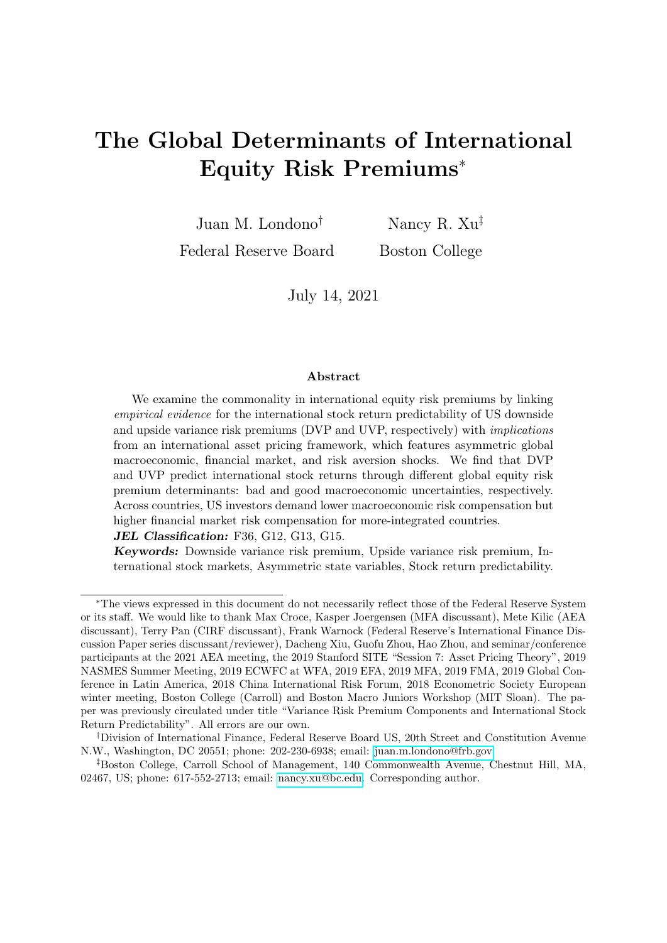independent centered gamma shocks:

$$
\omega_{p,t+1} = \Gamma(\theta p_t, 1) \quad \theta p_t,
$$
  

$$
\omega_{n,t+1} = \Gamma(\theta n_t, 1) \quad \theta n_t,
$$

where  $\omega_{p;t+1}$  ( $\omega_{n;t+1}$ ) governs the right-tail (left-tail) dynamics of the growth distribution with shape parameter  $\theta p_t$  ( $\theta n_t$ ) determining the conditional higher moments of the growth disturbance shock. For example, given the moment generating function (MGF) of independent gamma shocks, the conditional variance of  $\theta_{t+1}$  is  $\delta^2$ ,  $\theta_{p}$   $\theta_{p} + \delta^2$ ,  $\theta_{p}$  and the conditional unscaled skewness is  $2\delta^3$ ,  $\theta_{p}$   $\theta_{p}$   $\theta_{p}$   $2\delta^3$ ,  $\theta_{p}$   $\theta_{p}$ . Increases in  $\theta p_t$  ( $\theta n_t$ ) imply higher (lower) conditional skewness while increasing conditional variance, and hence  $\theta p_t$  ( $\theta n_t$ ) can be interpreted as the "good" ("bad") uncertainty state variable. This disturbance structure is one of the non-Gaussian shock assumptions that the literature has explored to realistically model macro or financial state variable processes (see, e.g., Eraker and Shaliastovich (2008), Bekaert, Engstrom, and Xing (2009), Fulop, Li, and Yu (2015), Segal, Shaliastovich, and Yaron (2015), De Groot (2015), Bekaert and Engstrom (2017), Xu (2021)). The dynamics of the good and bad economic uncertainty state variables follow  $AR(1)$  processes:

$$
\theta p_{t+1} = \overline{\theta p} + \rho \, \rho (\theta p_t \quad \overline{\theta p}) + \sigma \, \rho \omega \, \rho_{t+1}, \tag{E3}
$$

$$
\theta n_{t+1} = \overline{\theta n} + \rho_n(\theta n_t \quad \overline{\theta n}) + \sigma_n \omega_{n; t+1}.
$$
 (E4)

Define a macroeconomic state variable vector,  $Y_{mac;t}$  $\theta_t$   $\theta p_t$   $\theta n_t$ <sup> $\theta$ </sup>, and its unconditional mean  $Y_{mac}$  $\overline{\theta}$   $\overline{\theta p}$   $\overline{\theta n}$   $\Big\}^{\theta}$ .

The risk aversion state variable,  $q_t$ , evolves over time with a state-dependent conditional mean and a disturbance that is exposed to economic fundamental shocks. The residual is then separated into two independent gamma shocks,  $\omega_{gh;t+1}$  and  $\omega_{gl;t+1}$ , potentially capturing distinct behaviors of the right-tail (high risk aversion) and left-tail (low risk aversion) preference shocks:

$$
q_{t+1} = \overline{q} + \rho_{q;q}(q_t - \overline{q}) + \rho_{q;qh}(qh_t - \overline{qh}) + q_{,max}(Y_{mac;t} - \overline{Y}_{mac})
$$
  
+  $\delta_{q; \rho} \omega_{p;t+1} + \delta_{q; \rho} \omega_{n;t+1} + \delta_{q;qh} \omega_{qh;t+1} - \delta_{q;q} \omega_{ql;t+1},$   

$$
\omega_{qh;t+1} = \Gamma(qh_t, 1) - qh_t,
$$
  

$$
\omega_{ql;t+1} = \Gamma(\overline{ql}, 1) - \overline{ql},
$$
  

$$
qh_{t+1} = \overline{qh} + \rho_{qh}(qh_t - \overline{qh}) + \sigma_{qh} \omega_{qh;t+1}.
$$
 (E5)

The conditional mean of risk aversion evolves with the macro variables (both level and volatility), an  $AR(1)$  term, and a high risk aversion state variable  $qh_t$  that captures the fluctuation of the right-tail risk aversion shock. Given that risk aversion heteroskedasticity is likely driven by its right-tail movements when risk aversion is high, we shut down heteroskedasticity coming from the left-tail movements when risk aversion is low to keep the model relatively simple. Note that our risk aversion dynamics are different from those in the literature. First, Bekaert et al. (forthcoming) also assume a pure risk aversion shock that is orthogonal to consumption (fundamental) shocks; they assume its shape parameter same as risk aversion, whereas we elicit a new state variable  $q h_t$  that does not equal to  $q_t$  (but should very likely positively correlate with  $q_t$  empirically, as we do find later). Second, the most acknowledged time-varying risk aversion model is Campbell and Cochrane (1999) which assumes that risk aversion is purely driven by changes in real fundamentals. Finally, define  $Y_{q,t} = \begin{bmatrix} q_t & q_h \end{bmatrix}^{\theta}$ , and  $\overline{Y_q} = \begin{bmatrix} \overline{q} & \overline{q}h \end{bmatrix}^{\theta}$ .

The stock market illiquidity process,  $illiq_t$ , is isomorphic:

$$
illiq_{t+1} = \overline{illiq} + \rho_{i\parallel ij} \left( illiq_t - \overline{illiq} \right) + \rho_{i\parallel ij} \left( illiqh_t - \overline{illiq} \right) + \rho_{i\parallel ij} \left( illiqt_t - \overline{illiq} \right)
$$
  
+  $\mu_{i\parallel ij, \text{max}} \left( \mathbf{Y}_{\text{mac}, t} - \overline{\mathbf{Y}_{\text{mac}}} \right) + \mu_{i\parallel ij, q} \left( \mathbf{Y}_{q, t} - \overline{\mathbf{Y}_q} \right)$   
+  $\delta_{i\parallel ij, p} \omega_{p, t+1} + \delta_{i\parallel ij, n} \omega_{n, t+1} + \delta_{i\parallel ij, q} \omega_{q h, t+1} + \delta_{i\parallel ij, q} \omega_{q l, t+1} + \delta_{i\parallel ij, q} \omega_{i\parallel i+1} + \delta_{i\parallel ij, q} \omega_{i\parallel i+1} + \delta_{i\parallel ij, q} \omega_{i\parallel ij, t+1}$   
+  $\omega_{i\parallel ij, t+1} = \Gamma(i\parallel iql_t, 1)$  *illiqh\_t*,  
 $\omega_{i\parallel ij, t+1} = \overline{i\parallel iql} + \rho_{i\parallel ij, q} \left( i\parallel iql_t + \overline{i\parallel iql} \right) + \sigma_{i\parallel ij, q} \omega_{i\parallel ij, t+1},$   
 $\text{illiql}_{t+1} = \overline{i\parallel iql} + \rho_{i\parallel ij, q} \left( i\parallel iql_t + \overline{i\parallel iql} \right) + \sigma_{i\parallel ij, q} \omega_{i\parallel ij, t+1},$  (E6)

where  $illiqh_t$  (illiql<sub>t</sub>) captures the right-tail (left-tail) of the pure illiquidity disturbance that is cleansed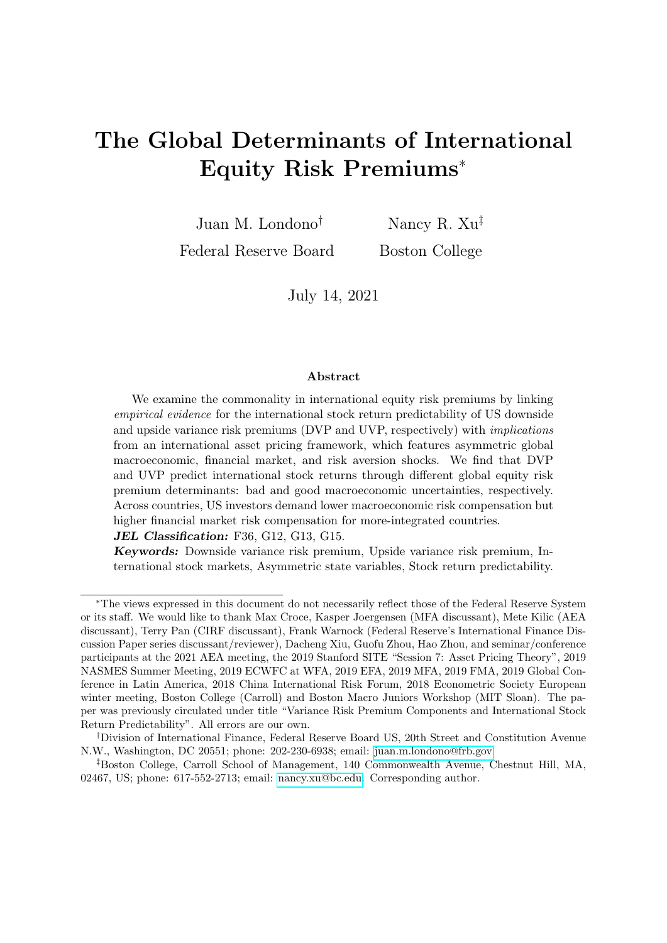from risk aversion and macro shocks.

### E.2. Estimation results

The estimation of the three state variable systems is conducted sequentially given the overlaying shocks. First, the economic growth and uncertainty state variables are estimated using a monthly sample from 1947/02 to 2019/12 and the Approximate Maximum Likelihood (AML) methodology in Bates (2006). Then, the risk aversion measure uses the  $q_t$  series from Bekaert et al. (forthcoming), from 1986/06 to 2019/12, and is first projected on known macro variables; the disturbance is estimated using Bates (2006)'s. Finally, the stock market illiquidity measure is constructed using Amihud (2002)'s methodology, from 1985/01 to 2019/12, and is first projected on known variables; the disturbance is also estimated using Bates (2006)'s. (Below: (  $,$  ): 1% (5%, 10%) test)

| A. Estimation Results of $\theta_t$ , $\theta p_t$ , $\theta n_t$ |                       |                    |                            |                   |                       |                       |  |  |
|-------------------------------------------------------------------|-----------------------|--------------------|----------------------------|-------------------|-----------------------|-----------------------|--|--|
| $\theta_t$ :                                                      | $\theta$              | $\rho$ :           | $\rho$ ; $p$               | $\rho$ ; n        | $\delta$ ; $p$        | $\delta$ ; n          |  |  |
| Coeff.                                                            | $0.0023***$           | $0.3799***$        | $4.02E-05$                 | $-0.0001$         | $0.0001***$           | $0.0028***$           |  |  |
| SE                                                                | (0.0003)              | (0.0313)           | (0.0002)                   | (0.0012)          | $(2.81E-5)$           | (0.0003)              |  |  |
| $\theta p_t$ :                                                    | $\overline{\theta p}$ | $\rho$ $p$         | $\delta$ $\rho$            |                   |                       |                       |  |  |
| Coeff.                                                            | $500$ (fix)           | $0.9979***$        | $0.3739***$                |                   |                       |                       |  |  |
| SE                                                                |                       | (0.0171)           | (0.0173)                   |                   |                       |                       |  |  |
| $\theta n_t$ :                                                    | $\overline{\theta n}$ | $\rho$ n           | $\delta$<br>$\overline{p}$ |                   |                       |                       |  |  |
| Coeff.                                                            | $10.3362***$          | $0.9525***$        | 2.2996***                  |                   |                       |                       |  |  |
| SE                                                                | (2.0747)              | (0.0096)           | (0.1907)                   |                   |                       |                       |  |  |
| B. Estimation Results of $q_t, q_h$                               |                       |                    |                            |                   |                       |                       |  |  |
| $q_t$ :                                                           | $\overline{q}$        | $\rho_{q;q}$       | $\rho_{q;qh}$              | $\rho_{q}$        | $\rho_{q; p}$         | $\rho_{q; n}$         |  |  |
| Coeff.                                                            | $0.3266***$           | $0.7124***$        | $-0.0006$                  | $-3.1851***$      | $0.0008**$            | 0.0011                |  |  |
| SE                                                                | (0.0102)              | (0.0355)           | (0.0004)                   | (0.9238)          | (0.0003)              | (0.0009)              |  |  |
|                                                                   | $\delta_{q}$ p        | $\delta_{q; n}$    | $\delta_{q;qh}$            | $\delta_{q;ql}$   | $q\bar{l}$            |                       |  |  |
| Coeff.                                                            | 0.0004                | $0.0185***$        | $1.0767***$                | $0.0906***$       | 786.6892***           |                       |  |  |
| SE                                                                | (0.0003)              | (0.0034)           | (0.0645)                   | (0.0001)          | (102.74)              |                       |  |  |
| $q h_t$ :                                                         | $\overline{qh}$       | $\rho_{\text{gh}}$ | $\delta_{q h}$             |                   |                       |                       |  |  |
| Coeff.                                                            | $0.872***$            | $0.5677***$        | $1.0767***$                |                   |                       |                       |  |  |
| SE                                                                | (0.0670)              | (0.0307)           | (0.0645)                   |                   |                       |                       |  |  |
| C. Estimation Results of $illiq_t, illiq_t, illiq_t$              |                       |                    |                            |                   |                       |                       |  |  |
| $illiq_t$ :                                                       | illig                 | Pilliq; illiq      | Pilliq; illiqh             | $P$ illig;illigl  |                       |                       |  |  |
| Coeff.                                                            | 8.9526***             | $0.9521***$        | 0.0001                     | $-0.0005$         |                       |                       |  |  |
| <b>SE</b>                                                         | (0.1311)              | (0.0147)           | (0.0046)                   | (0.0044)          |                       |                       |  |  |
|                                                                   | $\rho$ illig;         | $P$ illiq; p       | $P$ illiq; n               | $\rho_{illiq;q}$  | $P$ illiq;qh          |                       |  |  |
| Coeff.                                                            | $-15.2507$            | $0.0186*$          | 0.0145                     | $-4.622*$         | $1.5002***$           |                       |  |  |
| <b>SE</b>                                                         | (27.2003)             | (0.0113)           | (0.0317)                   | (2.5668)          | (0.4929)              |                       |  |  |
|                                                                   | $\delta$ illiq; p     | $\delta$ illiq; n  | $\delta$ illiq;qh          | $\delta$ illiq;ql | $\delta$ illiq;illiqh | $\delta$ illiq;illiql |  |  |
| Coeff.                                                            | 0.0054                | 0.0345             | $-1.2834**$                | $-0.004$          | $2.0855***$           | $0.7175***$           |  |  |
| <b>SE</b>                                                         | (0.0077)              | (0.0988)           | (0.5396)                   | (0.0052)          | (0.0351)              | (0.0323)              |  |  |
| $illiqh_t$ :                                                      | $\overline{illiqh}$   | Pi                 | $\delta$ illigh            |                   |                       |                       |  |  |
| Coeff.                                                            | $1.1458***$           | $0.9244***$        | $0.4687***$                |                   |                       |                       |  |  |
| <b>SE</b>                                                         | (0.0481)              | (0.0413)           | (0.0103)                   |                   |                       |                       |  |  |
| $illiql_t$ :                                                      | $\overline{illiql}$   | Pi                 | $\delta$ illigl            |                   |                       |                       |  |  |
| Coeff.                                                            | $0.699***$            | $0.8651***$        | $0.0219***$                |                   |                       |                       |  |  |
| SE                                                                | (0.0347)              | (0.0900)           | (0.0025)                   |                   |                       |                       |  |  |

We next compare the closeness between average conditional moments (mean, variance) and empirical unconditional moments of  $\theta_{t+1}$ ,  $q_{t+1}$ , and illiq<sub>t+1</sub>. Bold values indicate that the average conditional moments are statistically close to the data. Moment matching is expected given the highly specified model assumptions; given that our paper is not about selecting the most efficient dynamic process but obtaining realistic estimates of state variables, we do not expand the model comparison exercise and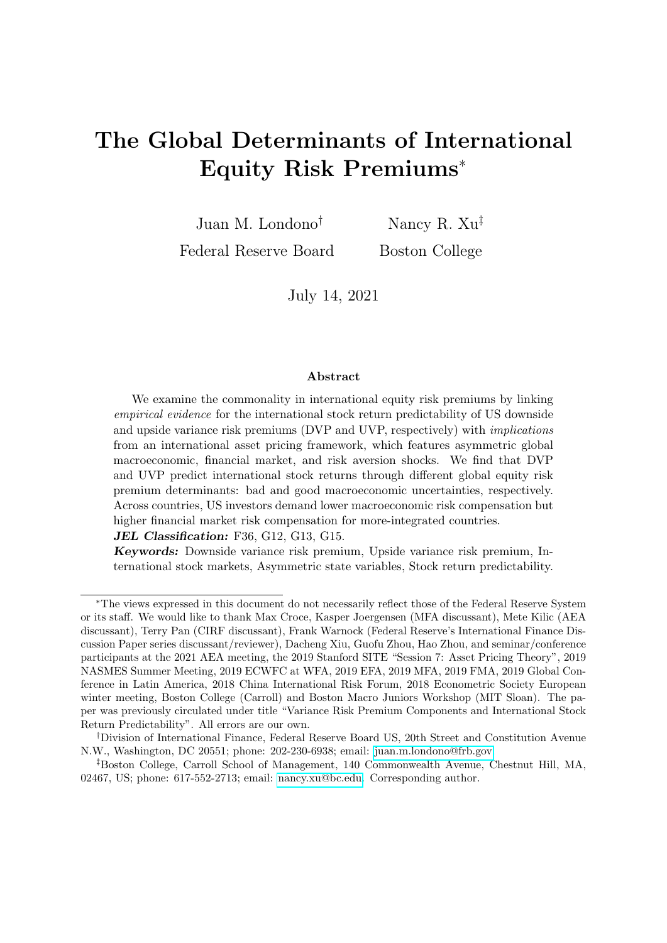follow existing evidence and frameworks in the literature.

|          | $\theta_{t+1}$ |            | $q_{t+1}$   |        | $illia_{t+1}$ |        |  |
|----------|----------------|------------|-------------|--------|---------------|--------|--|
|          | Data           | Model      | Data.       | Model  | Data.         | Model  |  |
| Mean     | $0.0023***$    | 0.0025     | $0.3023***$ | 0.3049 | $8.9468***$   | 8.9570 |  |
|          | (0.0003)       |            | (0.0084)    |        | (0.0084)      |        |  |
| Variance | $7.33E-05***$  | $6.11E-05$ | $0.0091***$ | 0.0094 | $6.632***$    | 7.4434 |  |
|          | $(7.73E-06)$   |            | (0.0018)    |        | (1.1573)      |        |  |

Figures below depict the dynamics of state variables in the macro, risk aversion, and stock market illiquidity systems, respectively: (1) From top to bottom: Economic growth (gray) and its conditional mean (red); good macro uncertainty state variable  $\theta p_i$ ; bad macro uncertainty state variable  $\theta n_i$ ; total conditional volatility.



(2) From top to bottom: Risk aversion state variable  $q_t$  from Bekaert et al. (forthcoming) (gray) and its conditional mean (red); high risk aversion state variable  $q h_t$ ; total conditional volatility.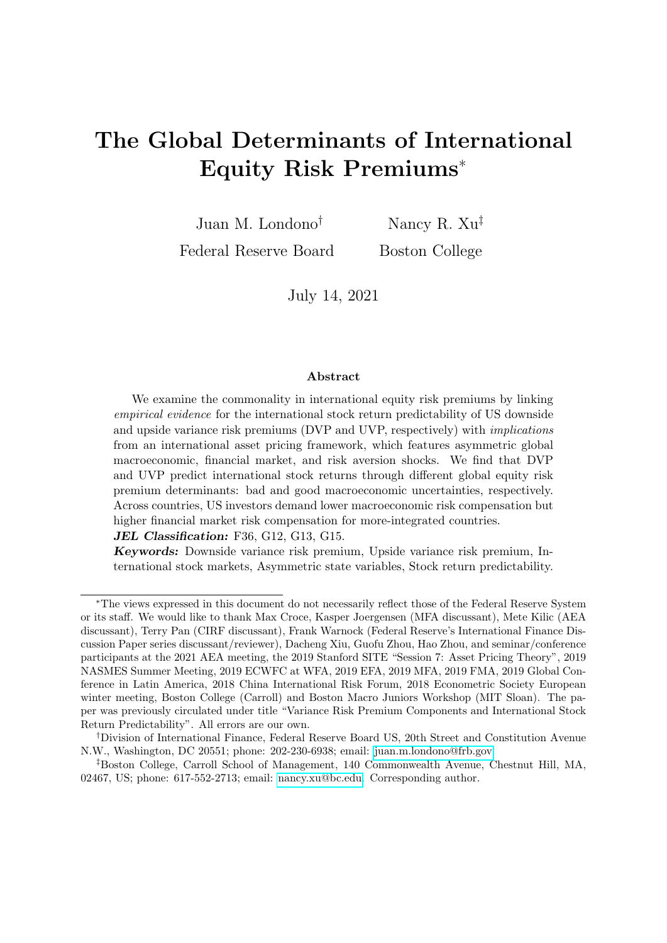

(3) From top to bottom: Stock market illiquidity measure using Amihud (2002)'s method (gray) and its conditional mean (red); high market illiquidity state variable  $illiqh_t$ ; low market illiquidity state variable  $illiql_t$ ; total conditional volatility.



Appendix Page 14